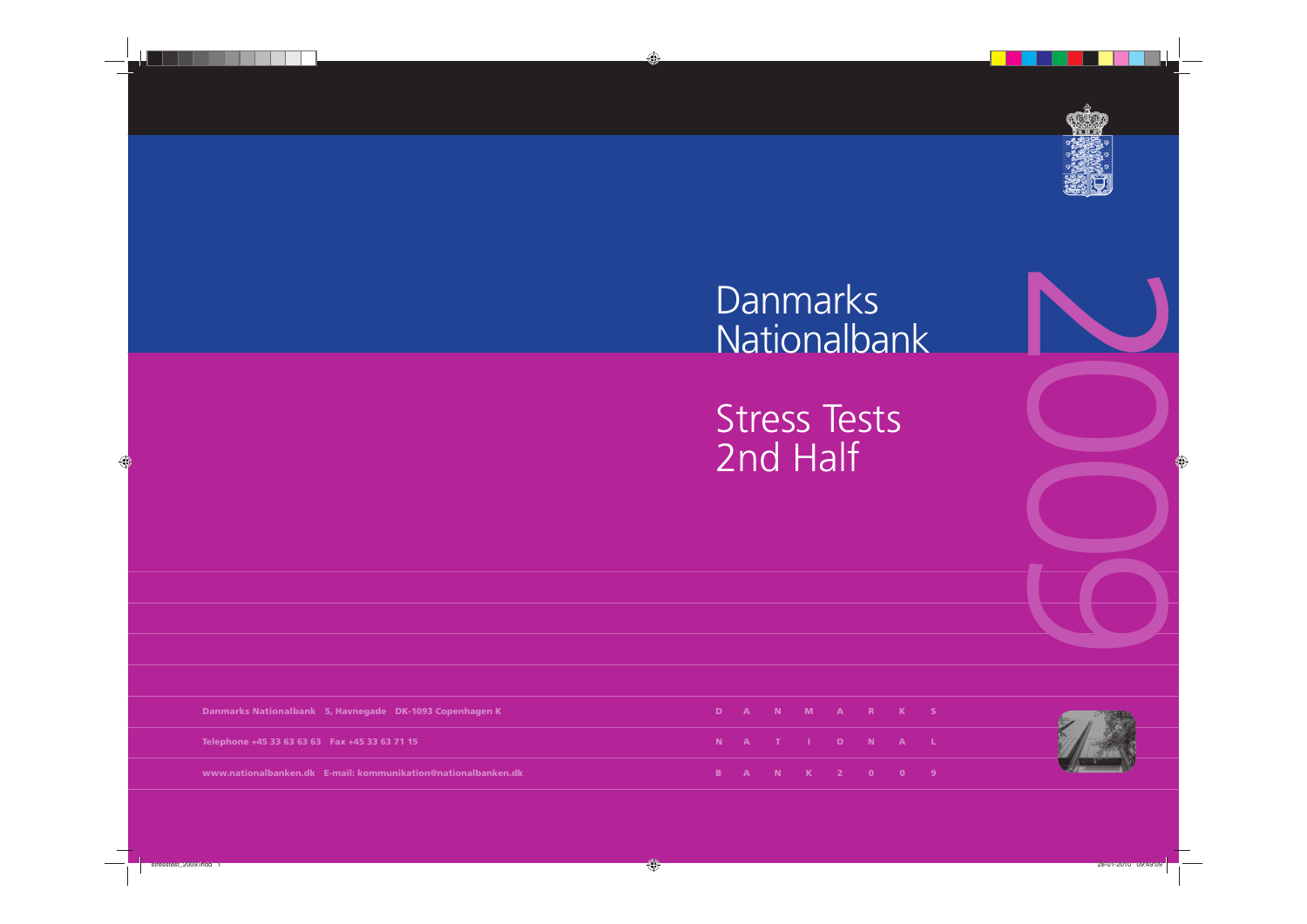

2009

# Danmarks Nationalbank

Stress Tests 2nd Half

|  | D A N M A R K S      |  |   |  |
|--|----------------------|--|---|--|
|  | N A T I O N A L      |  |   |  |
|  | <b>B</b> A N K 2 0 0 |  | 9 |  |

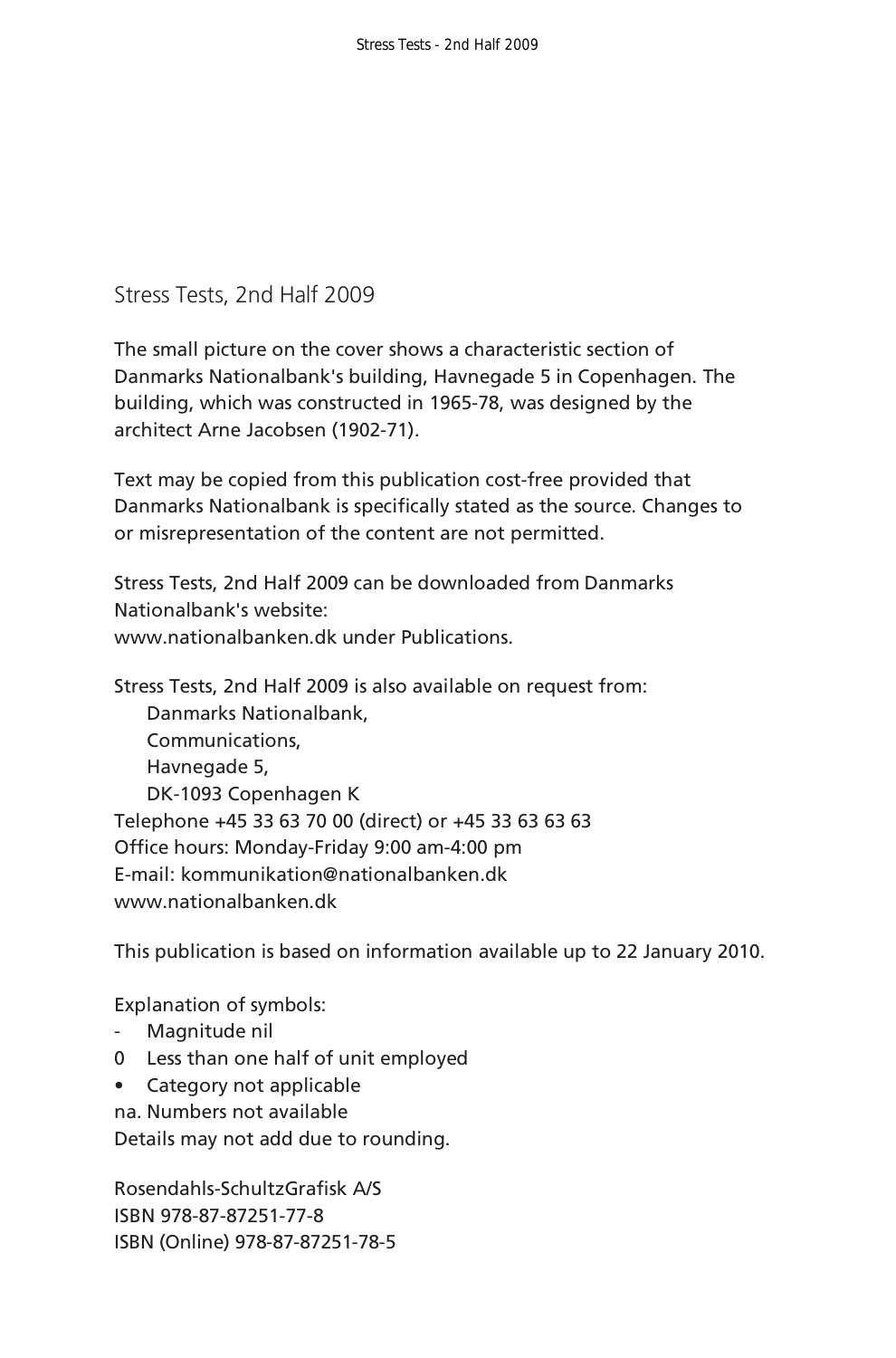### Stress Tests, 2nd Half 2009

The small picture on the cover shows a characteristic section of Danmarks Nationalbank's building, Havnegade 5 in Copenhagen. The building, which was constructed in 1965-78, was designed by the architect Arne Jacobsen (1902-71).

Text may be copied from this publication cost-free provided that Danmarks Nationalbank is specifically stated as the source. Changes to or misrepresentation of the content are not permitted.

Stress Tests, 2nd Half 2009 can be downloaded from Danmarks Nationalbank's website: www.nationalbanken.dk under Publications.

Stress Tests, 2nd Half 2009 is also available on request from: Danmarks Nationalbank, Communications, Havnegade 5, DK-1093 Copenhagen K Telephone +45 33 63 70 00 (direct) or +45 33 63 63 63 Office hours: Monday-Friday 9:00 am-4:00 pm E-mail: kommunikation@nationalbanken.dk www.nationalbanken.dk

This publication is based on information available up to 22 January 2010.

Explanation of symbols:

- Magnitude nil
- 0 Less than one half of unit employed
- Category not applicable
- na. Numbers not available

Details may not add due to rounding.

Rosendahls-SchultzGrafisk A/S ISBN 978-87-87251-77-8 ISBN (Online) 978-87-87251-78-5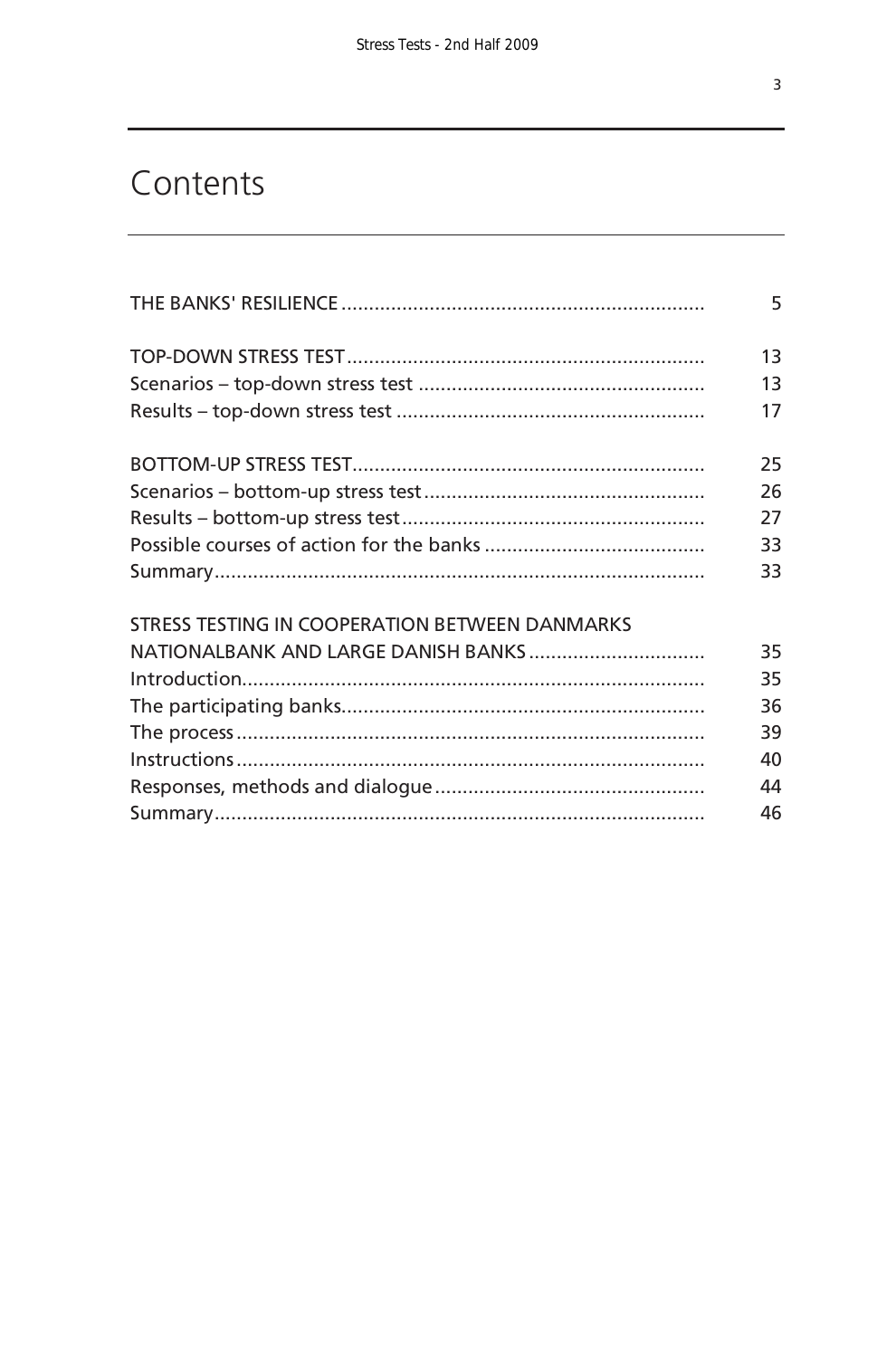## Contents

|                                                | 5  |
|------------------------------------------------|----|
|                                                | 13 |
|                                                | 13 |
|                                                | 17 |
|                                                | 25 |
|                                                | 26 |
|                                                | 27 |
|                                                | 33 |
|                                                | 33 |
| STRESS TESTING IN COOPERATION BETWEEN DANMARKS |    |
| NATIONALBANK AND LARGE DANISH BANKS            | 35 |
|                                                | 35 |
|                                                | 36 |
|                                                | 39 |
|                                                | 40 |
|                                                | 44 |
|                                                | 46 |
|                                                |    |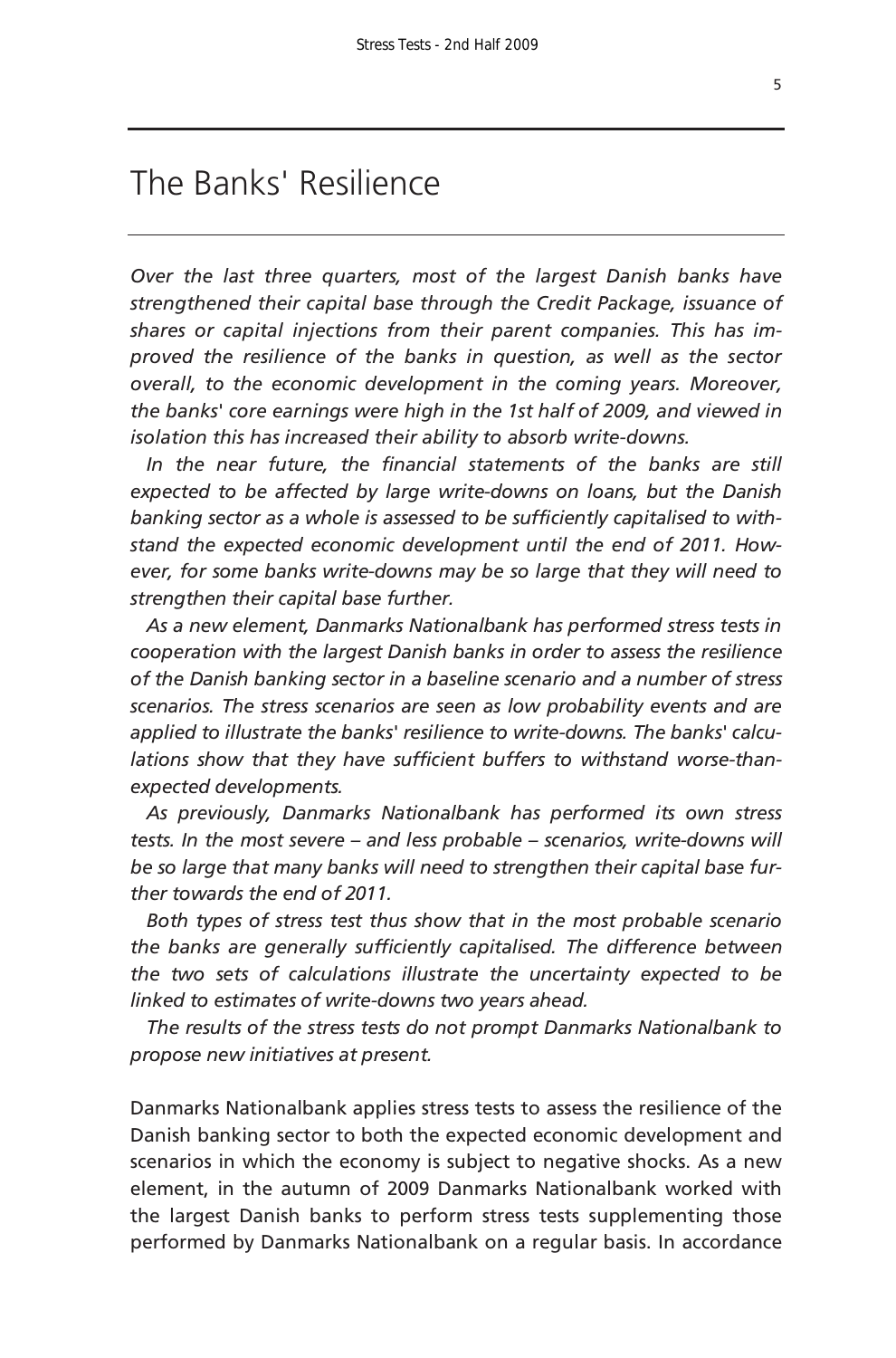### The Banks' Resilience

*Over the last three quarters, most of the largest Danish banks have strengthened their capital base through the Credit Package, issuance of shares or capital injections from their parent companies. This has improved the resilience of the banks in question, as well as the sector overall, to the economic development in the coming years. Moreover, the banks' core earnings were high in the 1st half of 2009, and viewed in isolation this has increased their ability to absorb write-downs.* 

In the near future, the financial statements of the banks are still *expected to be affected by large write-downs on loans, but the Danish banking sector as a whole is assessed to be sufficiently capitalised to withstand the expected economic development until the end of 2011. However, for some banks write-downs may be so large that they will need to strengthen their capital base further.* 

*As a new element, Danmarks Nationalbank has performed stress tests in cooperation with the largest Danish banks in order to assess the resilience of the Danish banking sector in a baseline scenario and a number of stress scenarios. The stress scenarios are seen as low probability events and are applied to illustrate the banks' resilience to write-downs. The banks' calculations show that they have sufficient buffers to withstand worse-thanexpected developments.* 

*As previously, Danmarks Nationalbank has performed its own stress tests. In the most severe – and less probable – scenarios, write-downs will be so large that many banks will need to strengthen their capital base further towards the end of 2011.* 

*Both types of stress test thus show that in the most probable scenario the banks are generally sufficiently capitalised. The difference between the two sets of calculations illustrate the uncertainty expected to be linked to estimates of write-downs two years ahead.* 

*The results of the stress tests do not prompt Danmarks Nationalbank to propose new initiatives at present.* 

Danmarks Nationalbank applies stress tests to assess the resilience of the Danish banking sector to both the expected economic development and scenarios in which the economy is subject to negative shocks. As a new element, in the autumn of 2009 Danmarks Nationalbank worked with the largest Danish banks to perform stress tests supplementing those performed by Danmarks Nationalbank on a regular basis. In accordance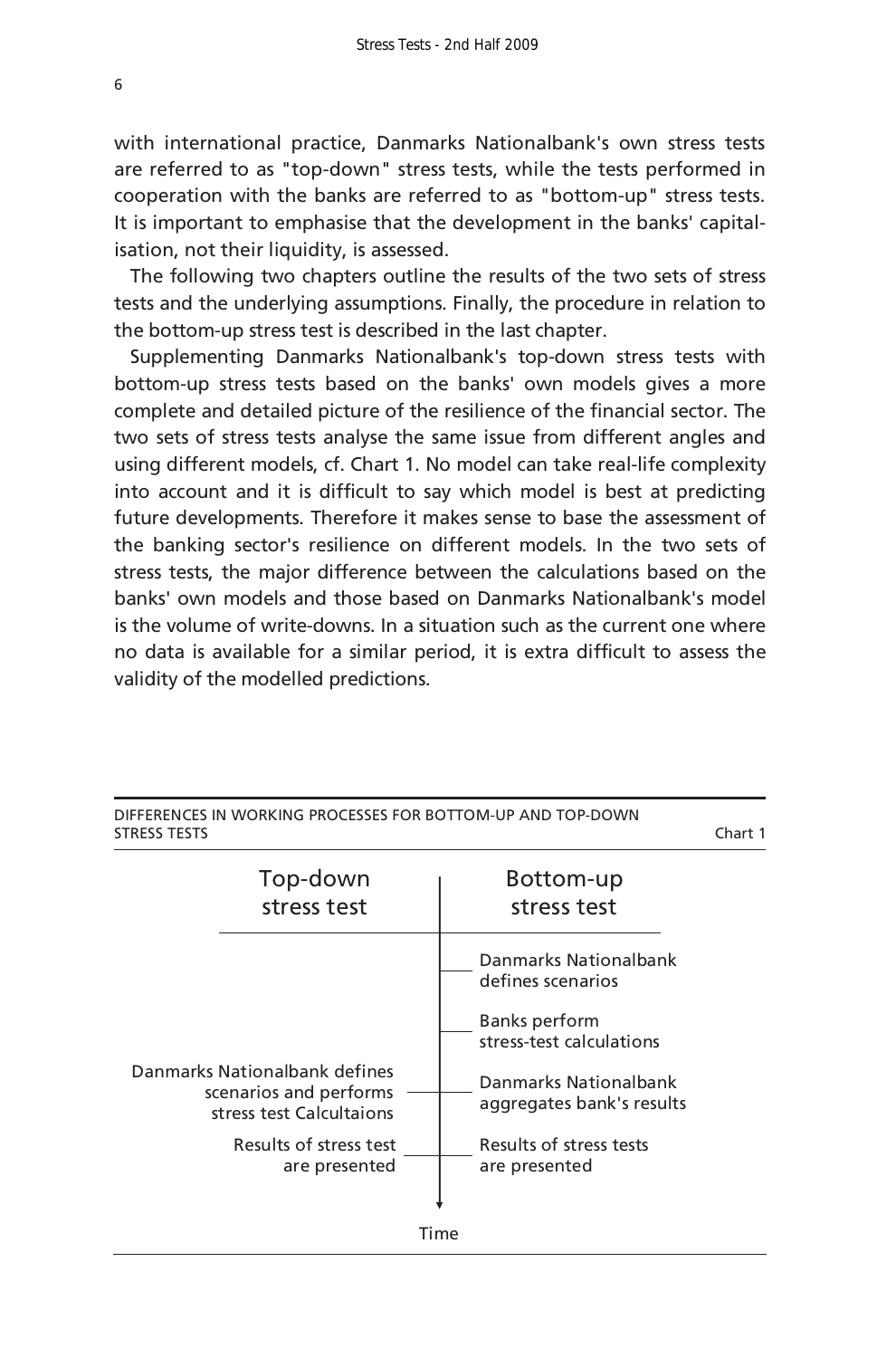with international practice, Danmarks Nationalbank's own stress tests are referred to as "top-down" stress tests, while the tests performed in cooperation with the banks are referred to as "bottom-up" stress tests. It is important to emphasise that the development in the banks' capitalisation, not their liquidity, is assessed.

The following two chapters outline the results of the two sets of stress tests and the underlying assumptions. Finally, the procedure in relation to the bottom-up stress test is described in the last chapter.

Supplementing Danmarks Nationalbank's top-down stress tests with bottom-up stress tests based on the banks' own models gives a more complete and detailed picture of the resilience of the financial sector. The two sets of stress tests analyse the same issue from different angles and using different models, cf. Chart 1. No model can take real-life complexity into account and it is difficult to say which model is best at predicting future developments. Therefore it makes sense to base the assessment of the banking sector's resilience on different models. In the two sets of stress tests, the major difference between the calculations based on the banks' own models and those based on Danmarks Nationalbank's model is the volume of write-downs. In a situation such as the current one where no data is available for a similar period, it is extra difficult to assess the validity of the modelled predictions.

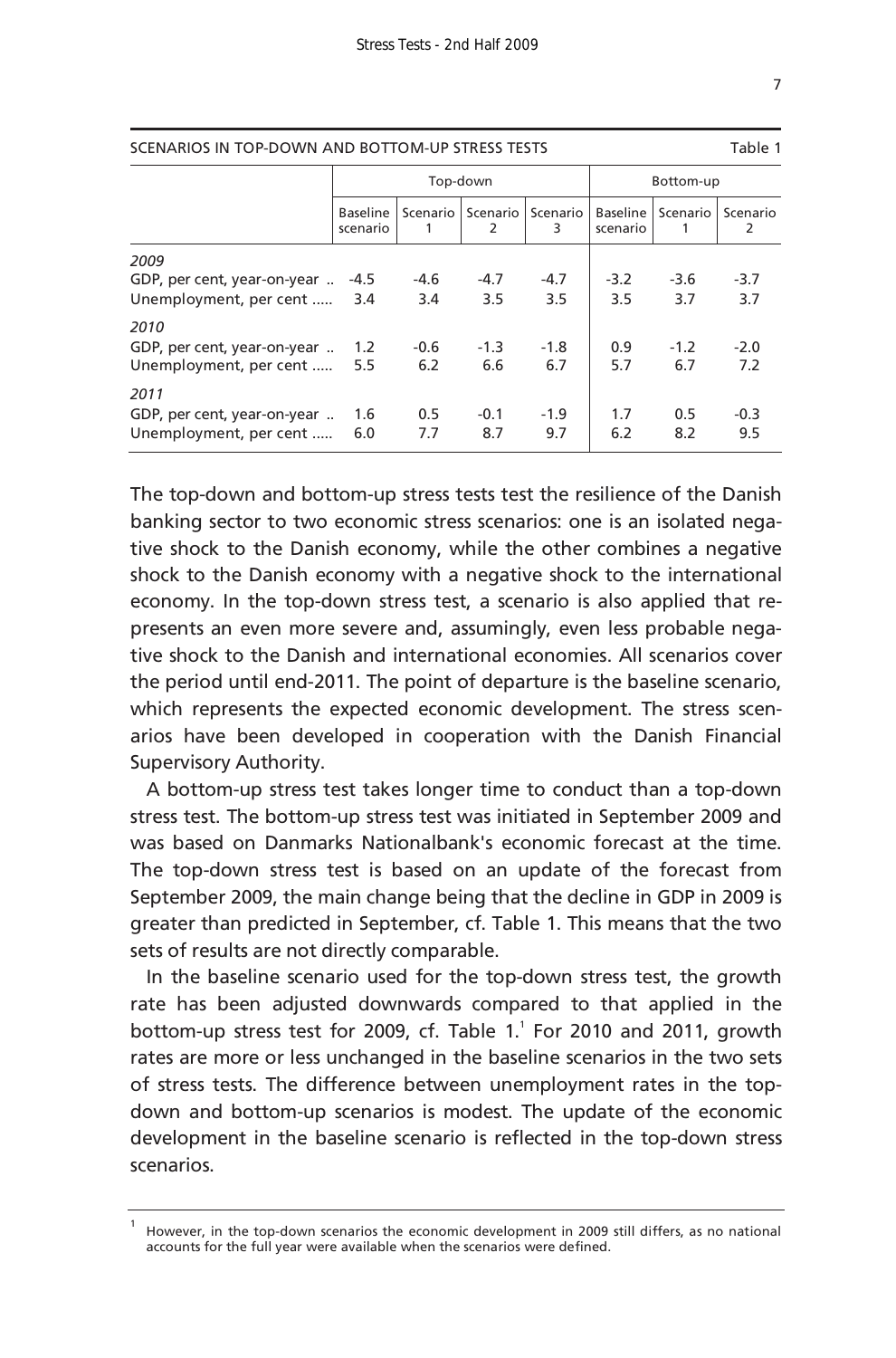| Table 1<br>SCENARIOS IN TOP-DOWN AND BOTTOM-UP STRESS TESTS   |                             |               |               |               |                             |               |               |
|---------------------------------------------------------------|-----------------------------|---------------|---------------|---------------|-----------------------------|---------------|---------------|
|                                                               | Top-down                    |               |               |               | Bottom-up                   |               |               |
|                                                               | <b>Baseline</b><br>scenario | Scenario<br>1 | Scenario<br>2 | Scenario<br>3 | <b>Baseline</b><br>scenario | Scenario      | Scenario<br>2 |
| 2009<br>GDP, per cent, year-on-year<br>Unemployment, per cent | $-4.5$<br>3.4               | $-4.6$<br>3.4 | $-4.7$<br>3.5 | $-4.7$<br>3.5 | $-3.2$<br>3.5               | $-3.6$<br>3.7 | $-3.7$<br>3.7 |
| 2010<br>GDP, per cent, year-on-year<br>Unemployment, per cent | 1.2<br>5.5                  | $-0.6$<br>6.2 | $-1.3$<br>6.6 | $-1.8$<br>6.7 | 0.9<br>5.7                  | $-1.2$<br>6.7 | $-2.0$<br>7.2 |
| 2011<br>GDP, per cent, year-on-year<br>Unemployment, per cent | 1.6<br>6.0                  | 0.5<br>7.7    | $-0.1$<br>8.7 | $-1.9$<br>9.7 | 1.7<br>6.2                  | 0.5<br>8.2    | $-0.3$<br>9.5 |

The top-down and bottom-up stress tests test the resilience of the Danish banking sector to two economic stress scenarios: one is an isolated negative shock to the Danish economy, while the other combines a negative shock to the Danish economy with a negative shock to the international economy. In the top-down stress test, a scenario is also applied that represents an even more severe and, assumingly, even less probable negative shock to the Danish and international economies. All scenarios cover the period until end-2011. The point of departure is the baseline scenario, which represents the expected economic development. The stress scenarios have been developed in cooperation with the Danish Financial Supervisory Authority.

A bottom-up stress test takes longer time to conduct than a top-down stress test. The bottom-up stress test was initiated in September 2009 and was based on Danmarks Nationalbank's economic forecast at the time. The top-down stress test is based on an update of the forecast from September 2009, the main change being that the decline in GDP in 2009 is greater than predicted in September, cf. Table 1. This means that the two sets of results are not directly comparable.

In the baseline scenario used for the top-down stress test, the growth rate has been adjusted downwards compared to that applied in the bottom-up stress test for 2009, cf. Table  $1<sup>1</sup>$  For 2010 and 2011, growth rates are more or less unchanged in the baseline scenarios in the two sets of stress tests. The difference between unemployment rates in the topdown and bottom-up scenarios is modest. The update of the economic development in the baseline scenario is reflected in the top-down stress scenarios.

<sup>1</sup> However, in the top-down scenarios the economic development in 2009 still differs, as no national accounts for the full year were available when the scenarios were defined.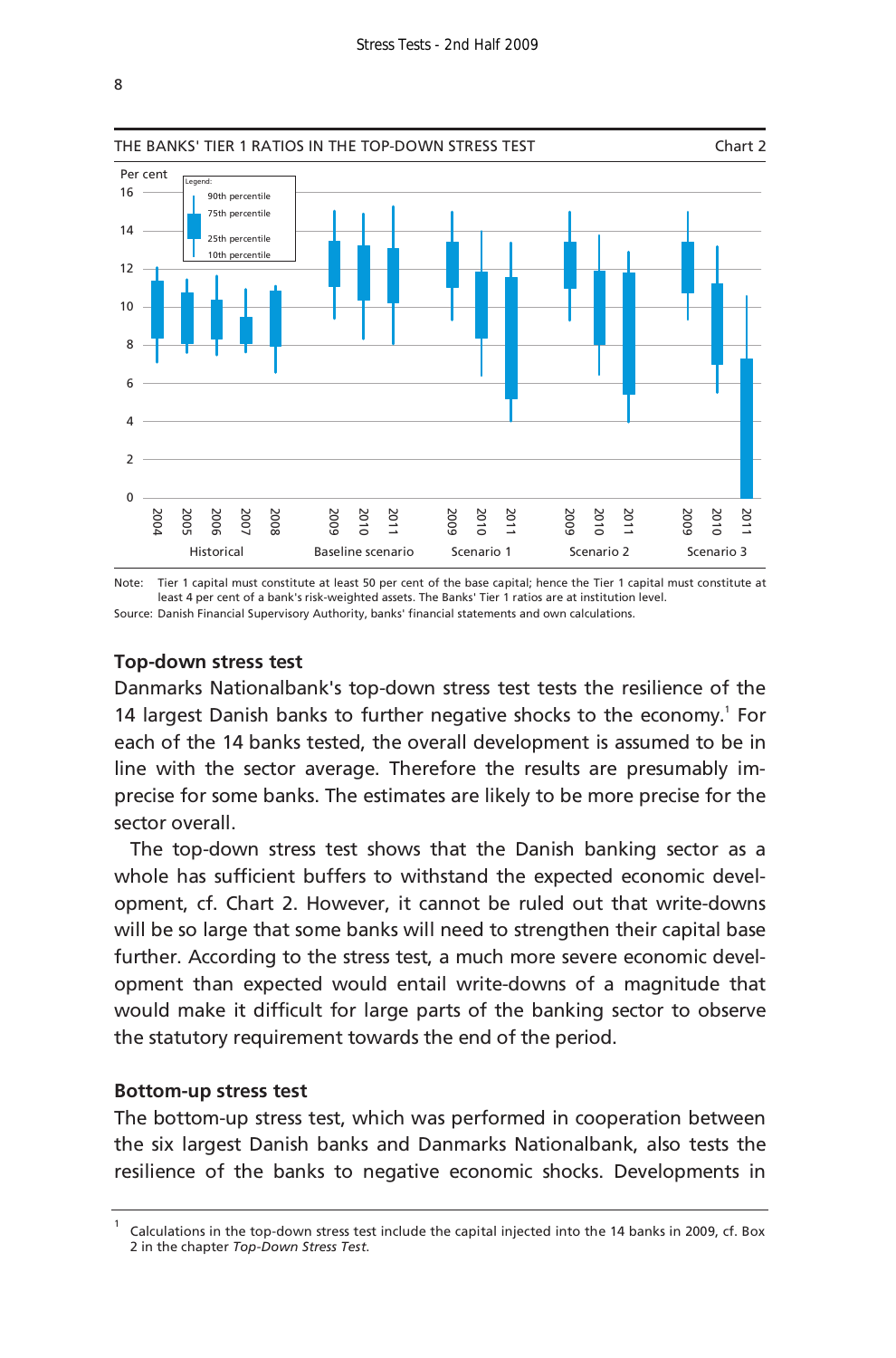

Note: Tier 1 capital must constitute at least 50 per cent of the base capital; hence the Tier 1 capital must constitute at Source: Danish Financial Supervisory Authority, banks' financial statements and own calculations. least 4 per cent of a bank's risk-weighted assets. The Banks' Tier 1 ratios are at institution level.

### **Top-down stress test**

Danmarks Nationalbank's top-down stress test tests the resilience of the 14 largest Danish banks to further negative shocks to the economy.<sup>1</sup> For each of the 14 banks tested, the overall development is assumed to be in line with the sector average. Therefore the results are presumably imprecise for some banks. The estimates are likely to be more precise for the sector overall.

The top-down stress test shows that the Danish banking sector as a whole has sufficient buffers to withstand the expected economic development, cf. Chart 2. However, it cannot be ruled out that write-downs will be so large that some banks will need to strengthen their capital base further. According to the stress test, a much more severe economic development than expected would entail write-downs of a magnitude that would make it difficult for large parts of the banking sector to observe the statutory requirement towards the end of the period.

### **Bottom-up stress test**

The bottom-up stress test, which was performed in cooperation between the six largest Danish banks and Danmarks Nationalbank, also tests the resilience of the banks to negative economic shocks. Developments in

<sup>1</sup> Calculations in the top-down stress test include the capital injected into the 14 banks in 2009, cf. Box 2 in the chapter *Top-Down Stress Test*.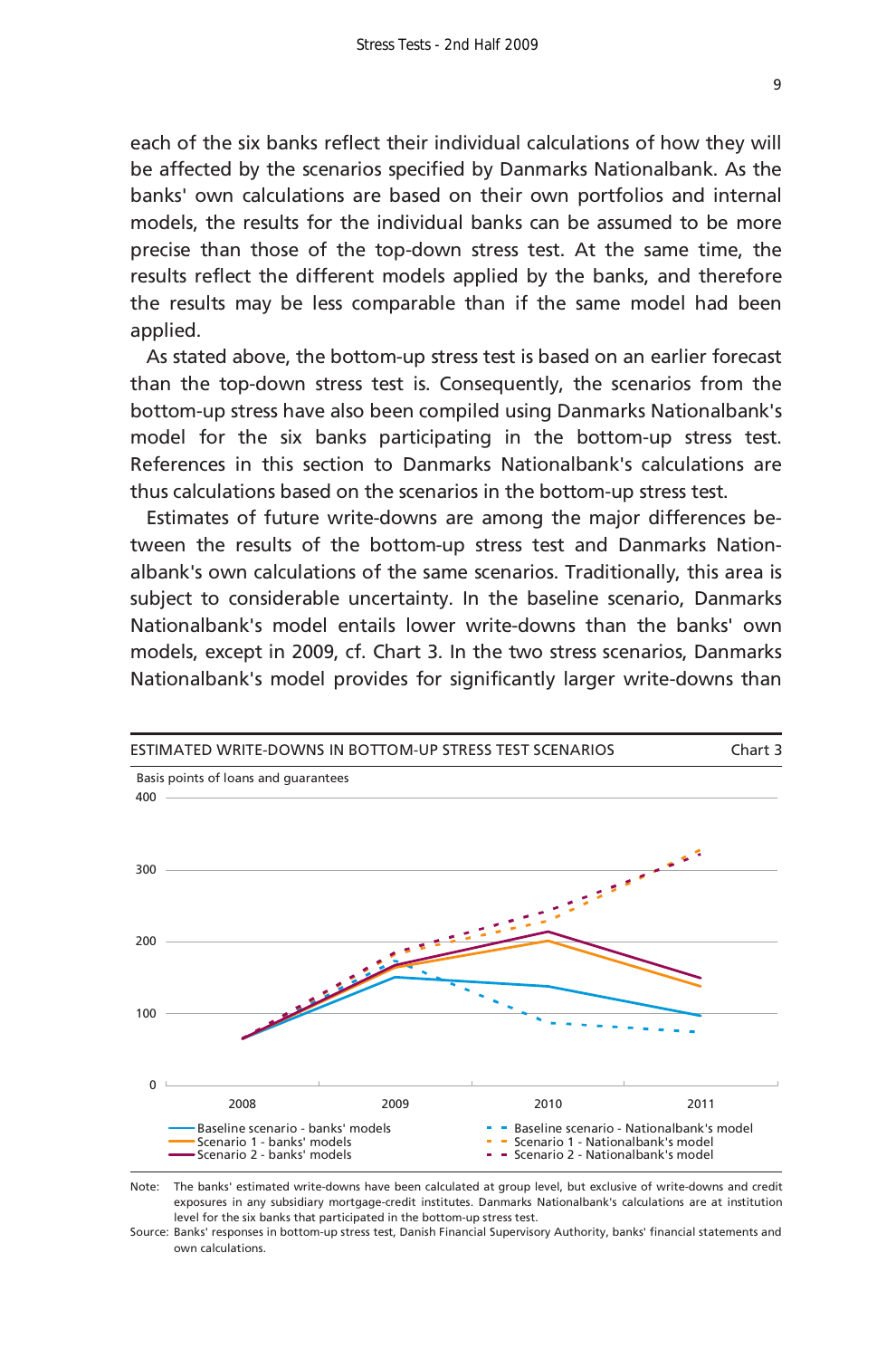each of the six banks reflect their individual calculations of how they will be affected by the scenarios specified by Danmarks Nationalbank. As the banks' own calculations are based on their own portfolios and internal models, the results for the individual banks can be assumed to be more precise than those of the top-down stress test. At the same time, the results reflect the different models applied by the banks, and therefore the results may be less comparable than if the same model had been applied.

As stated above, the bottom-up stress test is based on an earlier forecast than the top-down stress test is. Consequently, the scenarios from the bottom-up stress have also been compiled using Danmarks Nationalbank's model for the six banks participating in the bottom-up stress test. References in this section to Danmarks Nationalbank's calculations are thus calculations based on the scenarios in the bottom-up stress test.

Estimates of future write-downs are among the major differences between the results of the bottom-up stress test and Danmarks Nationalbank's own calculations of the same scenarios. Traditionally, this area is subject to considerable uncertainty. In the baseline scenario, Danmarks Nationalbank's model entails lower write-downs than the banks' own models, except in 2009, cf. Chart 3. In the two stress scenarios, Danmarks Nationalbank's model provides for significantly larger write-downs than



Note: The banks' estimated write-downs have been calculated at group level, but exclusive of write-downs and credit exposures in any subsidiary mortgage-credit institutes. Danmarks Nationalbank's calculations are at institution level for the six banks that participated in the bottom-up stress test.

Source: Banks' responses in bottom-up stress test, Danish Financial Supervisory Authority, banks' financial statements and own calculations.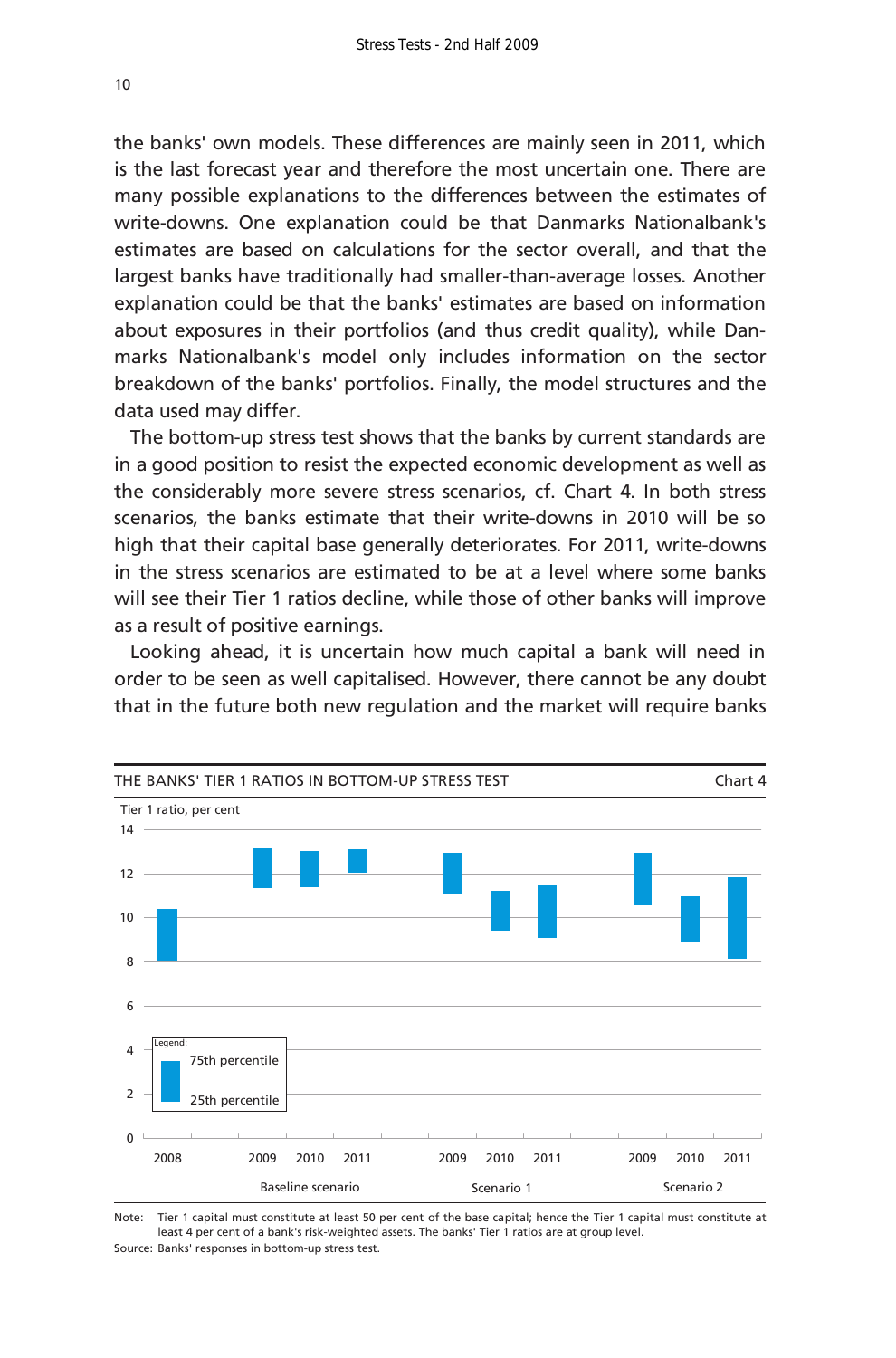the banks' own models. These differences are mainly seen in 2011, which is the last forecast year and therefore the most uncertain one. There are many possible explanations to the differences between the estimates of write-downs. One explanation could be that Danmarks Nationalbank's estimates are based on calculations for the sector overall, and that the largest banks have traditionally had smaller-than-average losses. Another explanation could be that the banks' estimates are based on information about exposures in their portfolios (and thus credit quality), while Danmarks Nationalbank's model only includes information on the sector breakdown of the banks' portfolios. Finally, the model structures and the data used may differ.

The bottom-up stress test shows that the banks by current standards are in a good position to resist the expected economic development as well as the considerably more severe stress scenarios, cf. Chart 4. In both stress scenarios, the banks estimate that their write-downs in 2010 will be so high that their capital base generally deteriorates. For 2011, write-downs in the stress scenarios are estimated to be at a level where some banks will see their Tier 1 ratios decline, while those of other banks will improve as a result of positive earnings.

Looking ahead, it is uncertain how much capital a bank will need in order to be seen as well capitalised. However, there cannot be any doubt that in the future both new regulation and the market will require banks



Note: Tier 1 capital must constitute at least 50 per cent of the base capital; hence the Tier 1 capital must constitute at Source: Banks' responses in bottom-up stress test. least 4 per cent of a bank's risk-weighted assets. The banks' Tier 1 ratios are at group level.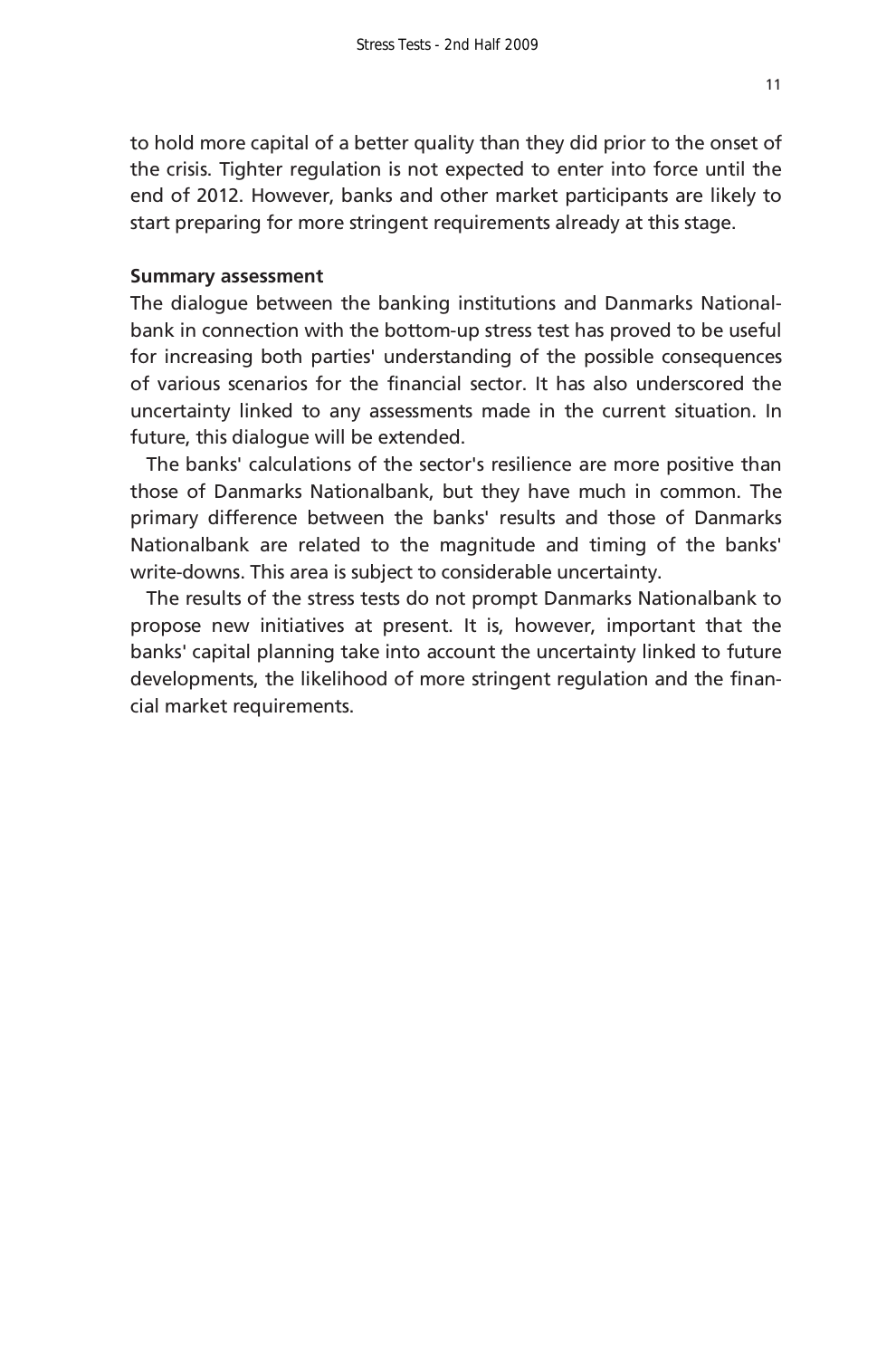to hold more capital of a better quality than they did prior to the onset of the crisis. Tighter regulation is not expected to enter into force until the end of 2012. However, banks and other market participants are likely to start preparing for more stringent requirements already at this stage.

### **Summary assessment**

The dialogue between the banking institutions and Danmarks Nationalbank in connection with the bottom-up stress test has proved to be useful for increasing both parties' understanding of the possible consequences of various scenarios for the financial sector. It has also underscored the uncertainty linked to any assessments made in the current situation. In future, this dialogue will be extended.

The banks' calculations of the sector's resilience are more positive than those of Danmarks Nationalbank, but they have much in common. The primary difference between the banks' results and those of Danmarks Nationalbank are related to the magnitude and timing of the banks' write-downs. This area is subject to considerable uncertainty.

The results of the stress tests do not prompt Danmarks Nationalbank to propose new initiatives at present. It is, however, important that the banks' capital planning take into account the uncertainty linked to future developments, the likelihood of more stringent regulation and the financial market requirements.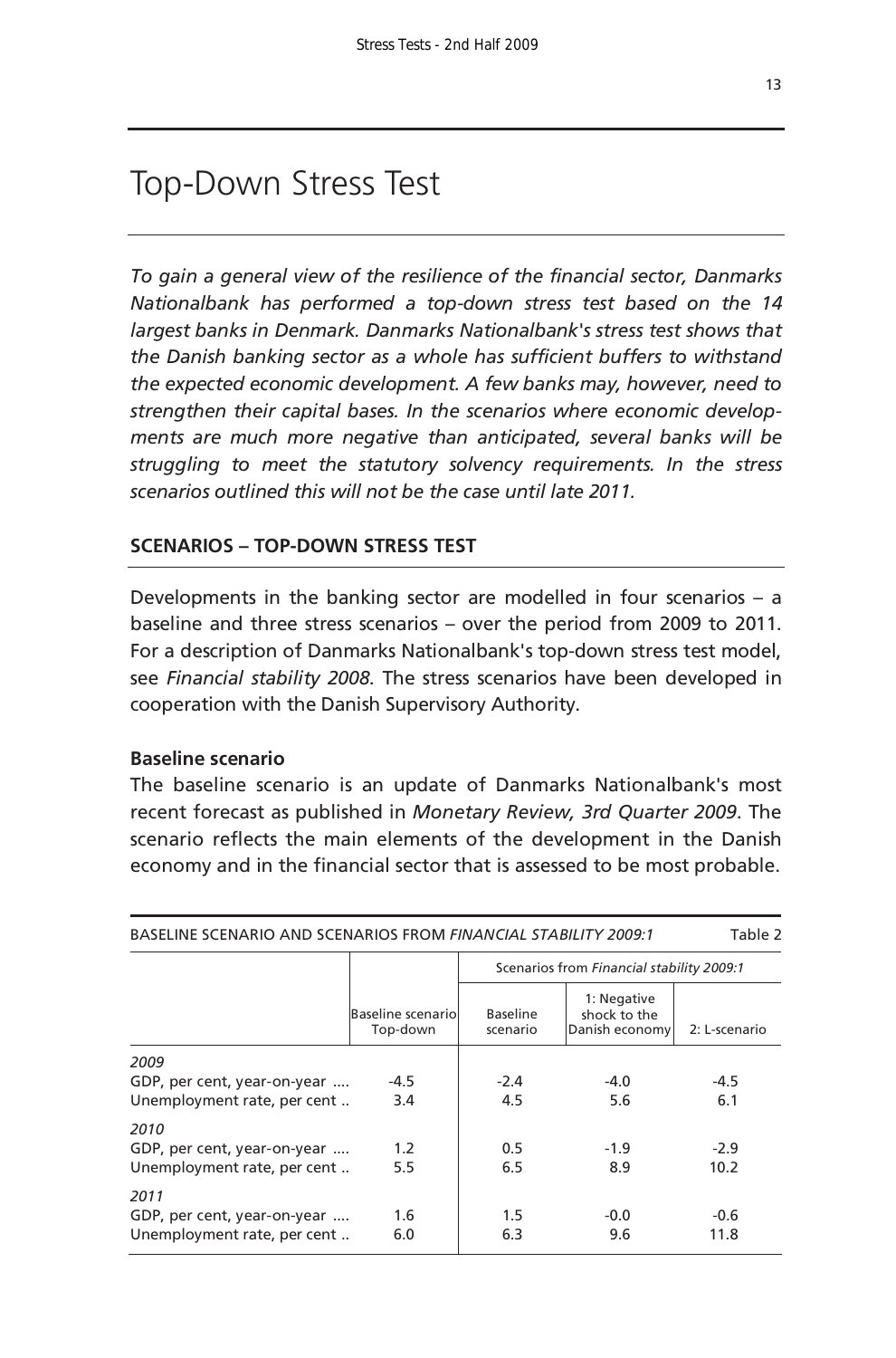### Top-Down Stress Test

*To gain a general view of the resilience of the financial sector, Danmarks Nationalbank has performed a top-down stress test based on the 14 largest banks in Denmark. Danmarks Nationalbank's stress test shows that the Danish banking sector as a whole has sufficient buffers to withstand the expected economic development. A few banks may, however, need to strengthen their capital bases. In the scenarios where economic developments are much more negative than anticipated, several banks will be struggling to meet the statutory solvency requirements. In the stress scenarios outlined this will not be the case until late 2011.* 

### **SCENARIOS – TOP-DOWN STRESS TEST**

Developments in the banking sector are modelled in four scenarios – a baseline and three stress scenarios – over the period from 2009 to 2011. For a description of Danmarks Nationalbank's top-down stress test model, see *Financial stability 2008*. The stress scenarios have been developed in cooperation with the Danish Supervisory Authority.

### **Baseline scenario**

The baseline scenario is an update of Danmarks Nationalbank's most recent forecast as published in *Monetary Review, 3rd Quarter 2009*. The scenario reflects the main elements of the development in the Danish economy and in the financial sector that is assessed to be most probable.

| Table 2<br>BASELINE SCENARIO AND SCENARIOS FROM FINANCIAL STABILITY 2009:1 |                                |                                           |                                               |                |  |  |
|----------------------------------------------------------------------------|--------------------------------|-------------------------------------------|-----------------------------------------------|----------------|--|--|
|                                                                            |                                | Scenarios from Financial stability 2009:1 |                                               |                |  |  |
|                                                                            | Baseline scenariol<br>Top-down | <b>Baseline</b><br>scenario               | 1: Negative<br>shock to the<br>Danish economy | 2: L-scenario  |  |  |
| 2009<br>GDP, per cent, year-on-year<br>Unemployment rate, per cent         | $-4.5$<br>3.4                  | $-2.4$<br>4.5                             | $-4.0$<br>5.6                                 | -4.5<br>6.1    |  |  |
| 2010<br>GDP, per cent, year-on-year<br>Unemployment rate, per cent         | 1.2<br>5.5                     | $0.5^{\circ}$<br>6.5                      | $-1.9$<br>8.9                                 | $-2.9$<br>10.2 |  |  |
| 2011<br>GDP, per cent, year-on-year<br>Unemployment rate, per cent         | 1.6<br>6.0                     | 1.5<br>6.3                                | $-0.0$<br>9.6                                 | $-0.6$<br>11.8 |  |  |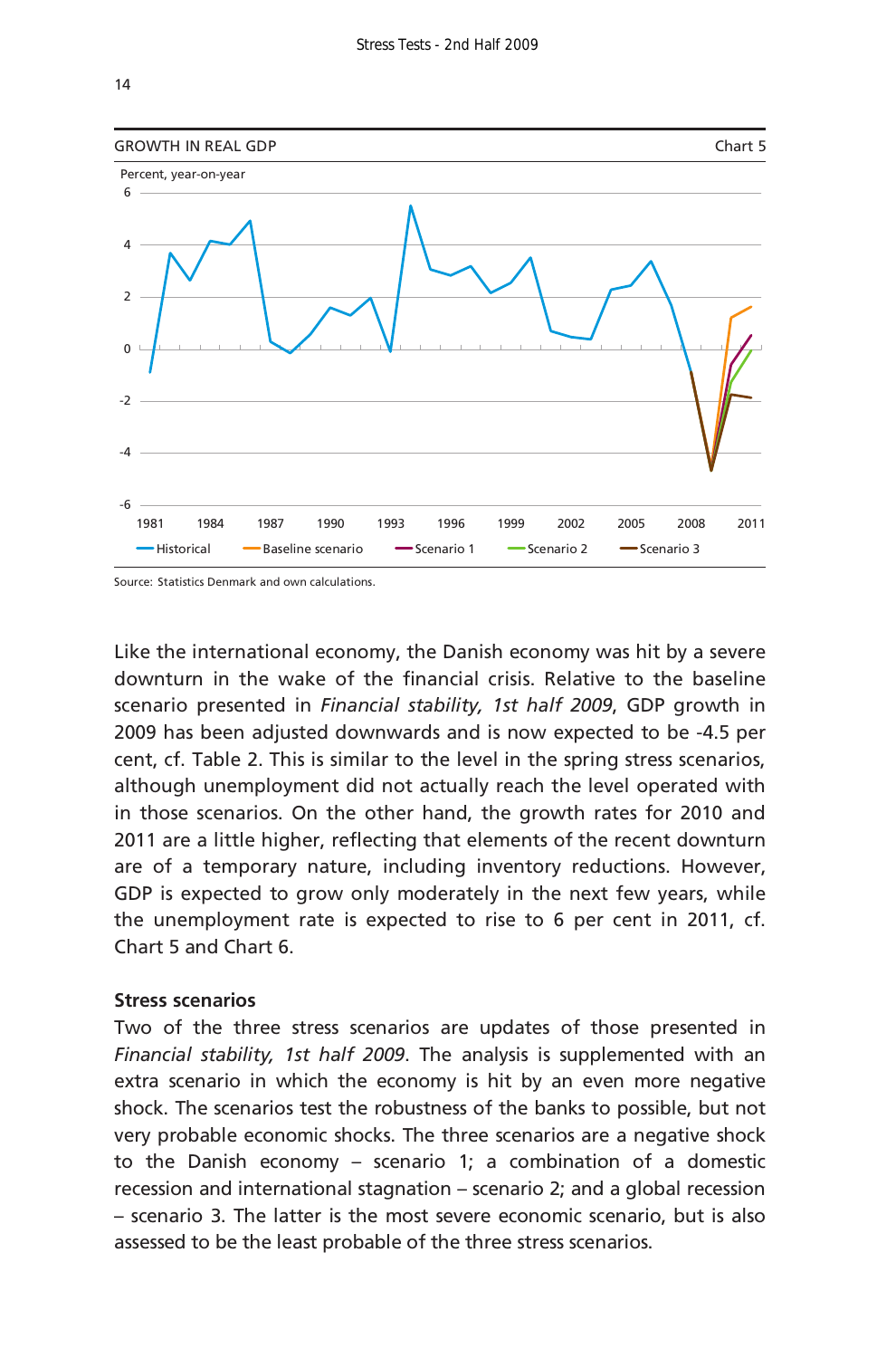

Source: Statistics Denmark and own calculations.

Like the international economy, the Danish economy was hit by a severe downturn in the wake of the financial crisis. Relative to the baseline scenario presented in *Financial stability, 1st half 2009*, GDP growth in 2009 has been adjusted downwards and is now expected to be -4.5 per cent, cf. Table 2. This is similar to the level in the spring stress scenarios, although unemployment did not actually reach the level operated with in those scenarios. On the other hand, the growth rates for 2010 and 2011 are a little higher, reflecting that elements of the recent downturn are of a temporary nature, including inventory reductions. However, GDP is expected to grow only moderately in the next few years, while the unemployment rate is expected to rise to 6 per cent in 2011, cf. Chart 5 and Chart 6.

### **Stress scenarios**

Two of the three stress scenarios are updates of those presented in *Financial stability, 1st half 2009*. The analysis is supplemented with an extra scenario in which the economy is hit by an even more negative shock. The scenarios test the robustness of the banks to possible, but not very probable economic shocks. The three scenarios are a negative shock to the Danish economy – scenario 1; a combination of a domestic recession and international stagnation – scenario 2; and a global recession – scenario 3. The latter is the most severe economic scenario, but is also assessed to be the least probable of the three stress scenarios.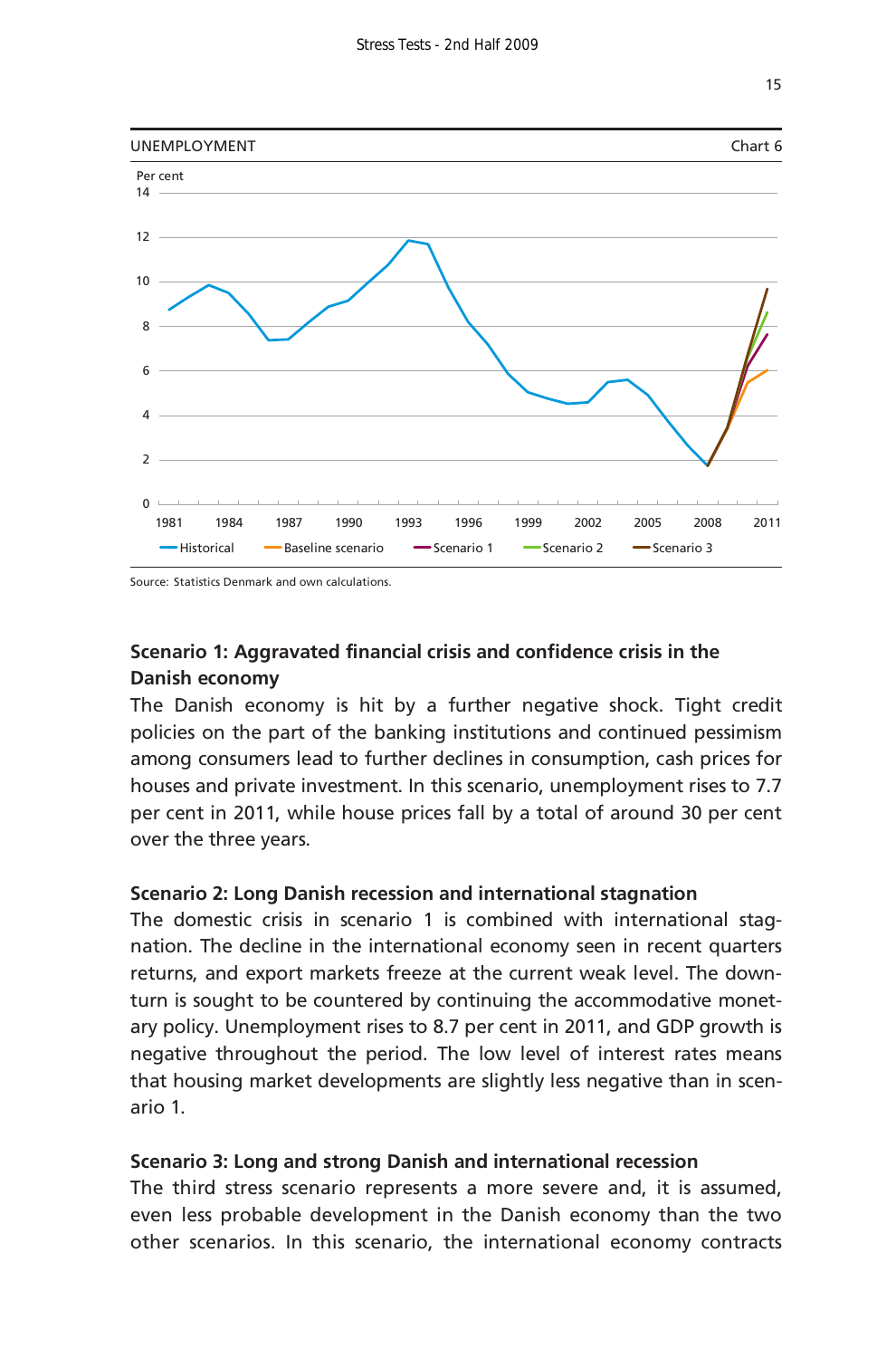

Source: Statistics Denmark and own calculations.

### **Scenario 1: Aggravated financial crisis and confidence crisis in the Danish economy**

The Danish economy is hit by a further negative shock. Tight credit policies on the part of the banking institutions and continued pessimism among consumers lead to further declines in consumption, cash prices for houses and private investment. In this scenario, unemployment rises to 7.7 per cent in 2011, while house prices fall by a total of around 30 per cent over the three years.

### **Scenario 2: Long Danish recession and international stagnation**

The domestic crisis in scenario 1 is combined with international stagnation. The decline in the international economy seen in recent quarters returns, and export markets freeze at the current weak level. The downturn is sought to be countered by continuing the accommodative monetary policy. Unemployment rises to 8.7 per cent in 2011, and GDP growth is negative throughout the period. The low level of interest rates means that housing market developments are slightly less negative than in scenario 1.

### **Scenario 3: Long and strong Danish and international recession**

The third stress scenario represents a more severe and, it is assumed, even less probable development in the Danish economy than the two other scenarios. In this scenario, the international economy contracts

15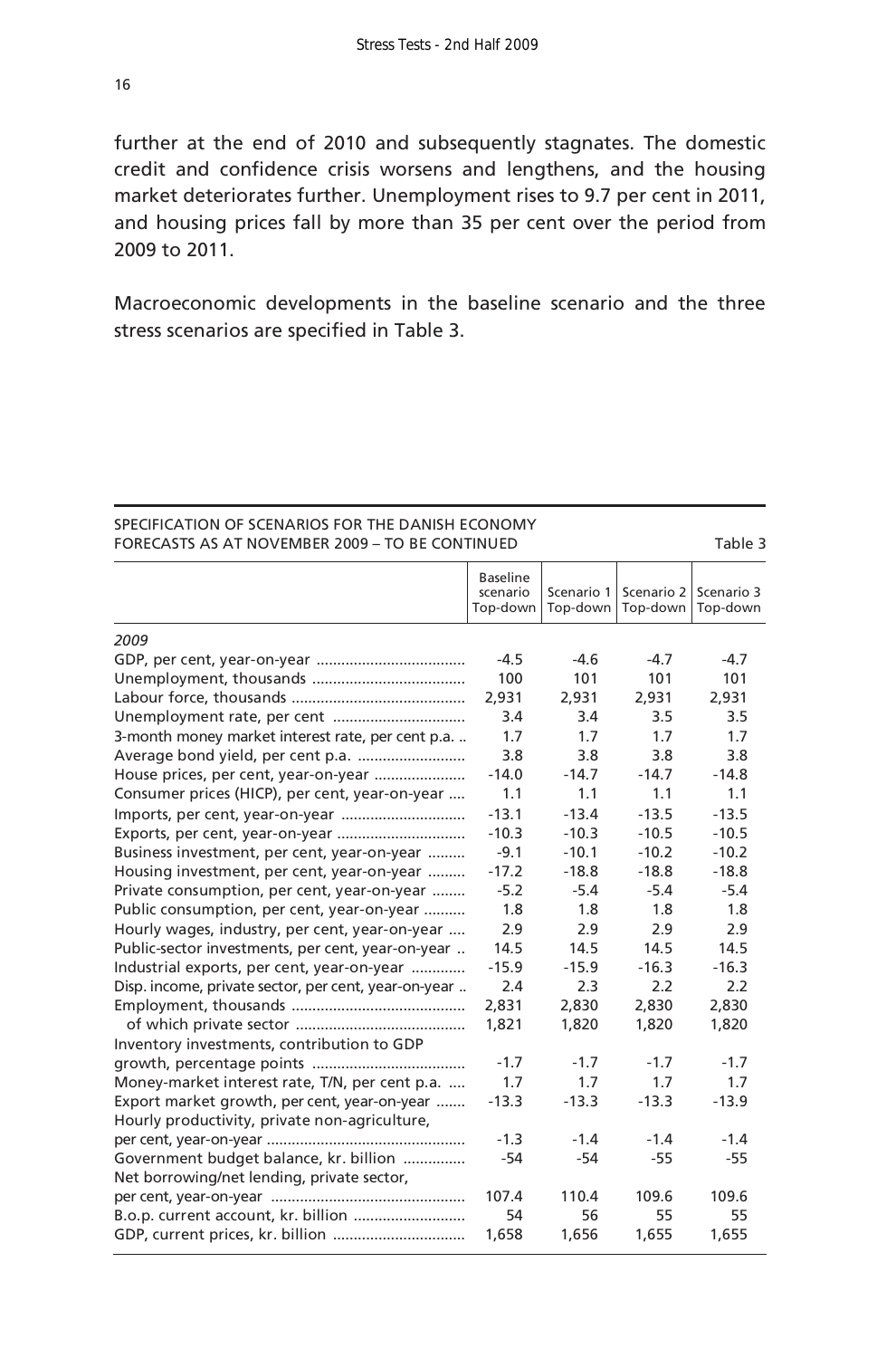further at the end of 2010 and subsequently stagnates. The domestic credit and confidence crisis worsens and lengthens, and the housing market deteriorates further. Unemployment rises to 9.7 per cent in 2011, and housing prices fall by more than 35 per cent over the period from 2009 to 2011.

Macroeconomic developments in the baseline scenario and the three stress scenarios are specified in Table 3.

#### SPECIFICATION OF SCENARIOS FOR THE DANISH ECONOMY FORECASTS AS AT NOVEMBER 2009 – TO BE CONTINUED TABLE 3

|                                                      | <b>Baseline</b><br>scenario<br>Top-down | Scenario 1<br>Top-down | Scenario 2<br>Top-down | Scenario 3<br>Top-down |
|------------------------------------------------------|-----------------------------------------|------------------------|------------------------|------------------------|
| 2009                                                 |                                         |                        |                        |                        |
|                                                      | $-4.5$                                  | $-4.6$                 | $-4.7$                 | $-4.7$                 |
|                                                      | 100                                     | 101                    | 101                    | 101                    |
|                                                      | 2,931                                   | 2.931                  | 2,931                  | 2,931                  |
|                                                      | 3.4                                     | 3.4                    | 3.5                    | 3.5                    |
| 3-month money market interest rate, per cent p.a.    | 1.7                                     | 1.7                    | 1.7                    | 1.7                    |
| Average bond yield, per cent p.a.                    | 3.8                                     | 3.8                    | 3.8                    | 3.8                    |
| House prices, per cent, year-on-year                 | $-14.0$                                 | $-14.7$                | $-14.7$                | $-14.8$                |
| Consumer prices (HICP), per cent, year-on-year       | 1.1                                     | 1.1                    | 1.1                    | 1.1                    |
|                                                      | $-13.1$                                 | $-13.4$                | $-13.5$                | $-13.5$                |
|                                                      | $-10.3$                                 | $-10.3$                | $-10.5$                | $-10.5$                |
| Business investment, per cent, year-on-year          | $-9.1$                                  | $-10.1$                | $-10.2$                | $-10.2$                |
| Housing investment, per cent, year-on-year           | $-17.2$                                 | $-18.8$                | $-18.8$                | $-18.8$                |
| Private consumption, per cent, year-on-year          | $-5.2$                                  | $-5.4$                 | $-5.4$                 | $-5.4$                 |
| Public consumption, per cent, year-on-year           | 1.8                                     | 1.8                    | 1.8                    | 1.8                    |
| Hourly wages, industry, per cent, year-on-year       | 2.9                                     | 2.9                    | 2.9                    | 2.9                    |
| Public-sector investments, per cent, year-on-year    | 14.5                                    | 14.5                   | 14.5                   | 14.5                   |
| Industrial exports, per cent, year-on-year           | $-15.9$                                 | $-15.9$                | $-16.3$                | $-16.3$                |
| Disp. income, private sector, per cent, year-on-year | 2.4                                     | 2.3                    | 2.2                    | 2.2                    |
|                                                      | 2,831                                   | 2,830                  | 2,830                  | 2,830                  |
|                                                      | 1,821                                   | 1,820                  | 1,820                  | 1,820                  |
| Inventory investments, contribution to GDP           |                                         |                        |                        |                        |
|                                                      | $-1.7$                                  | $-1.7$                 | $-1.7$                 | $-1.7$                 |
| Money-market interest rate, T/N, per cent p.a.       | 1.7                                     | 1.7                    | 1.7                    | 1.7                    |
| Export market growth, per cent, year-on-year         | $-13.3$                                 | $-13.3$                | $-13.3$                | $-13.9$                |
| Hourly productivity, private non-agriculture,        |                                         |                        |                        |                        |
|                                                      | $-1.3$                                  | $-1.4$                 | $-1.4$                 | $-1.4$                 |
| Government budget balance, kr. billion               | $-54$                                   | $-54$                  | $-55$                  | $-55$                  |
| Net borrowing/net lending, private sector,           |                                         |                        |                        |                        |
|                                                      | 107.4                                   | 110.4                  | 109.6                  | 109.6                  |
| B.o.p. current account, kr. billion                  | 54                                      | 56                     | 55                     | 55                     |
|                                                      | 1,658                                   | 1,656                  | 1,655                  | 1,655                  |
|                                                      |                                         |                        |                        |                        |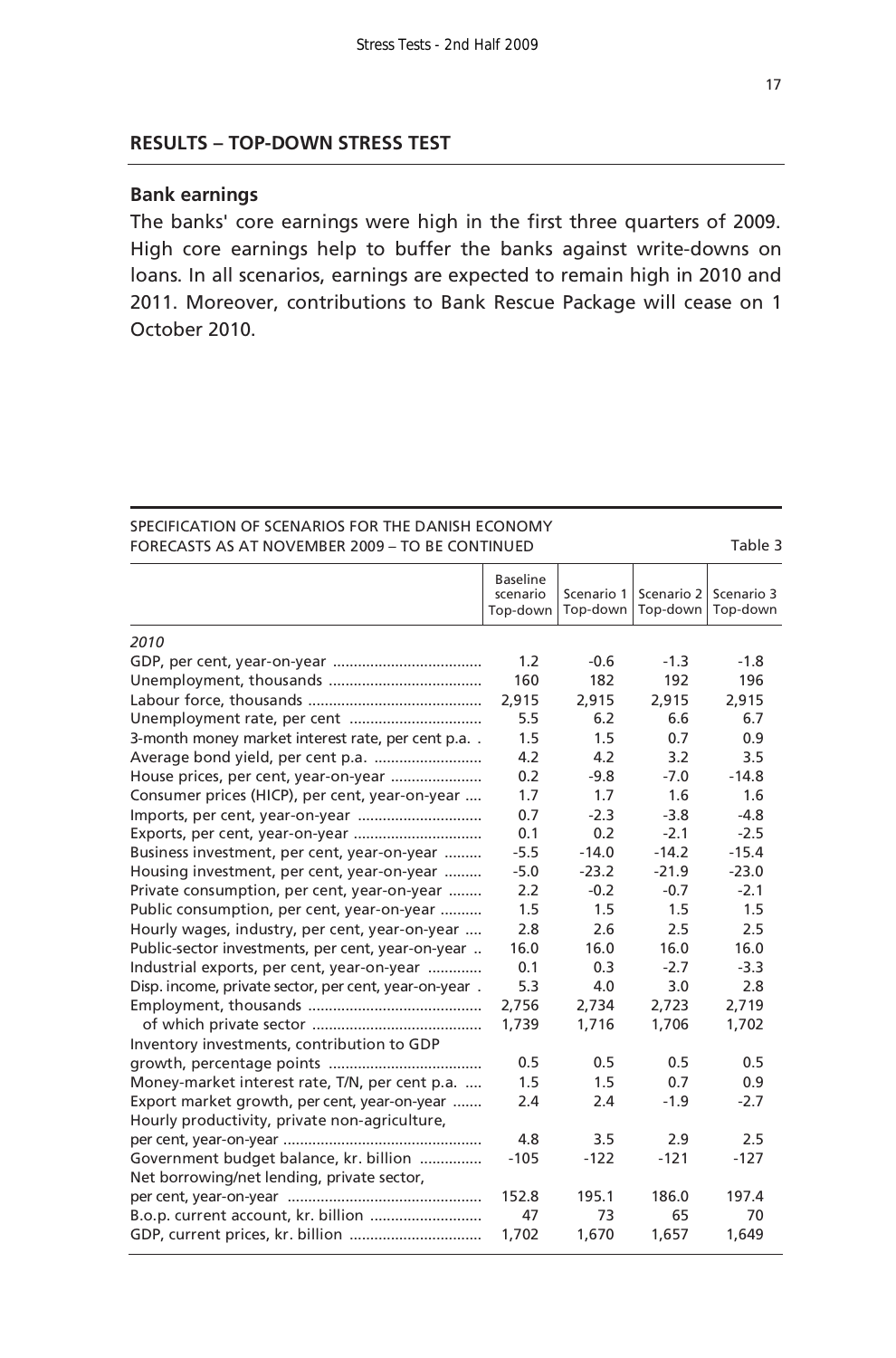### **RESULTS – TOP-DOWN STRESS TEST**

### **Bank earnings**

The banks' core earnings were high in the first three quarters of 2009. High core earnings help to buffer the banks against write-downs on loans. In all scenarios, earnings are expected to remain high in 2010 and 2011. Moreover, contributions to Bank Rescue Package will cease on 1 October 2010.

| SPECIFICATION OF SCENARIOS FOR THE DANISH ECONOMY<br>FORECASTS AS AT NOVEMBER 2009 - TO BE CONTINUED<br>Table 3 |                                         |                        |                        |                        |  |  |
|-----------------------------------------------------------------------------------------------------------------|-----------------------------------------|------------------------|------------------------|------------------------|--|--|
|                                                                                                                 | <b>Baseline</b><br>scenario<br>Top-down | Scenario 1<br>Top-down | Scenario 2<br>Top-down | Scenario 3<br>Top-down |  |  |
| 2010                                                                                                            |                                         |                        |                        |                        |  |  |
|                                                                                                                 | 1.2                                     | $-0.6$                 | $-1.3$                 | $-1.8$                 |  |  |
|                                                                                                                 | 160                                     | 182                    | 192                    | 196                    |  |  |
|                                                                                                                 | 2,915                                   | 2,915                  | 2,915                  | 2,915                  |  |  |
|                                                                                                                 | 5.5                                     | 6.2                    | 6.6                    | 6.7                    |  |  |
| 3-month money market interest rate, per cent p.a                                                                | 1.5                                     | 1.5                    | 0.7                    | 0.9                    |  |  |
| Average bond yield, per cent p.a.                                                                               | 4.2                                     | 4.2                    | 3.2                    | 3.5                    |  |  |
| House prices, per cent, year-on-year                                                                            | 0.2                                     | $-9.8$                 | $-7.0$                 | $-14.8$                |  |  |
| Consumer prices (HICP), per cent, year-on-year                                                                  | 1.7                                     | 1.7                    | 1.6                    | 1.6                    |  |  |
|                                                                                                                 | 0.7                                     | $-2.3$                 | $-3.8$                 | $-4.8$                 |  |  |
|                                                                                                                 | 0.1                                     | 0.2                    | $-2.1$                 | $-2.5$                 |  |  |
| Business investment, per cent, year-on-year                                                                     | $-5.5$                                  | $-14.0$                | $-14.2$                | $-15.4$                |  |  |
| Housing investment, per cent, year-on-year                                                                      | $-5.0$                                  | $-23.2$                | $-21.9$                | $-23.0$                |  |  |
| Private consumption, per cent, year-on-year                                                                     | 2.2                                     | $-0.2$                 | $-0.7$                 | $-2.1$                 |  |  |
| Public consumption, per cent, year-on-year                                                                      | 1.5                                     | 1.5                    | 1.5                    | 1.5                    |  |  |
| Hourly wages, industry, per cent, year-on-year                                                                  | 2.8                                     | 2.6                    | 2.5                    | 2.5                    |  |  |
| Public-sector investments, per cent, year-on-year                                                               | 16.0                                    | 16.0                   | 16.0                   | 16.0                   |  |  |
| Industrial exports, per cent, year-on-year                                                                      | 0.1                                     | 0.3                    | $-2.7$                 | $-3.3$                 |  |  |
| Disp. income, private sector, per cent, year-on-year.                                                           | 5.3                                     | 4.0                    | 3.0                    | 2.8                    |  |  |
|                                                                                                                 | 2,756                                   | 2,734                  | 2,723                  | 2,719                  |  |  |
|                                                                                                                 | 1,739                                   | 1,716                  | 1,706                  | 1,702                  |  |  |
| Inventory investments, contribution to GDP                                                                      |                                         |                        |                        |                        |  |  |
|                                                                                                                 | 0.5                                     | 0.5                    | 0.5                    | 0.5                    |  |  |
| Money-market interest rate, T/N, per cent p.a.                                                                  | 1.5                                     | 1.5                    | 0.7                    | 0.9                    |  |  |
| Export market growth, per cent, year-on-year                                                                    | 2.4                                     | 2.4                    | $-1.9$                 | $-2.7$                 |  |  |
| Hourly productivity, private non-agriculture,                                                                   |                                         |                        |                        |                        |  |  |
|                                                                                                                 | 4.8                                     | 3.5                    | 2.9                    | 2.5                    |  |  |
| Government budget balance, kr. billion                                                                          | $-105$                                  | $-122$                 | $-121$                 | $-127$                 |  |  |
| Net borrowing/net lending, private sector,                                                                      |                                         |                        |                        |                        |  |  |
|                                                                                                                 | 152.8                                   | 195.1                  | 186.0                  | 197.4                  |  |  |
|                                                                                                                 | 47                                      | 73                     | 65                     | 70                     |  |  |
|                                                                                                                 | 1,702                                   | 1,670                  | 1,657                  | 1,649                  |  |  |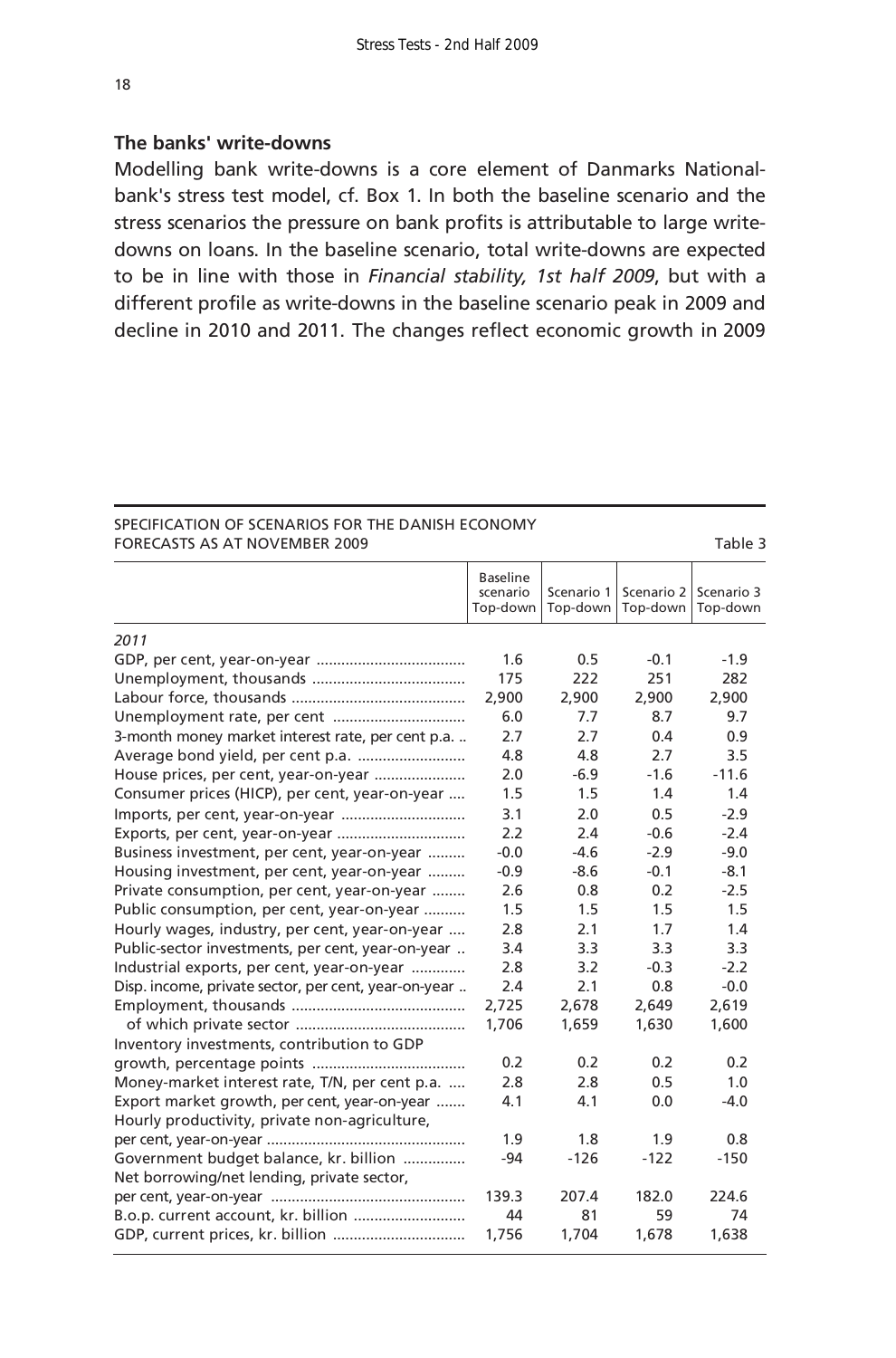### **The banks' write-downs**

Modelling bank write-downs is a core element of Danmarks Nationalbank's stress test model, cf. Box 1. In both the baseline scenario and the stress scenarios the pressure on bank profits is attributable to large writedowns on loans. In the baseline scenario, total write-downs are expected to be in line with those in *Financial stability, 1st half 2009*, but with a different profile as write-downs in the baseline scenario peak in 2009 and decline in 2010 and 2011. The changes reflect economic growth in 2009

### SPECIFICATION OF SCENARIOS FOR THE DANISH ECONOMY FORECASTS AS AT NOVEMBER 2009 TABLE 3

|                                                      | <b>Baseline</b><br>scenario<br>Top-down | Scenario 1<br>Top-down | Scenario 2<br>Top-down | Scenario 3<br>Top-down |
|------------------------------------------------------|-----------------------------------------|------------------------|------------------------|------------------------|
| 2011                                                 |                                         |                        |                        |                        |
|                                                      | 1.6                                     | 0.5                    | $-0.1$                 | $-1.9$                 |
|                                                      | 175                                     | 222                    | 251                    | 282                    |
|                                                      | 2,900                                   | 2,900                  | 2,900                  | 2,900                  |
|                                                      | 6.0                                     | 7.7                    | 8.7                    | 9.7                    |
| 3-month money market interest rate, per cent p.a.    | 2.7                                     | 2.7                    | 0.4                    | 0.9                    |
|                                                      | 4.8                                     | 4.8                    | 2.7                    | 3.5                    |
| House prices, per cent, year-on-year                 | 2.0                                     | $-6.9$                 | $-1.6$                 | $-11.6$                |
| Consumer prices (HICP), per cent, year-on-year       | 1.5                                     | 1.5                    | 1.4                    | 1.4                    |
| Imports, per cent, year-on-year                      | 3.1                                     | 2.0                    | 0.5                    | $-2.9$                 |
|                                                      | 2.2                                     | 2.4                    | $-0.6$                 | $-2.4$                 |
| Business investment, per cent, year-on-year          | $-0.0$                                  | $-4.6$                 | $-2.9$                 | $-9.0$                 |
| Housing investment, per cent, year-on-year           | $-0.9$                                  | $-8.6$                 | $-0.1$                 | $-8.1$                 |
| Private consumption, per cent, year-on-year          | 2.6                                     | 0.8                    | 0.2                    | $-2.5$                 |
| Public consumption, per cent, year-on-year           | 1.5                                     | 1.5                    | 1.5                    | 1.5                    |
| Hourly wages, industry, per cent, year-on-year       | 2.8                                     | 2.1                    | 1.7                    | 1.4                    |
| Public-sector investments, per cent, year-on-year    | 3.4                                     | 3.3                    | 3.3                    | 3.3                    |
| Industrial exports, per cent, year-on-year           | 2.8                                     | 3.2                    | $-0.3$                 | $-2.2$                 |
| Disp. income, private sector, per cent, year-on-year | 2.4                                     | 2.1                    | 0.8                    | $-0.0$                 |
|                                                      | 2.725                                   | 2.678                  | 2.649                  | 2,619                  |
|                                                      | 1,706                                   | 1,659                  | 1,630                  | 1,600                  |
| Inventory investments, contribution to GDP           |                                         |                        |                        |                        |
|                                                      | 0.2                                     | 0.2                    | 0.2                    | 0.2                    |
| Money-market interest rate, T/N, per cent p.a.       | 2.8                                     | 2.8                    | 0.5                    | 1.0                    |
| Export market growth, per cent, year-on-year         | 4.1                                     | 4.1                    | 0.0                    | $-4.0$                 |
| Hourly productivity, private non-agriculture,        |                                         |                        |                        |                        |
|                                                      | 1.9                                     | 1.8                    | 1.9                    | 0.8                    |
| Government budget balance, kr. billion               | $-94$                                   | $-126$                 | $-122$                 | $-150$                 |
| Net borrowing/net lending, private sector,           |                                         |                        |                        |                        |
|                                                      | 139.3                                   | 207.4                  | 182.0                  | 224.6                  |
|                                                      | 44                                      | 81                     | 59                     | 74                     |
|                                                      | 1,756                                   | 1,704                  | 1,678                  | 1,638                  |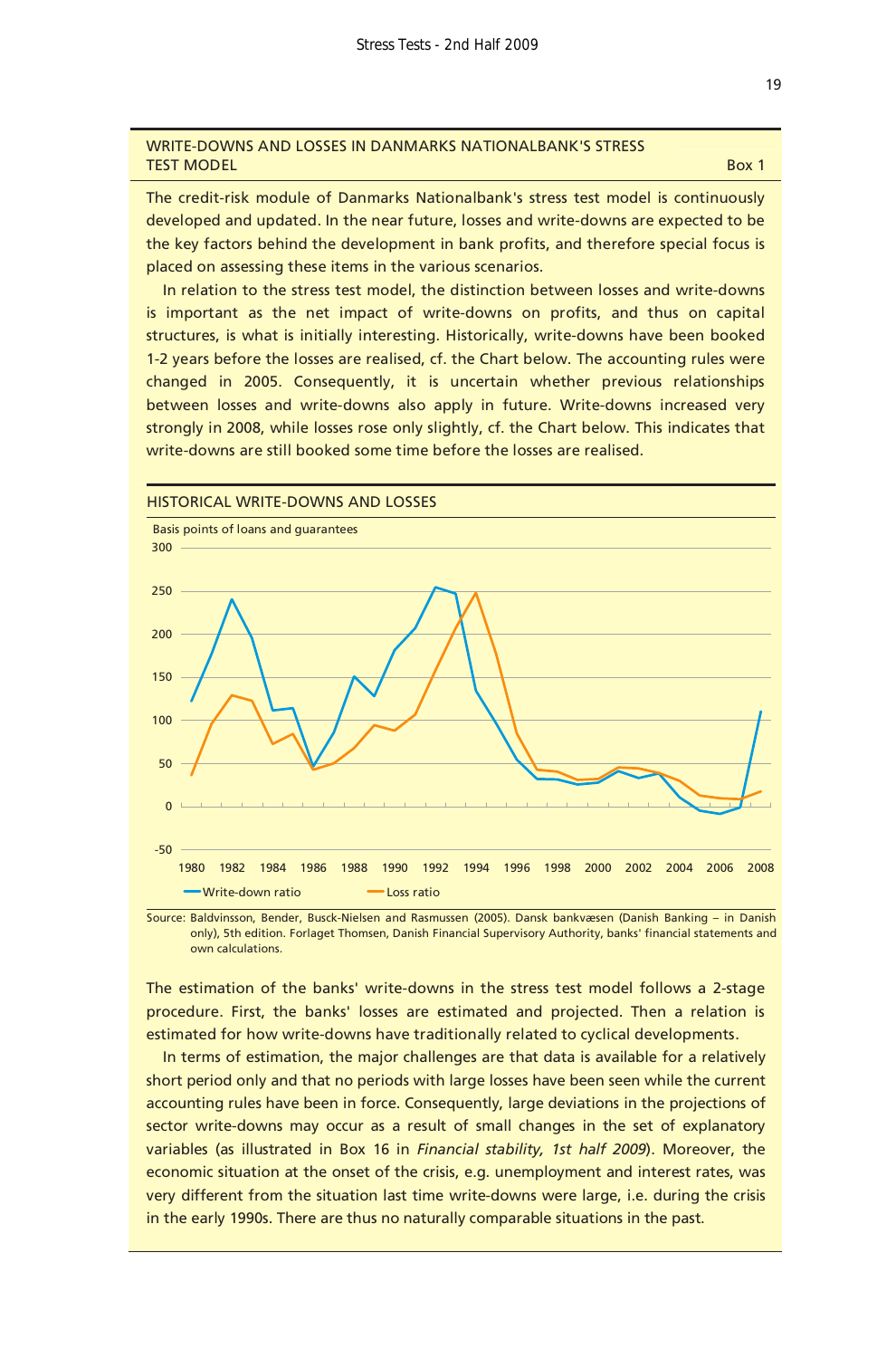#### WRITE-DOWNS AND LOSSES IN DANMARKS NATIONAL BANK'S STRESS TEST MODEL AND RESIDENCE IN A SERIES OF THE SERIES OF THE SERIES OF THE SERIES OF THE SERIES OF THE SERIES OF THE SERIES OF THE SERIES OF THE SERIES OF THE SERIES OF THE SERIES OF THE SERIES OF THE SERIES OF THE SERIES OF

The credit-risk module of Danmarks Nationalbank's stress test model is continuously developed and updated. In the near future, losses and write-downs are expected to be the key factors behind the development in bank profits, and therefore special focus is placed on assessing these items in the various scenarios.

In relation to the stress test model, the distinction between losses and write-downs is important as the net impact of write-downs on profits, and thus on capital structures, is what is initially interesting. Historically, write-downs have been booked 1-2 years before the losses are realised, cf. the Chart below. The accounting rules were changed in 2005. Consequently, it is uncertain whether previous relationships between losses and write-downs also apply in future. Write-downs increased very strongly in 2008, while losses rose only slightly, cf. the Chart below. This indicates that write-downs are still booked some time before the losses are realised.



Source: Baldvinsson, Bender, Busck-Nielsen and Rasmussen (2005). Dansk bankvæsen (Danish Banking – in Danish only), 5th edition. Forlaget Thomsen, Danish Financial Supervisory Authority, banks' financial statements and own calculations.

The estimation of the banks' write-downs in the stress test model follows a 2-stage procedure. First, the banks' losses are estimated and projected. Then a relation is estimated for how write-downs have traditionally related to cyclical developments.

In terms of estimation, the major challenges are that data is available for a relatively short period only and that no periods with large losses have been seen while the current accounting rules have been in force. Consequently, large deviations in the projections of sector write-downs may occur as a result of small changes in the set of explanatory variables (as illustrated in Box 16 in *Financial stability, 1st half 2009*). Moreover, the economic situation at the onset of the crisis, e.g. unemployment and interest rates, was very different from the situation last time write-downs were large, i.e. during the crisis in the early 1990s. There are thus no naturally comparable situations in the past.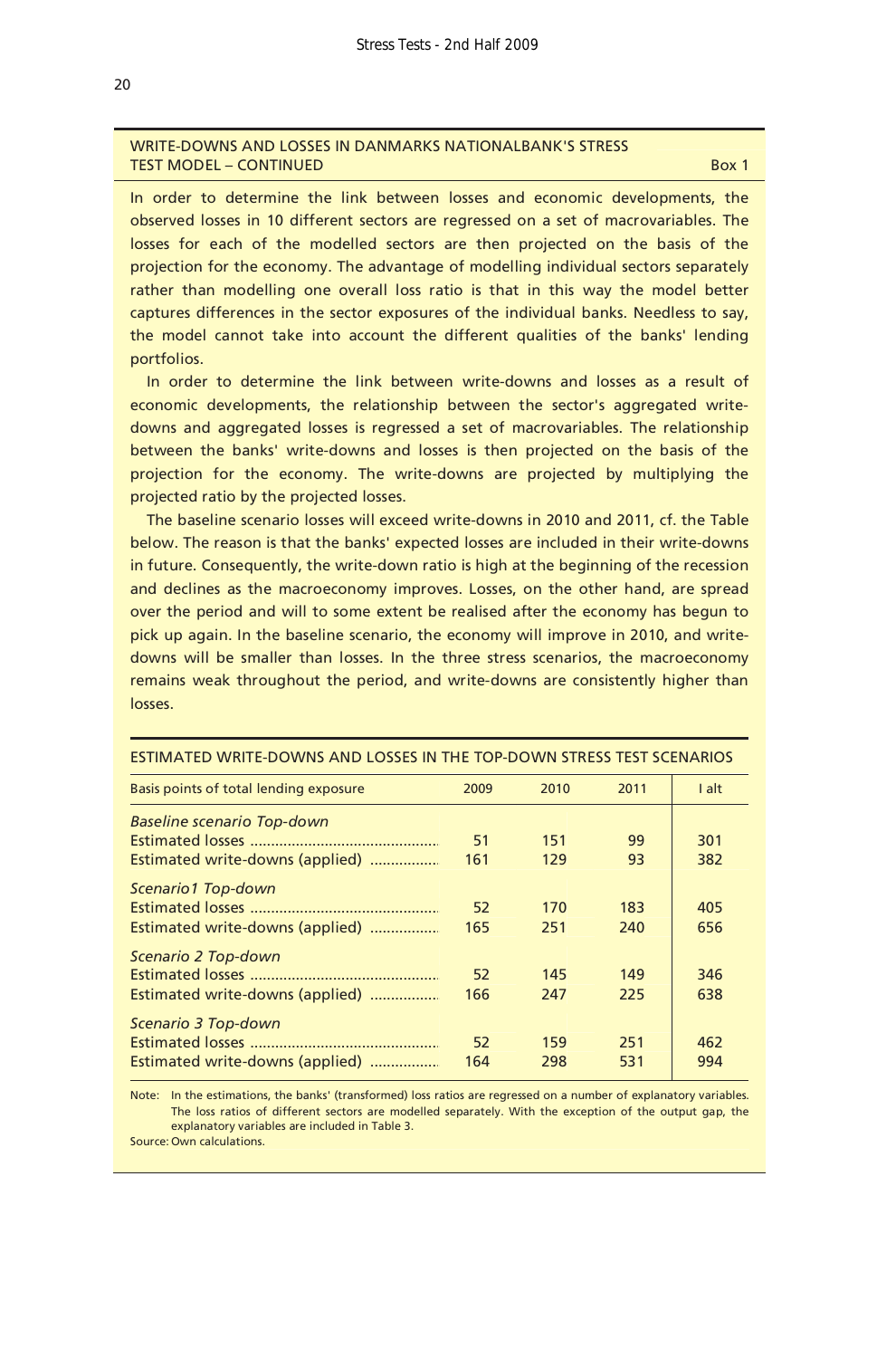### WRITE-DOWNS AND LOSSES IN DANMARKS NATIONALBANK'S STRESS TEST MODEL – CONTINUED Box 1 And 2012 19:30 and 2012 19:30 and 2012 19:30 and 2012 19:30 and 2012 19:30 and 20

In order to determine the link between losses and economic developments, the observed losses in 10 different sectors are regressed on a set of macrovariables. The losses for each of the modelled sectors are then projected on the basis of the projection for the economy. The advantage of modelling individual sectors separately rather than modelling one overall loss ratio is that in this way the model better captures differences in the sector exposures of the individual banks. Needless to say, the model cannot take into account the different qualities of the banks' lending portfolios.

In order to determine the link between write-downs and losses as a result of economic developments, the relationship between the sector's aggregated writedowns and aggregated losses is regressed a set of macrovariables. The relationship between the banks' write-downs and losses is then projected on the basis of the projection for the economy. The write-downs are projected by multiplying the projected ratio by the projected losses.

The baseline scenario losses will exceed write-downs in 2010 and 2011, cf. the Table below. The reason is that the banks' expected losses are included in their write-downs in future. Consequently, the write-down ratio is high at the beginning of the recession and declines as the macroeconomy improves. Losses, on the other hand, are spread over the period and will to some extent be realised after the economy has begun to pick up again. In the baseline scenario, the economy will improve in 2010, and writedowns will be smaller than losses. In the three stress scenarios, the macroeconomy remains weak throughout the period, and write-downs are consistently higher than losses.

| Basis points of total lending exposure | 2009 | 2010 | 2011 | I alt |
|----------------------------------------|------|------|------|-------|
| <b>Baseline scenario Top-down</b>      |      |      |      |       |
|                                        | 51   | 151  | 99   | 301   |
| Estimated write-downs (applied)        | 161  | 129  | 93   | 382   |
| Scenario1 Top-down                     |      |      |      |       |
|                                        | 52   | 170  | 183  | 405   |
| Estimated write-downs (applied)        | 165  | 251  | 240  | 656   |
| Scenario 2 Top-down                    |      |      |      |       |
|                                        | 52   | 145  | 149  | 346   |
| Estimated write-downs (applied)        | 166  | 247  | 225  | 638   |
| Scenario 3 Top-down                    |      |      |      |       |
|                                        | 52   | 159  | 251  | 462   |
| Estimated write-downs (applied)        | 164  | 298  | 531  | 994   |
|                                        |      |      |      |       |

#### ESTIMATED WRITE-DOWNS AND LOSSES IN THE TOP-DOWN STRESS TEST SCENARIOS

Note: In the estimations, the banks' (transformed) loss ratios are regressed on a number of explanatory variables. The loss ratios of different sectors are modelled separately. With the exception of the output gap, the explanatory variables are included in Table 3.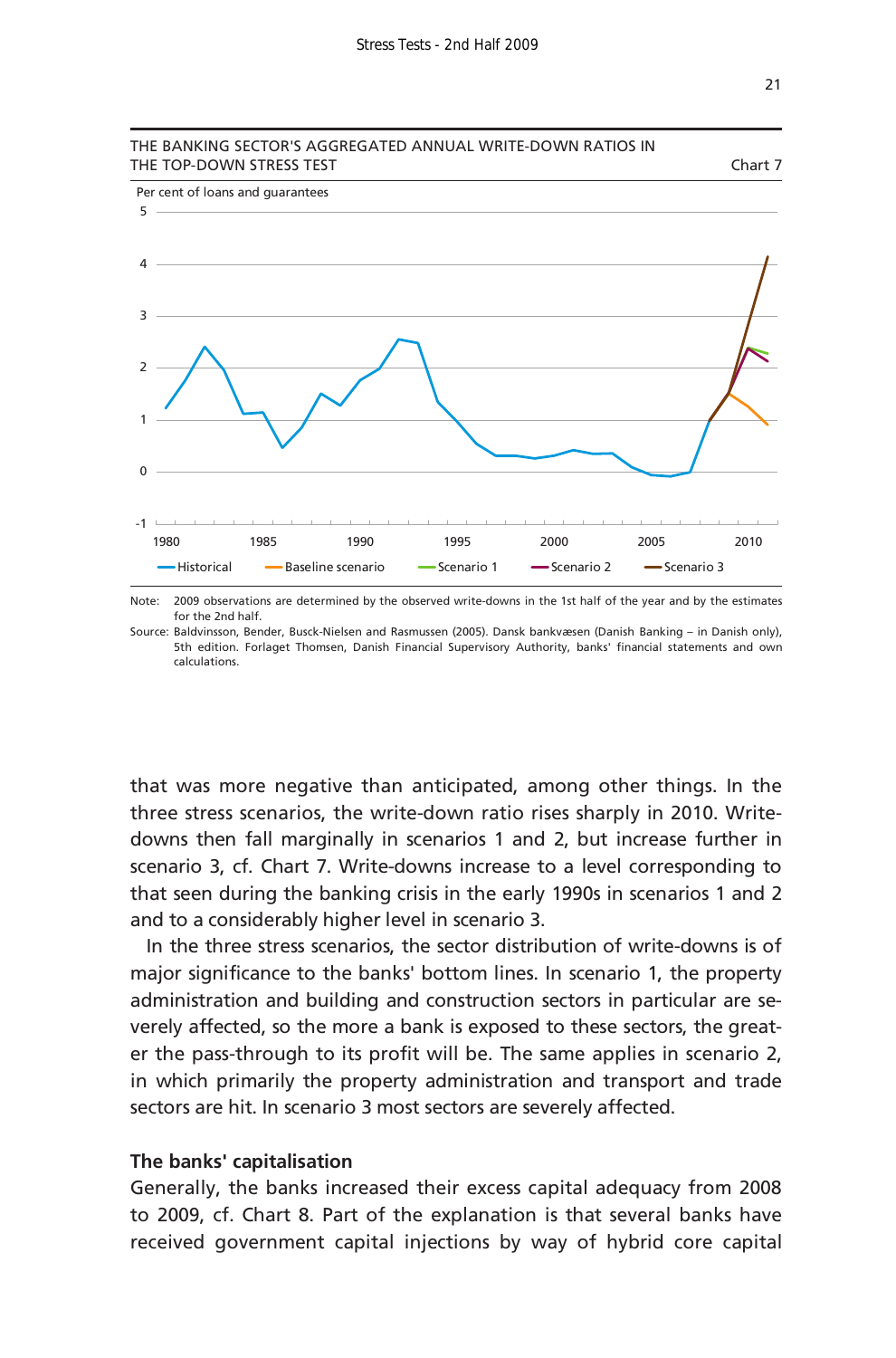





1980 1985 1990 1995 2000 2005 2010

Source: Baldvinsson, Bender, Busck-Nielsen and Rasmussen (2005). Dansk bankvæsen (Danish Banking – in Danish only), 5th edition. Forlaget Thomsen, Danish Financial Supervisory Authority, banks' financial statements and own calculations.

that was more negative than anticipated, among other things. In the three stress scenarios, the write-down ratio rises sharply in 2010. Writedowns then fall marginally in scenarios 1 and 2, but increase further in scenario 3, cf. Chart 7. Write-downs increase to a level corresponding to that seen during the banking crisis in the early 1990s in scenarios 1 and 2 and to a considerably higher level in scenario 3.

In the three stress scenarios, the sector distribution of write-downs is of major significance to the banks' bottom lines. In scenario 1, the property administration and building and construction sectors in particular are severely affected, so the more a bank is exposed to these sectors, the greater the pass-through to its profit will be. The same applies in scenario 2, in which primarily the property administration and transport and trade sectors are hit. In scenario 3 most sectors are severely affected.

### **The banks' capitalisation**

-1

 $\Omega$ 

1

2

3

4

5

Per cent of loans and guarantees

Generally, the banks increased their excess capital adequacy from 2008 to 2009, cf. Chart 8. Part of the explanation is that several banks have received government capital injections by way of hybrid core capital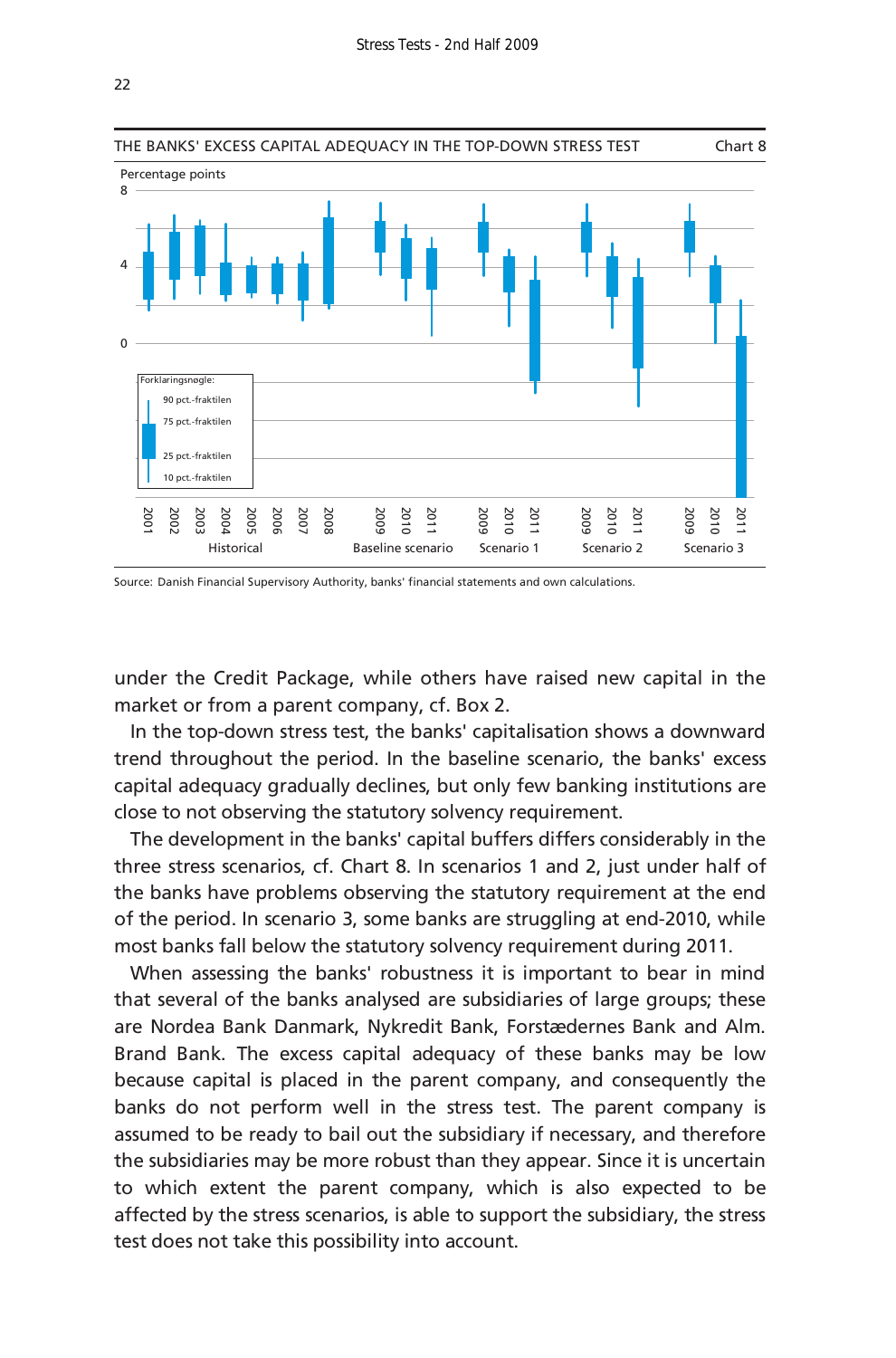

Source: Danish Financial Supervisory Authority, banks' financial statements and own calculations.

under the Credit Package, while others have raised new capital in the market or from a parent company, cf. Box 2.

In the top-down stress test, the banks' capitalisation shows a downward trend throughout the period. In the baseline scenario, the banks' excess capital adequacy gradually declines, but only few banking institutions are close to not observing the statutory solvency requirement.

The development in the banks' capital buffers differs considerably in the three stress scenarios, cf. Chart 8. In scenarios 1 and 2, just under half of the banks have problems observing the statutory requirement at the end of the period. In scenario 3, some banks are struggling at end-2010, while most banks fall below the statutory solvency requirement during 2011.

When assessing the banks' robustness it is important to bear in mind that several of the banks analysed are subsidiaries of large groups; these are Nordea Bank Danmark, Nykredit Bank, Forstædernes Bank and Alm. Brand Bank. The excess capital adequacy of these banks may be low because capital is placed in the parent company, and consequently the banks do not perform well in the stress test. The parent company is assumed to be ready to bail out the subsidiary if necessary, and therefore the subsidiaries may be more robust than they appear. Since it is uncertain to which extent the parent company, which is also expected to be affected by the stress scenarios, is able to support the subsidiary, the stress test does not take this possibility into account.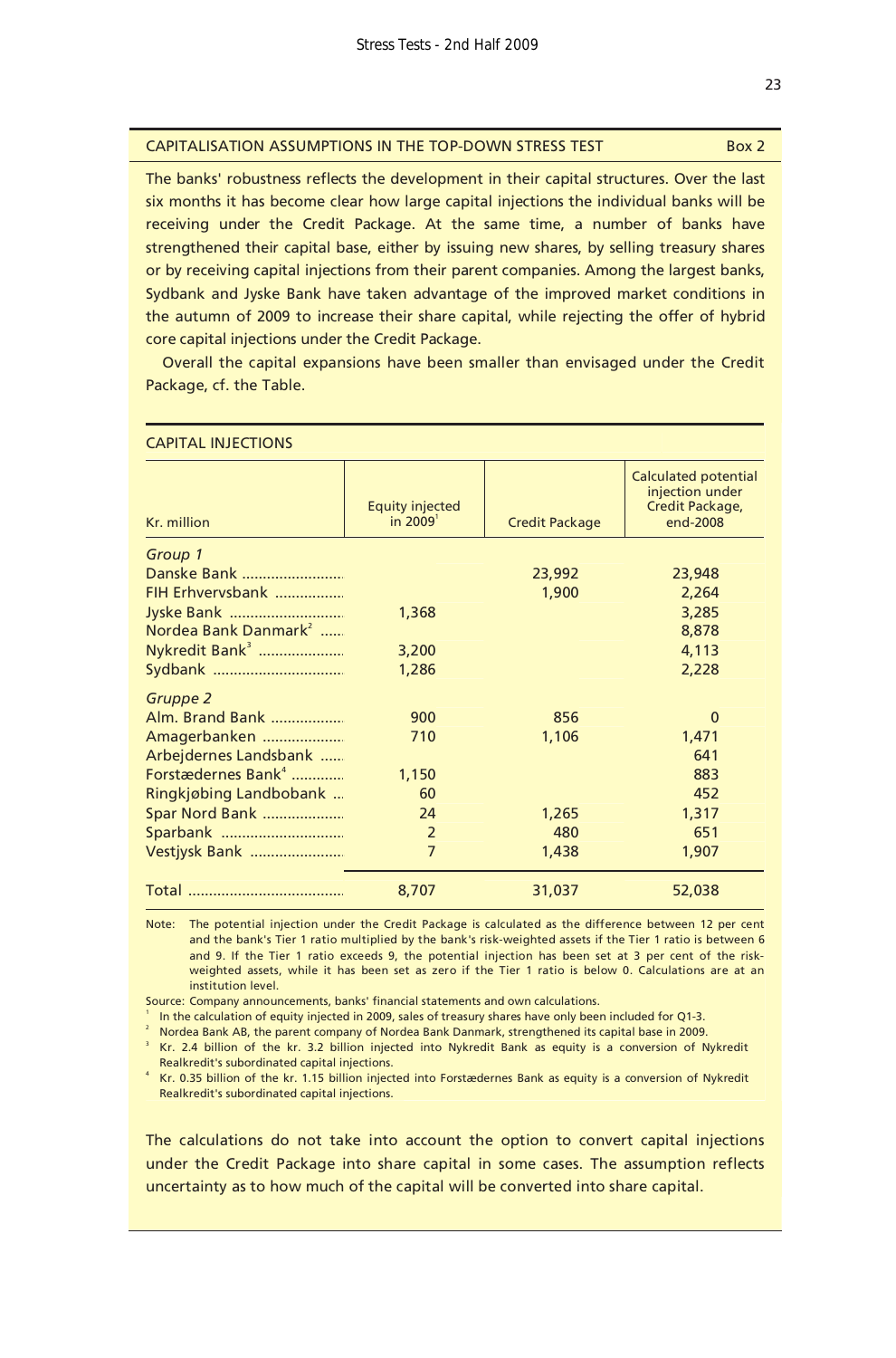#### CAPITALISATION ASSUMPTIONS IN THE TOP-DOWN STRESS TEST Box 2

The banks' robustness reflects the development in their capital structures. Over the last six months it has become clear how large capital injections the individual banks will be receiving under the Credit Package. At the same time, a number of banks have strengthened their capital base, either by issuing new shares, by selling treasury shares or by receiving capital injections from their parent companies. Among the largest banks, Sydbank and Jyske Bank have taken advantage of the improved market conditions in the autumn of 2009 to increase their share capital, while rejecting the offer of hybrid core capital injections under the Credit Package.

Overall the capital expansions have been smaller than envisaged under the Credit Package, cf. the Table.

| Kr. million                      | <b>Equity injected</b><br>in 2009 <sup>1</sup> | <b>Credit Package</b> | <b>Calculated potential</b><br>injection under<br>Credit Package,<br>end-2008 |
|----------------------------------|------------------------------------------------|-----------------------|-------------------------------------------------------------------------------|
| Group 1                          |                                                |                       |                                                                               |
| Danske Bank                      |                                                | 23,992                | 23,948                                                                        |
| FIH Erhvervsbank                 |                                                | 1,900                 | 2,264                                                                         |
| Jyske Bank                       | 1,368                                          |                       | 3,285                                                                         |
| Nordea Bank Danmark <sup>2</sup> |                                                |                       | 8,878                                                                         |
| Nykredit Bank <sup>3</sup>       | 3,200                                          |                       | 4,113                                                                         |
| Sydbank                          | 1,286                                          |                       | 2,228                                                                         |
| Gruppe 2                         |                                                |                       |                                                                               |
| Alm. Brand Bank                  | 900                                            | 856                   | $\Omega$                                                                      |
| Amagerbanken                     | 710                                            | 1,106                 | 1,471                                                                         |
| Arbeidernes Landsbank            |                                                |                       | 641                                                                           |
| Forstædernes Bank <sup>4</sup>   | 1,150                                          |                       | 883                                                                           |
| Ringkjøbing Landbobank           | 60                                             |                       | 452                                                                           |
| Spar Nord Bank                   | 24                                             | 1,265                 | 1,317                                                                         |
| Sparbank                         | $\overline{2}$                                 | 480                   | 651                                                                           |
| Vestiysk Bank                    | $\overline{7}$                                 | 1,438                 | 1,907                                                                         |
|                                  | 8,707                                          | 31,037                | 52,038                                                                        |

#### CAPITAL INJECTIONS

Note: The potential injection under the Credit Package is calculated as the difference between 12 per cent and the bank's Tier 1 ratio multiplied by the bank's risk-weighted assets if the Tier 1 ratio is between 6 and 9. If the Tier 1 ratio exceeds 9, the potential injection has been set at 3 per cent of the riskweighted assets, while it has been set as zero if the Tier 1 ratio is below 0. Calculations are at an institution level.

Source: Company announcements, banks' financial statements and own calculations.

In the calculation of equity injected in 2009, sales of treasury shares have only been included for Q1-3.<br>2009. Nordea Bank AB, the parent company of Nordea Bank Danmark, strengthened its capital base in 2009.

<sup>3</sup> Kr. 2.4 billion of the kr. 3.2 billion injected into Nykredit Bank as equity is a conversion of Nykredit Realkredit's subordinated capital injections. 4

Kr. 0.35 billion of the kr. 1.15 billion injected into Forstædernes Bank as equity is a conversion of Nykredit Realkredit's subordinated capital injections.

The calculations do not take into account the option to convert capital injections under the Credit Package into share capital in some cases. The assumption reflects uncertainty as to how much of the capital will be converted into share capital.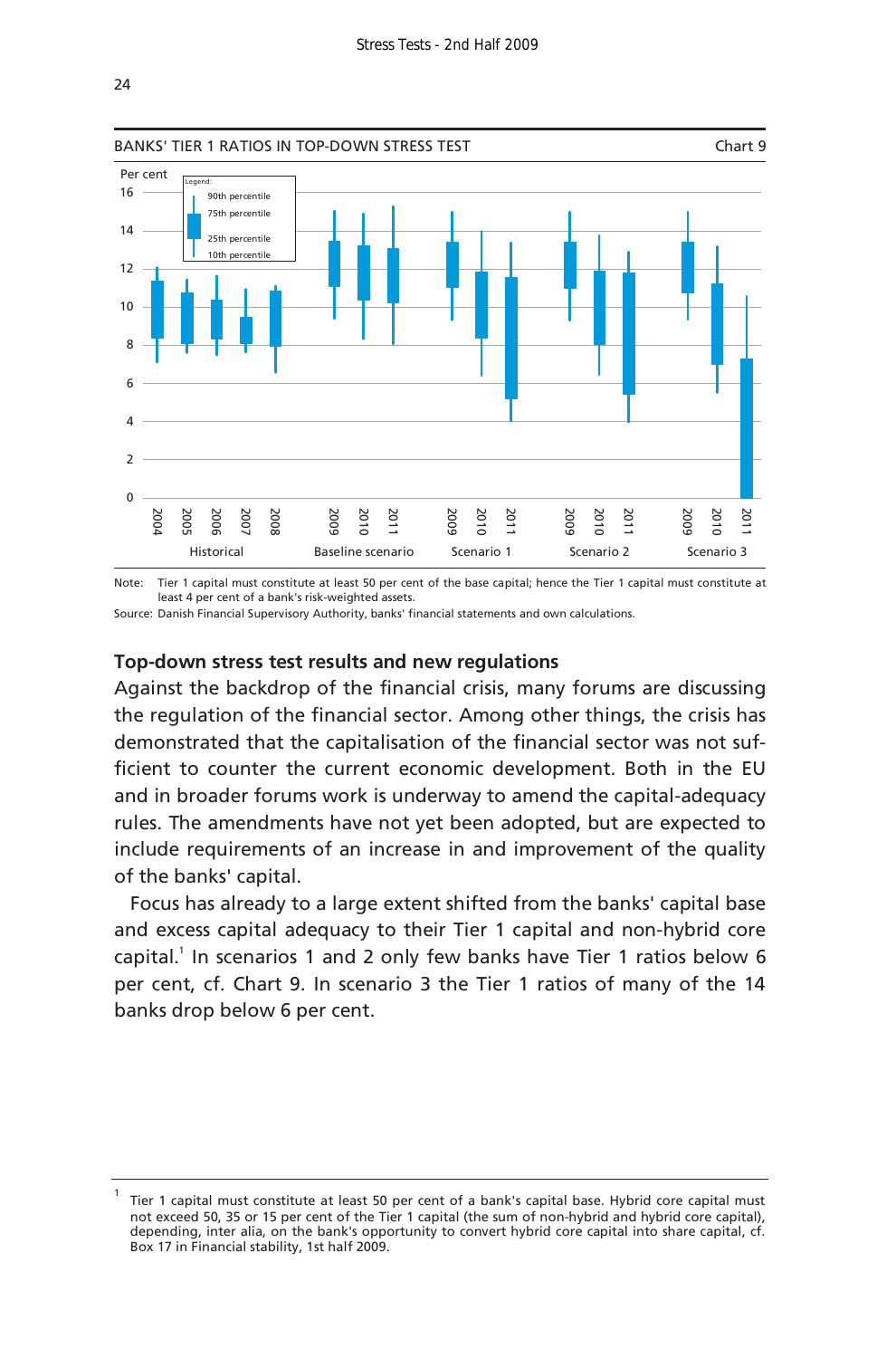

Note: Tier 1 capital must constitute at least 50 per cent of the base capital; hence the Tier 1 capital must constitute at least 4 per cent of a bank's risk-weighted assets.

Source: Danish Financial Supervisory Authority, banks' financial statements and own calculations.

### **Top-down stress test results and new regulations**

Against the backdrop of the financial crisis, many forums are discussing the regulation of the financial sector. Among other things, the crisis has demonstrated that the capitalisation of the financial sector was not sufficient to counter the current economic development. Both in the EU and in broader forums work is underway to amend the capital-adequacy rules. The amendments have not yet been adopted, but are expected to include requirements of an increase in and improvement of the quality of the banks' capital.

Focus has already to a large extent shifted from the banks' capital base and excess capital adequacy to their Tier 1 capital and non-hybrid core capital.<sup>1</sup> In scenarios 1 and 2 only few banks have Tier 1 ratios below 6 per cent, cf. Chart 9. In scenario 3 the Tier 1 ratios of many of the 14 banks drop below 6 per cent.

<sup>1</sup> Tier 1 capital must constitute at least 50 per cent of a bank's capital base. Hybrid core capital must not exceed 50, 35 or 15 per cent of the Tier 1 capital (the sum of non-hybrid and hybrid core capital), depending, inter alia, on the bank's opportunity to convert hybrid core capital into share capital, cf. Box 17 in Financial stability, 1st half 2009.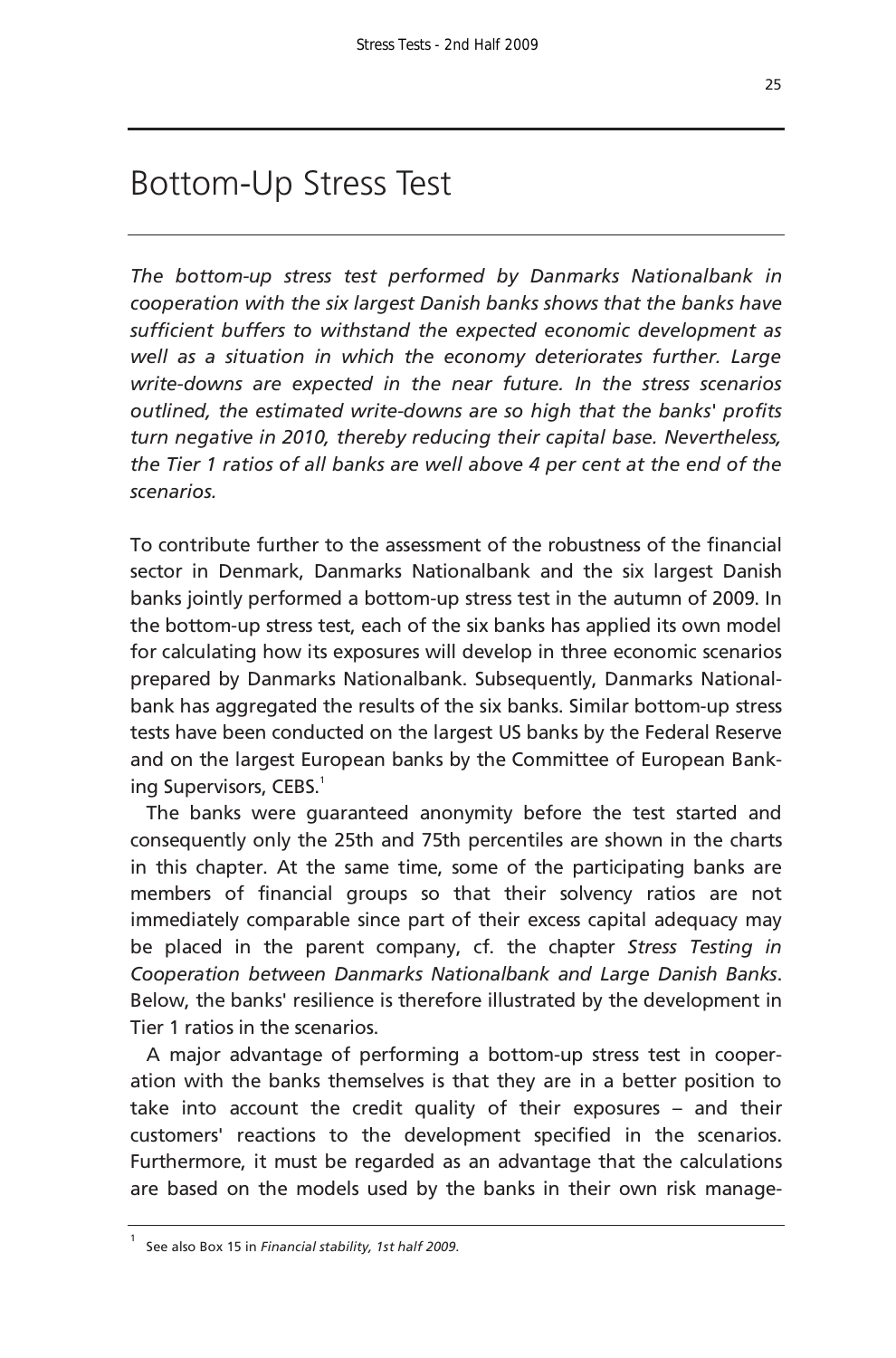### Bottom-Up Stress Test

*The bottom-up stress test performed by Danmarks Nationalbank in cooperation with the six largest Danish banks shows that the banks have sufficient buffers to withstand the expected economic development as well as a situation in which the economy deteriorates further. Large write-downs are expected in the near future. In the stress scenarios outlined, the estimated write-downs are so high that the banks' profits turn negative in 2010, thereby reducing their capital base. Nevertheless, the Tier 1 ratios of all banks are well above 4 per cent at the end of the scenarios.* 

To contribute further to the assessment of the robustness of the financial sector in Denmark, Danmarks Nationalbank and the six largest Danish banks jointly performed a bottom-up stress test in the autumn of 2009. In the bottom-up stress test, each of the six banks has applied its own model for calculating how its exposures will develop in three economic scenarios prepared by Danmarks Nationalbank. Subsequently, Danmarks Nationalbank has aggregated the results of the six banks. Similar bottom-up stress tests have been conducted on the largest US banks by the Federal Reserve and on the largest European banks by the Committee of European Banking Supervisors, CEBS.<sup>1</sup>

The banks were guaranteed anonymity before the test started and consequently only the 25th and 75th percentiles are shown in the charts in this chapter. At the same time, some of the participating banks are members of financial groups so that their solvency ratios are not immediately comparable since part of their excess capital adequacy may be placed in the parent company, cf. the chapter *Stress Testing in Cooperation between Danmarks Nationalbank and Large Danish Banks*. Below, the banks' resilience is therefore illustrated by the development in Tier 1 ratios in the scenarios.

A major advantage of performing a bottom-up stress test in cooperation with the banks themselves is that they are in a better position to take into account the credit quality of their exposures – and their customers' reactions to the development specified in the scenarios. Furthermore, it must be regarded as an advantage that the calculations are based on the models used by the banks in their own risk manage-

<sup>1</sup> See also Box 15 in *Financial stability, 1st half 2009*.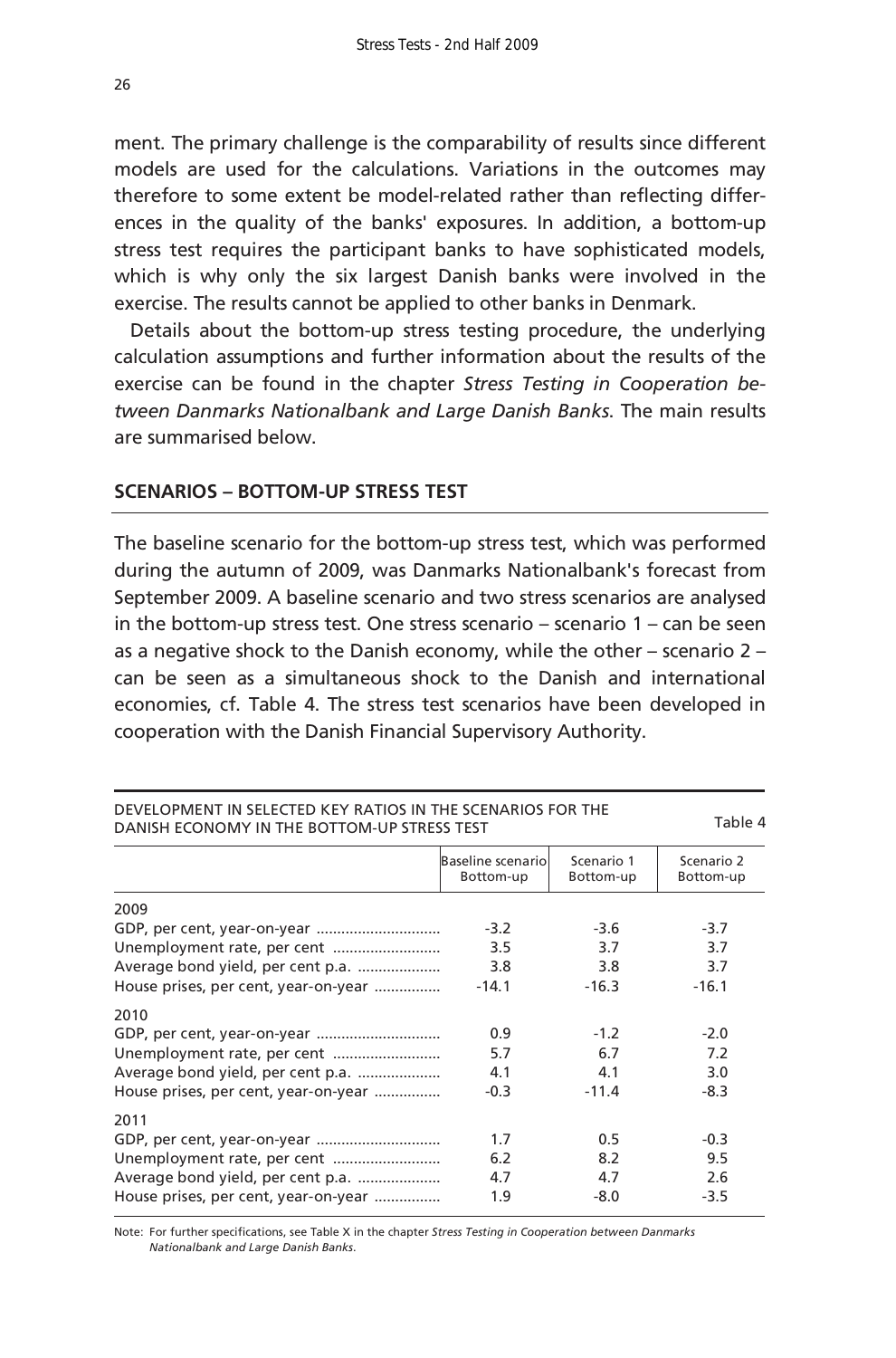ment. The primary challenge is the comparability of results since different models are used for the calculations. Variations in the outcomes may therefore to some extent be model-related rather than reflecting differences in the quality of the banks' exposures. In addition, a bottom-up stress test requires the participant banks to have sophisticated models, which is why only the six largest Danish banks were involved in the exercise. The results cannot be applied to other banks in Denmark.

Details about the bottom-up stress testing procedure, the underlying calculation assumptions and further information about the results of the exercise can be found in the chapter *Stress Testing in Cooperation between Danmarks Nationalbank and Large Danish Banks*. The main results are summarised below.

### **SCENARIOS – BOTTOM-UP STRESS TEST**

The baseline scenario for the bottom-up stress test, which was performed during the autumn of 2009, was Danmarks Nationalbank's forecast from September 2009. A baseline scenario and two stress scenarios are analysed in the bottom-up stress test. One stress scenario – scenario 1 – can be seen as a negative shock to the Danish economy, while the other – scenario 2 – can be seen as a simultaneous shock to the Danish and international economies, cf. Table 4. The stress test scenarios have been developed in cooperation with the Danish Financial Supervisory Authority.

| DEVELOPMENT IN SELECTED KEY RATIOS IN THE SCENARIOS FOR THE<br>Table 4<br>DANISH ECONOMY IN THE BOTTOM-UP STRESS TEST |                                |                         |                         |  |  |
|-----------------------------------------------------------------------------------------------------------------------|--------------------------------|-------------------------|-------------------------|--|--|
|                                                                                                                       | Baseline scenario<br>Bottom-up | Scenario 1<br>Bottom-up | Scenario 2<br>Bottom-up |  |  |
| 2009                                                                                                                  |                                |                         |                         |  |  |
|                                                                                                                       | $-3.2$                         | $-3.6$                  | $-3.7$                  |  |  |
| Unemployment rate, per cent                                                                                           | 3.5                            | 3.7                     | 3.7                     |  |  |
| Average bond yield, per cent p.a.                                                                                     | 3.8                            | 3.8                     | 3.7                     |  |  |
| House prises, per cent, year-on-year                                                                                  | $-14.1$                        | $-16.3$                 | $-16.1$                 |  |  |
| 2010                                                                                                                  |                                |                         |                         |  |  |
|                                                                                                                       | 0.9                            | $-1.2$                  | $-2.0$                  |  |  |
| Unemployment rate, per cent                                                                                           | 5.7                            | 6.7                     | 7.2                     |  |  |
| Average bond yield, per cent p.a.                                                                                     | 4.1                            | 41                      | 3.0                     |  |  |
| House prises, per cent, year-on-year                                                                                  | $-0.3$                         | $-11.4$                 | $-8.3$                  |  |  |
| 2011                                                                                                                  |                                |                         |                         |  |  |
|                                                                                                                       | 1.7                            | $0.5^{\circ}$           | $-0.3$                  |  |  |
| Unemployment rate, per cent                                                                                           | 6.2                            | 8.2                     | 9.5                     |  |  |
| Average bond yield, per cent p.a.                                                                                     | 4.7                            | 4.7                     | 2.6                     |  |  |
| House prises, per cent, year-on-year                                                                                  | 1.9                            | $-8.0$                  | $-3.5$                  |  |  |

Note: For further specifications, see Table X in the chapter *Stress Testing in Cooperation between Danmarks Nationalbank and Large Danish Banks*.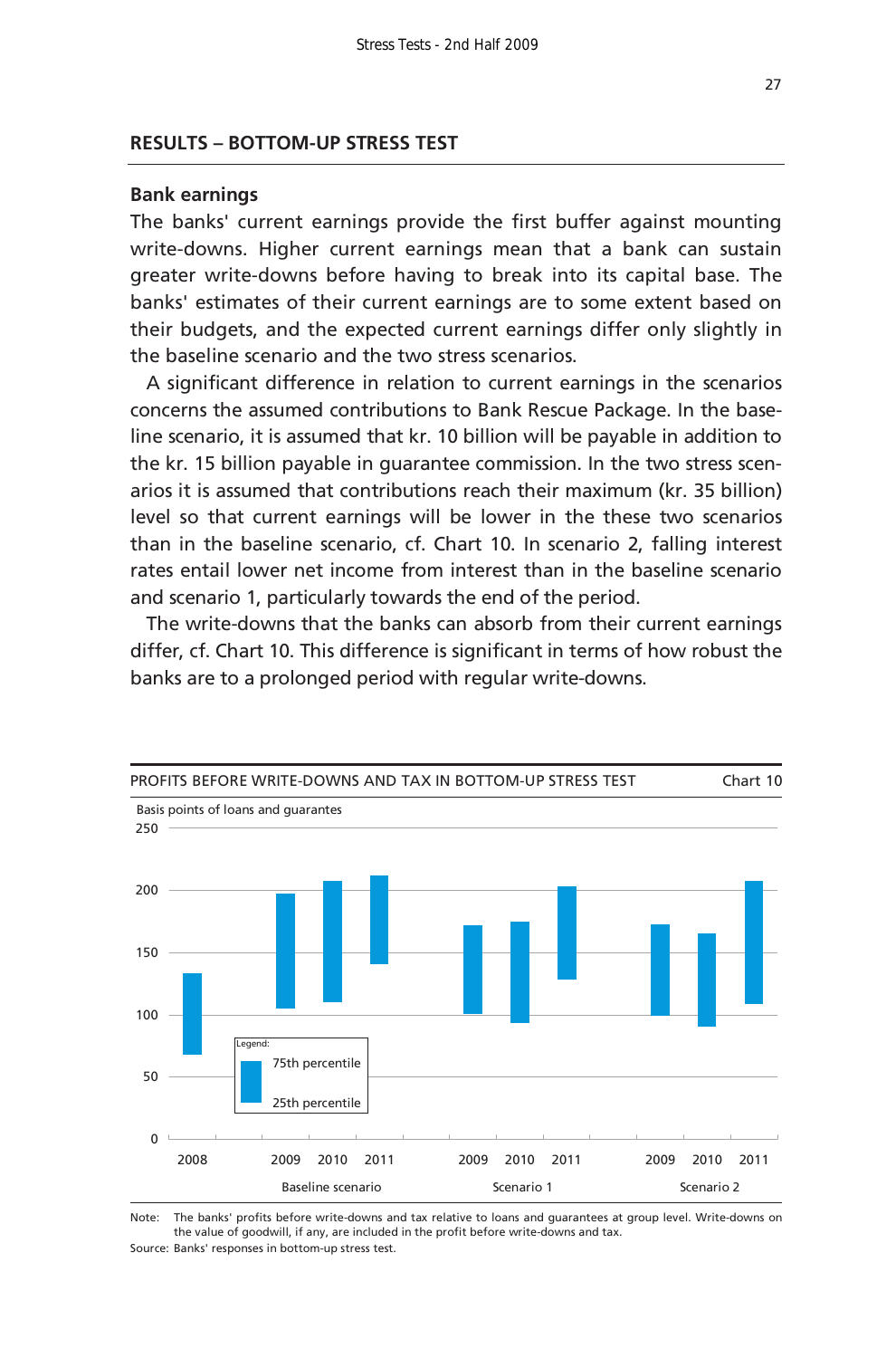### **RESULTS – BOTTOM-UP STRESS TEST**

### **Bank earnings**

The banks' current earnings provide the first buffer against mounting write-downs. Higher current earnings mean that a bank can sustain greater write-downs before having to break into its capital base. The banks' estimates of their current earnings are to some extent based on their budgets, and the expected current earnings differ only slightly in the baseline scenario and the two stress scenarios.

A significant difference in relation to current earnings in the scenarios concerns the assumed contributions to Bank Rescue Package. In the baseline scenario, it is assumed that kr. 10 billion will be payable in addition to the kr. 15 billion payable in guarantee commission. In the two stress scenarios it is assumed that contributions reach their maximum (kr. 35 billion) level so that current earnings will be lower in the these two scenarios than in the baseline scenario, cf. Chart 10. In scenario 2, falling interest rates entail lower net income from interest than in the baseline scenario and scenario 1, particularly towards the end of the period.

The write-downs that the banks can absorb from their current earnings differ, cf. Chart 10. This difference is significant in terms of how robust the banks are to a prolonged period with regular write-downs.



Note: The banks' profits before write-downs and tax relative to loans and guarantees at group level. Write-downs on Source: Banks' responses in bottom-up stress test. the value of goodwill, if any, are included in the profit before write-downs and tax.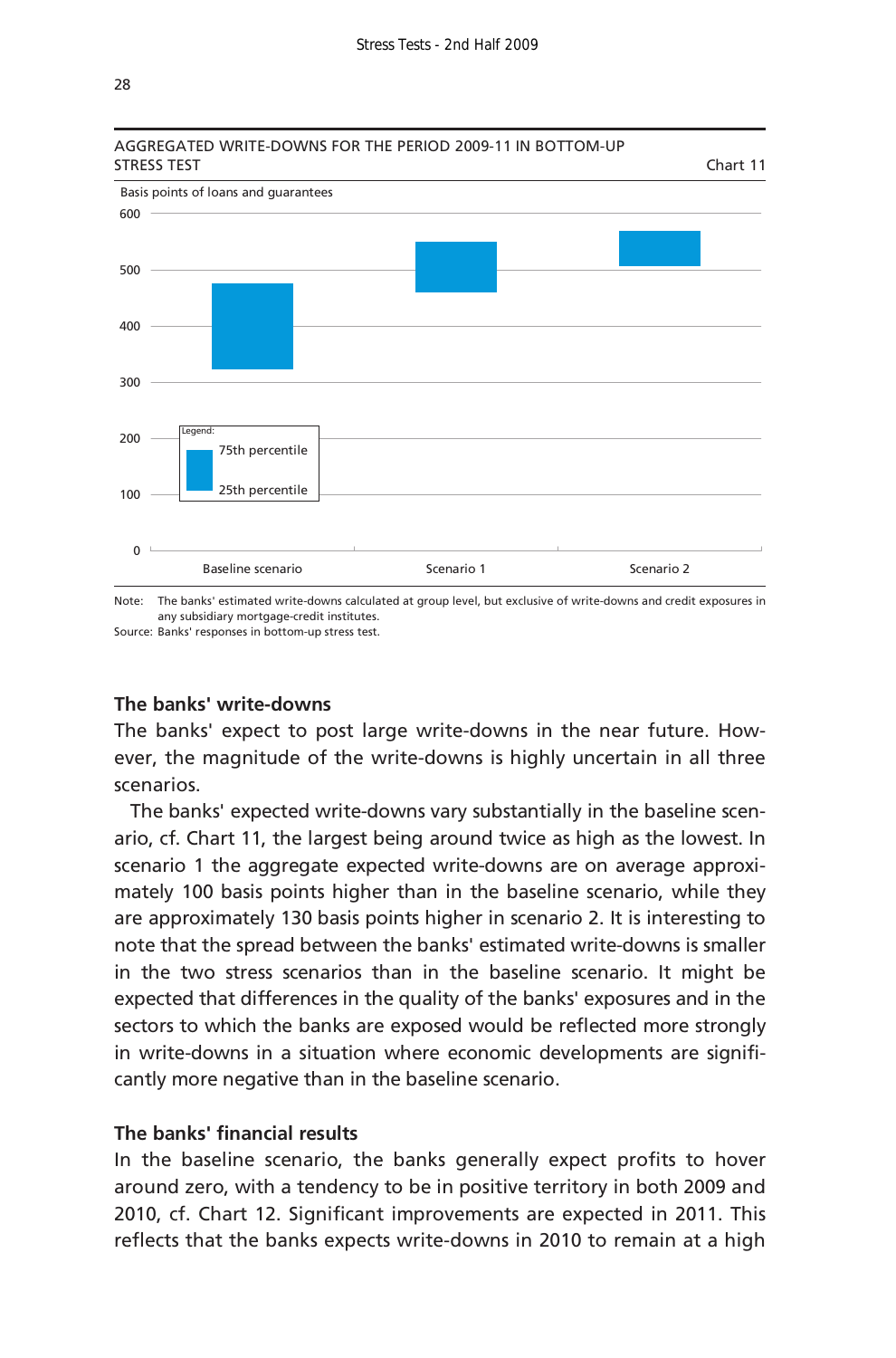

Note: The banks' estimated write-downs calculated at group level, but exclusive of write-downs and credit exposures in Source: Banks' responses in bottom-up stress test. any subsidiary mortgage-credit institutes.

### **The banks' write-downs**

The banks' expect to post large write-downs in the near future. However, the magnitude of the write-downs is highly uncertain in all three scenarios.

The banks' expected write-downs vary substantially in the baseline scenario, cf. Chart 11, the largest being around twice as high as the lowest. In scenario 1 the aggregate expected write-downs are on average approximately 100 basis points higher than in the baseline scenario, while they are approximately 130 basis points higher in scenario 2. It is interesting to note that the spread between the banks' estimated write-downs is smaller in the two stress scenarios than in the baseline scenario. It might be expected that differences in the quality of the banks' exposures and in the sectors to which the banks are exposed would be reflected more strongly in write-downs in a situation where economic developments are significantly more negative than in the baseline scenario.

### **The banks' financial results**

In the baseline scenario, the banks generally expect profits to hover around zero, with a tendency to be in positive territory in both 2009 and 2010, cf. Chart 12. Significant improvements are expected in 2011. This reflects that the banks expects write-downs in 2010 to remain at a high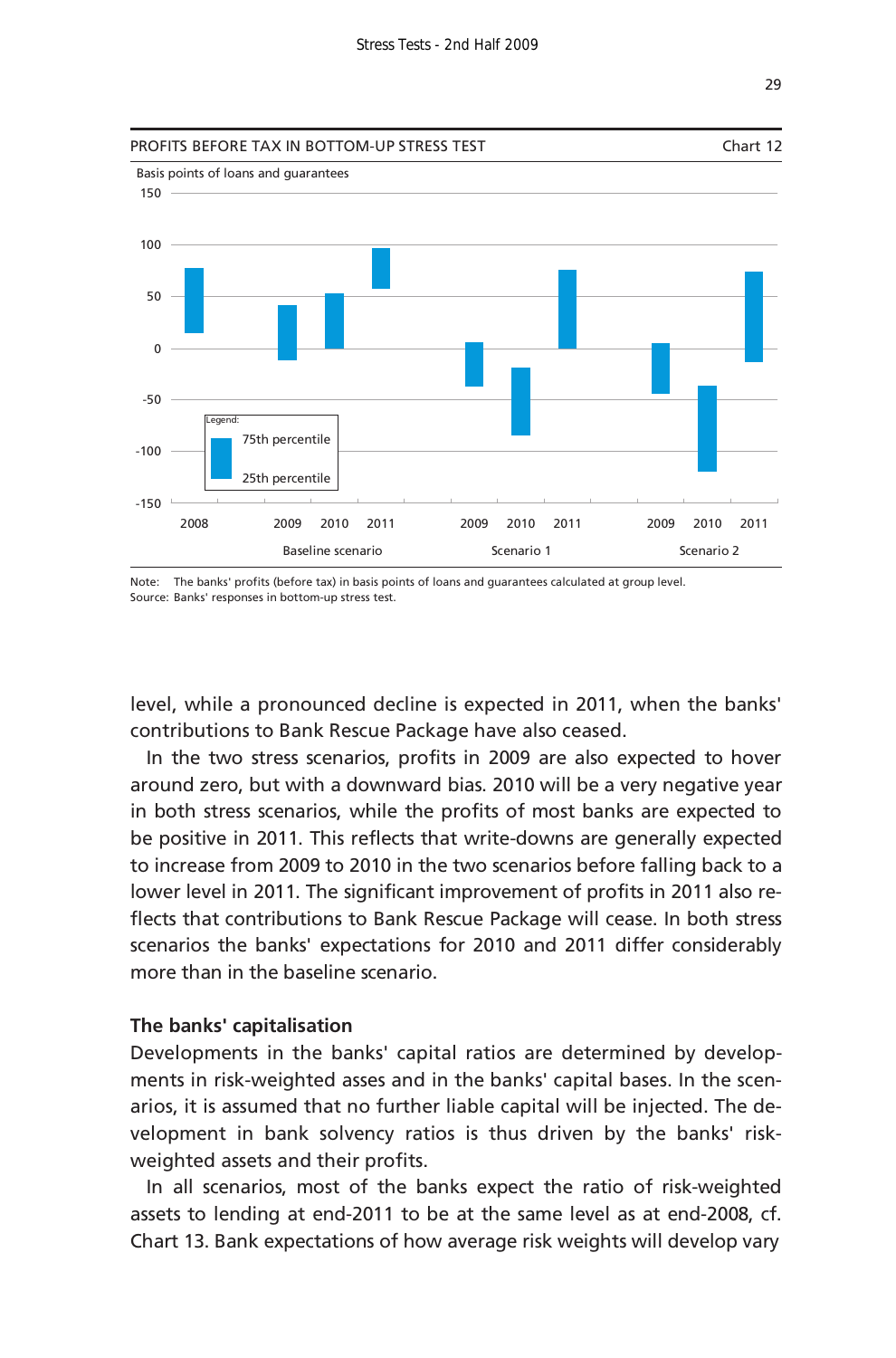

Note: The banks' profits (before tax) in basis points of loans and guarantees calculated at group level. Source: Banks' responses in bottom-up stress test.

level, while a pronounced decline is expected in 2011, when the banks' contributions to Bank Rescue Package have also ceased.

In the two stress scenarios, profits in 2009 are also expected to hover around zero, but with a downward bias. 2010 will be a very negative year in both stress scenarios, while the profits of most banks are expected to be positive in 2011. This reflects that write-downs are generally expected to increase from 2009 to 2010 in the two scenarios before falling back to a lower level in 2011. The significant improvement of profits in 2011 also reflects that contributions to Bank Rescue Package will cease. In both stress scenarios the banks' expectations for 2010 and 2011 differ considerably more than in the baseline scenario.

### **The banks' capitalisation**

Developments in the banks' capital ratios are determined by developments in risk-weighted asses and in the banks' capital bases. In the scenarios, it is assumed that no further liable capital will be injected. The development in bank solvency ratios is thus driven by the banks' riskweighted assets and their profits.

In all scenarios, most of the banks expect the ratio of risk-weighted assets to lending at end-2011 to be at the same level as at end-2008, cf. Chart 13. Bank expectations of how average risk weights will develop vary

29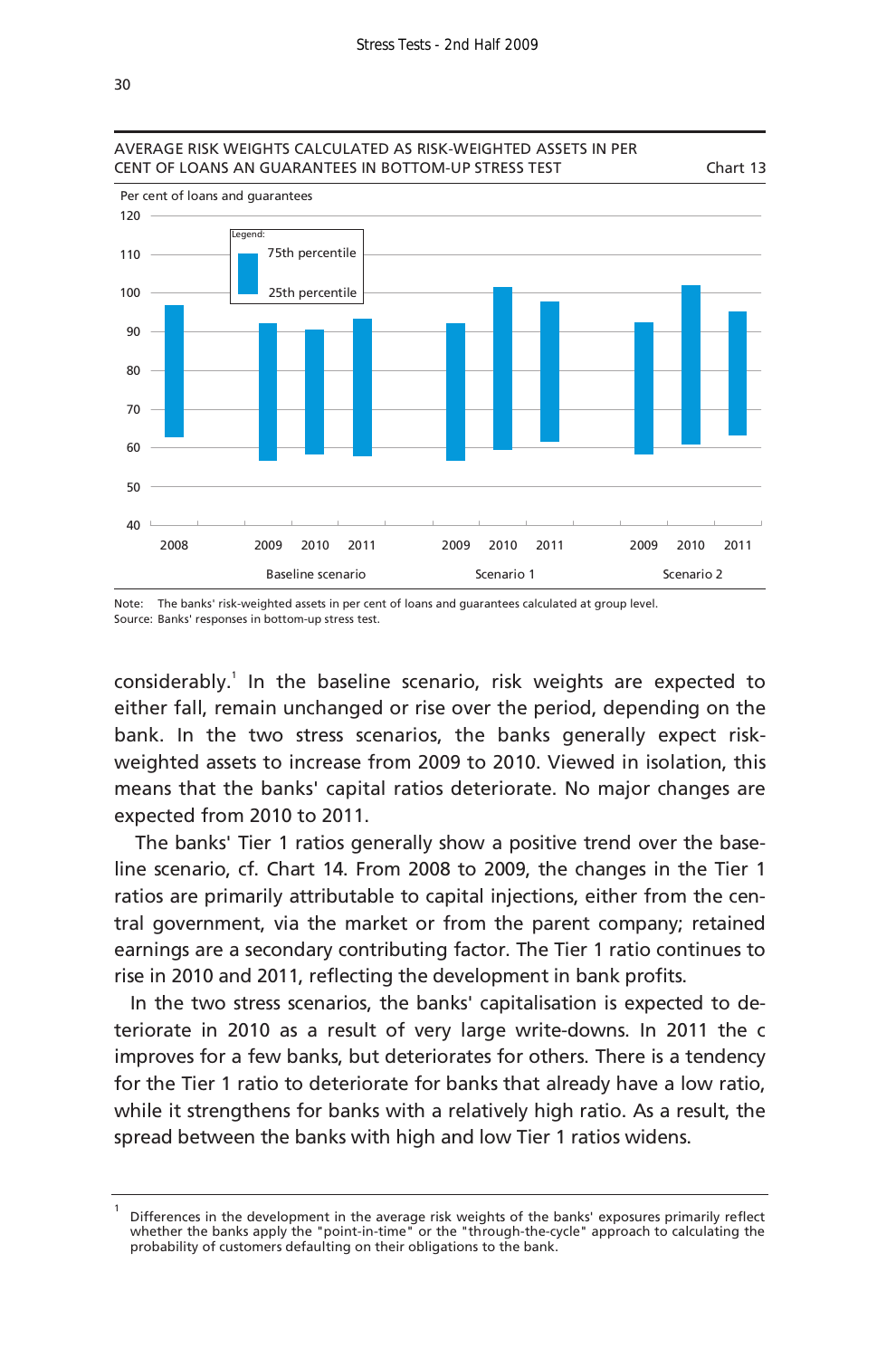



Note: The banks' risk-weighted assets in per cent of loans and guarantees calculated at group level. Source: Banks' responses in bottom-up stress test.

considerably.<sup>1</sup> In the baseline scenario, risk weights are expected to either fall, remain unchanged or rise over the period, depending on the bank. In the two stress scenarios, the banks generally expect riskweighted assets to increase from 2009 to 2010. Viewed in isolation, this means that the banks' capital ratios deteriorate. No major changes are expected from 2010 to 2011.

 The banks' Tier 1 ratios generally show a positive trend over the baseline scenario, cf. Chart 14. From 2008 to 2009, the changes in the Tier 1 ratios are primarily attributable to capital injections, either from the central government, via the market or from the parent company; retained earnings are a secondary contributing factor. The Tier 1 ratio continues to rise in 2010 and 2011, reflecting the development in bank profits.

In the two stress scenarios, the banks' capitalisation is expected to deteriorate in 2010 as a result of very large write-downs. In 2011 the c improves for a few banks, but deteriorates for others. There is a tendency for the Tier 1 ratio to deteriorate for banks that already have a low ratio, while it strengthens for banks with a relatively high ratio. As a result, the spread between the banks with high and low Tier 1 ratios widens.

<sup>1</sup> Differences in the development in the average risk weights of the banks' exposures primarily reflect whether the banks apply the "point-in-time" or the "through-the-cycle" approach to calculating the probability of customers defaulting on their obligations to the bank.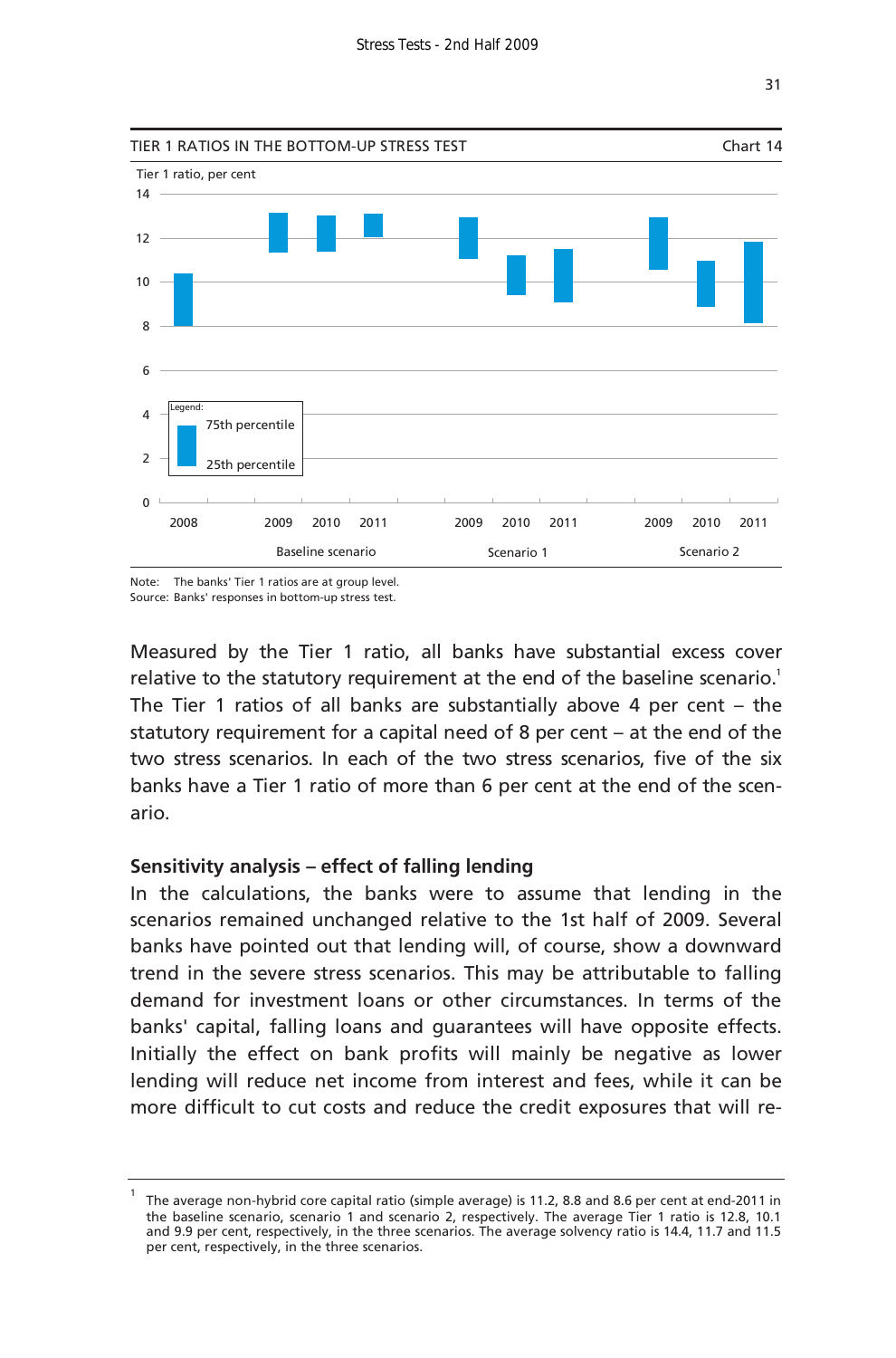

Note: The banks' Tier 1 ratios are at group level. Source: Banks' responses in bottom-up stress test.

Measured by the Tier 1 ratio, all banks have substantial excess cover relative to the statutory requirement at the end of the baseline scenario.<sup>1</sup> The Tier 1 ratios of all banks are substantially above 4 per cent – the statutory requirement for a capital need of 8 per cent – at the end of the two stress scenarios. In each of the two stress scenarios, five of the six banks have a Tier 1 ratio of more than 6 per cent at the end of the scenario.

### **Sensitivity analysis – effect of falling lending**

In the calculations, the banks were to assume that lending in the scenarios remained unchanged relative to the 1st half of 2009. Several banks have pointed out that lending will, of course, show a downward trend in the severe stress scenarios. This may be attributable to falling demand for investment loans or other circumstances. In terms of the banks' capital, falling loans and guarantees will have opposite effects. Initially the effect on bank profits will mainly be negative as lower lending will reduce net income from interest and fees, while it can be more difficult to cut costs and reduce the credit exposures that will re-

<sup>1</sup> The average non-hybrid core capital ratio (simple average) is 11.2, 8.8 and 8.6 per cent at end-2011 in the baseline scenario, scenario 1 and scenario 2, respectively. The average Tier 1 ratio is 12.8, 10.1 and 9.9 per cent, respectively, in the three scenarios. The average solvency ratio is 14.4, 11.7 and 11.5 per cent, respectively, in the three scenarios.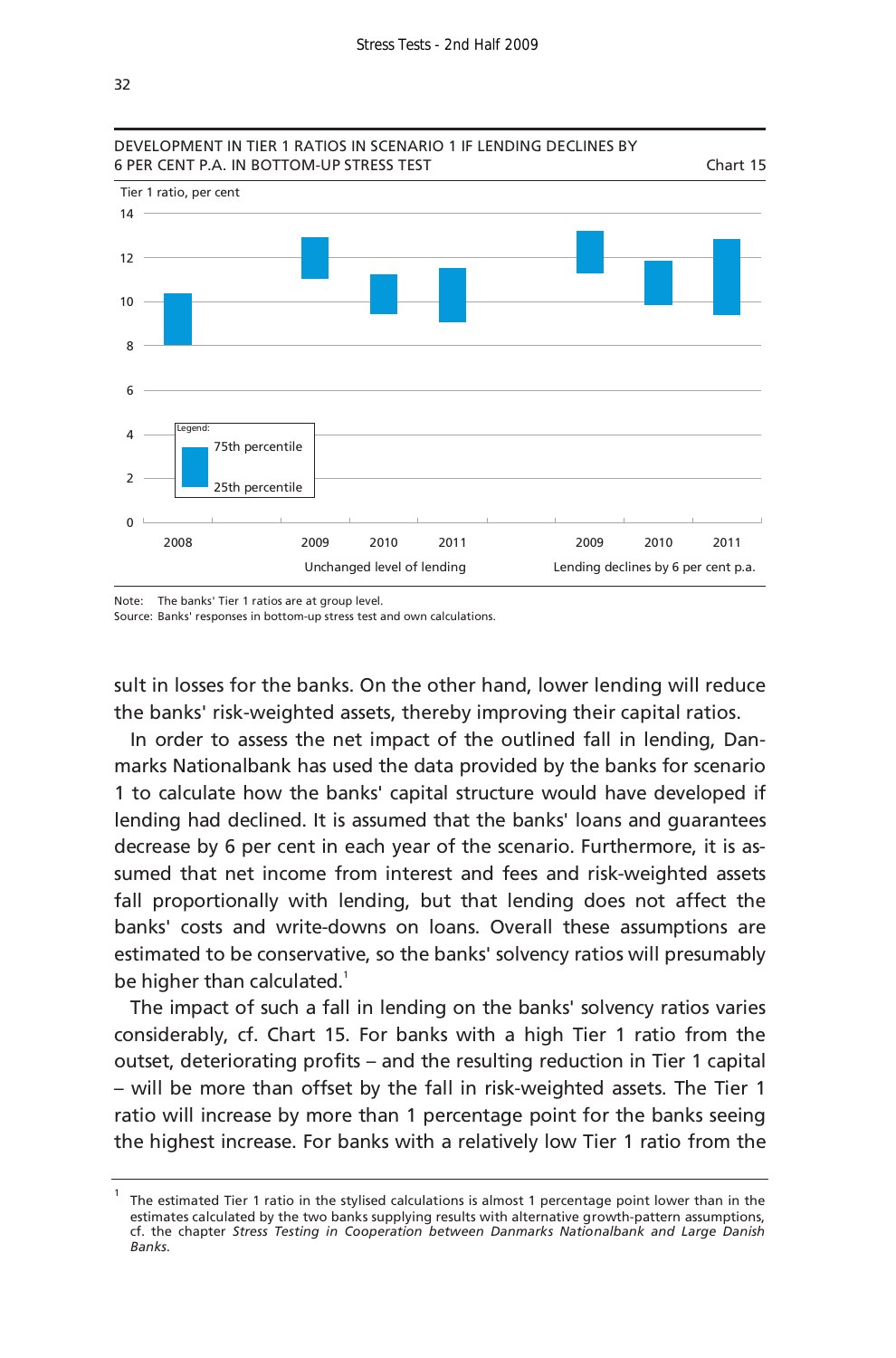

Note: The banks' Tier 1 ratios are at group level.

Source: Banks' responses in bottom-up stress test and own calculations.

sult in losses for the banks. On the other hand, lower lending will reduce the banks' risk-weighted assets, thereby improving their capital ratios.

In order to assess the net impact of the outlined fall in lending, Danmarks Nationalbank has used the data provided by the banks for scenario 1 to calculate how the banks' capital structure would have developed if lending had declined. It is assumed that the banks' loans and guarantees decrease by 6 per cent in each year of the scenario. Furthermore, it is assumed that net income from interest and fees and risk-weighted assets fall proportionally with lending, but that lending does not affect the banks' costs and write-downs on loans. Overall these assumptions are estimated to be conservative, so the banks' solvency ratios will presumably be higher than calculated.<sup>1</sup>

The impact of such a fall in lending on the banks' solvency ratios varies considerably, cf. Chart 15. For banks with a high Tier 1 ratio from the outset, deteriorating profits – and the resulting reduction in Tier 1 capital – will be more than offset by the fall in risk-weighted assets. The Tier 1 ratio will increase by more than 1 percentage point for the banks seeing the highest increase. For banks with a relatively low Tier 1 ratio from the

<sup>1</sup> The estimated Tier 1 ratio in the stylised calculations is almost 1 percentage point lower than in the estimates calculated by the two banks supplying results with alternative growth-pattern assumptions, cf. the chapter *Stress Testing in Cooperation between Danmarks Nationalbank and Large Danish Banks*.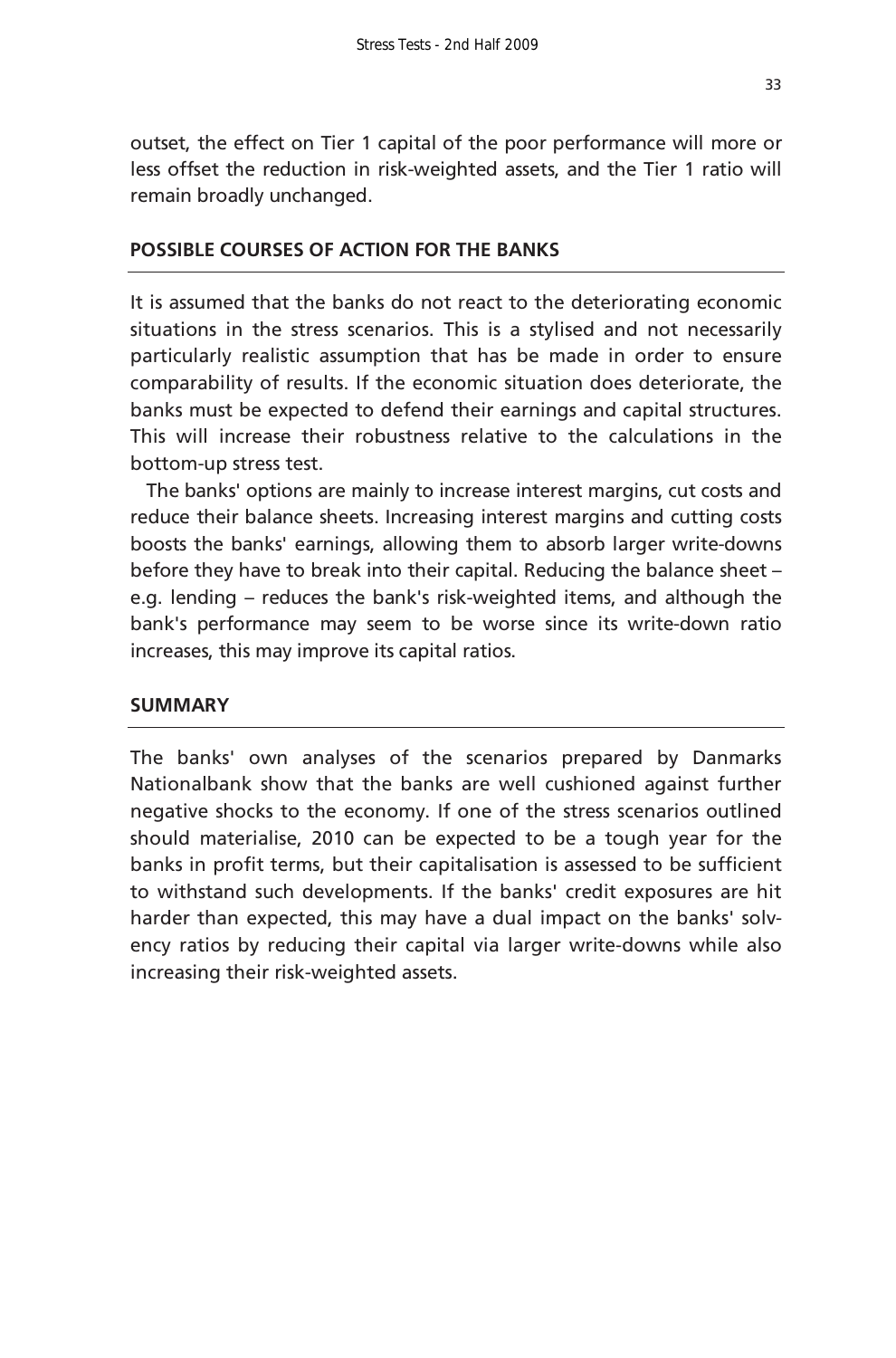outset, the effect on Tier 1 capital of the poor performance will more or less offset the reduction in risk-weighted assets, and the Tier 1 ratio will remain broadly unchanged.

### **POSSIBLE COURSES OF ACTION FOR THE BANKS**

It is assumed that the banks do not react to the deteriorating economic situations in the stress scenarios. This is a stylised and not necessarily particularly realistic assumption that has be made in order to ensure comparability of results. If the economic situation does deteriorate, the banks must be expected to defend their earnings and capital structures. This will increase their robustness relative to the calculations in the bottom-up stress test.

The banks' options are mainly to increase interest margins, cut costs and reduce their balance sheets. Increasing interest margins and cutting costs boosts the banks' earnings, allowing them to absorb larger write-downs before they have to break into their capital. Reducing the balance sheet – e.g. lending – reduces the bank's risk-weighted items, and although the bank's performance may seem to be worse since its write-down ratio increases, this may improve its capital ratios.

### **SUMMARY**

The banks' own analyses of the scenarios prepared by Danmarks Nationalbank show that the banks are well cushioned against further negative shocks to the economy. If one of the stress scenarios outlined should materialise, 2010 can be expected to be a tough year for the banks in profit terms, but their capitalisation is assessed to be sufficient to withstand such developments. If the banks' credit exposures are hit harder than expected, this may have a dual impact on the banks' solvency ratios by reducing their capital via larger write-downs while also increasing their risk-weighted assets.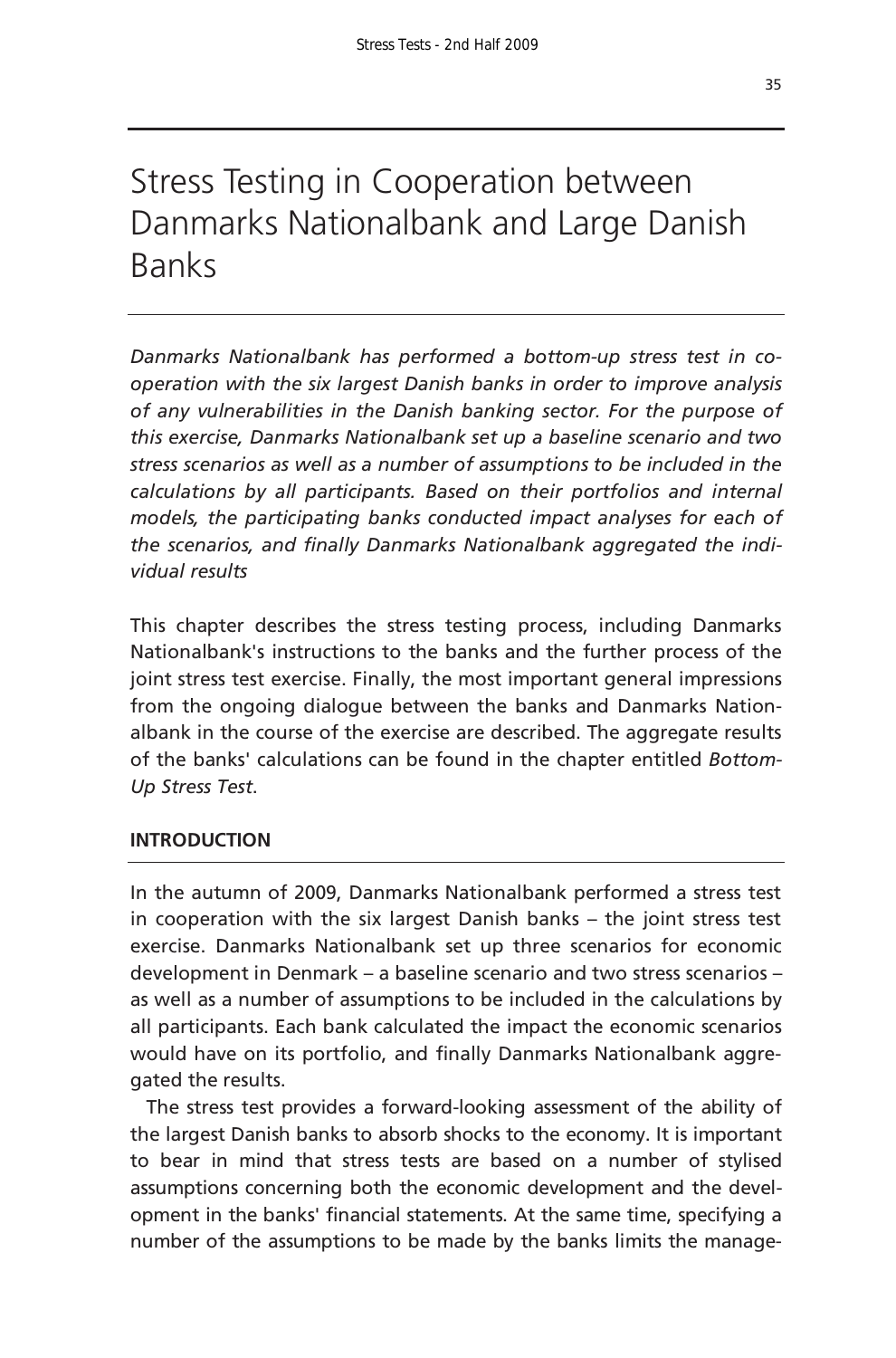## Stress Testing in Cooperation between Danmarks Nationalbank and Large Danish Banks

*Danmarks Nationalbank has performed a bottom-up stress test in cooperation with the six largest Danish banks in order to improve analysis of any vulnerabilities in the Danish banking sector. For the purpose of this exercise, Danmarks Nationalbank set up a baseline scenario and two stress scenarios as well as a number of assumptions to be included in the calculations by all participants. Based on their portfolios and internal models, the participating banks conducted impact analyses for each of the scenarios, and finally Danmarks Nationalbank aggregated the individual results* 

This chapter describes the stress testing process, including Danmarks Nationalbank's instructions to the banks and the further process of the joint stress test exercise. Finally, the most important general impressions from the ongoing dialogue between the banks and Danmarks Nationalbank in the course of the exercise are described. The aggregate results of the banks' calculations can be found in the chapter entitled *Bottom-Up Stress Test*.

### **INTRODUCTION**

In the autumn of 2009, Danmarks Nationalbank performed a stress test in cooperation with the six largest Danish banks – the joint stress test exercise. Danmarks Nationalbank set up three scenarios for economic development in Denmark – a baseline scenario and two stress scenarios – as well as a number of assumptions to be included in the calculations by all participants. Each bank calculated the impact the economic scenarios would have on its portfolio, and finally Danmarks Nationalbank aggregated the results.

The stress test provides a forward-looking assessment of the ability of the largest Danish banks to absorb shocks to the economy. It is important to bear in mind that stress tests are based on a number of stylised assumptions concerning both the economic development and the development in the banks' financial statements. At the same time, specifying a number of the assumptions to be made by the banks limits the manage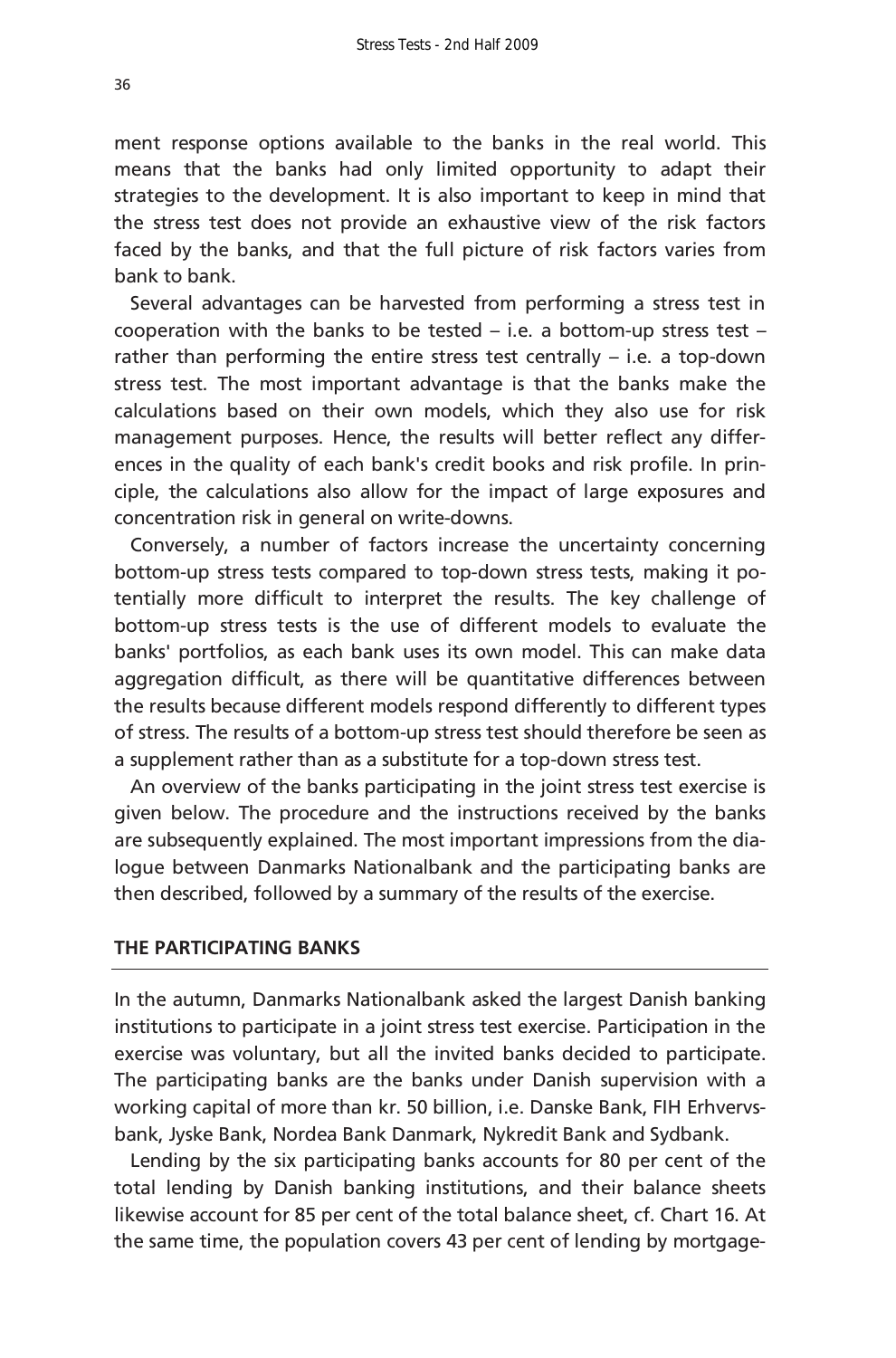ment response options available to the banks in the real world. This means that the banks had only limited opportunity to adapt their strategies to the development. It is also important to keep in mind that the stress test does not provide an exhaustive view of the risk factors faced by the banks, and that the full picture of risk factors varies from bank to bank.

Several advantages can be harvested from performing a stress test in cooperation with the banks to be tested – i.e. a bottom-up stress test – rather than performing the entire stress test centrally – i.e. a top-down stress test. The most important advantage is that the banks make the calculations based on their own models, which they also use for risk management purposes. Hence, the results will better reflect any differences in the quality of each bank's credit books and risk profile. In principle, the calculations also allow for the impact of large exposures and concentration risk in general on write-downs.

Conversely, a number of factors increase the uncertainty concerning bottom-up stress tests compared to top-down stress tests, making it potentially more difficult to interpret the results. The key challenge of bottom-up stress tests is the use of different models to evaluate the banks' portfolios, as each bank uses its own model. This can make data aggregation difficult, as there will be quantitative differences between the results because different models respond differently to different types of stress. The results of a bottom-up stress test should therefore be seen as a supplement rather than as a substitute for a top-down stress test.

An overview of the banks participating in the joint stress test exercise is given below. The procedure and the instructions received by the banks are subsequently explained. The most important impressions from the dialogue between Danmarks Nationalbank and the participating banks are then described, followed by a summary of the results of the exercise.

### **THE PARTICIPATING BANKS**

In the autumn, Danmarks Nationalbank asked the largest Danish banking institutions to participate in a joint stress test exercise. Participation in the exercise was voluntary, but all the invited banks decided to participate. The participating banks are the banks under Danish supervision with a working capital of more than kr. 50 billion, i.e. Danske Bank, FIH Erhvervsbank, Jyske Bank, Nordea Bank Danmark, Nykredit Bank and Sydbank.

Lending by the six participating banks accounts for 80 per cent of the total lending by Danish banking institutions, and their balance sheets likewise account for 85 per cent of the total balance sheet, cf. Chart 16. At the same time, the population covers 43 per cent of lending by mortgage-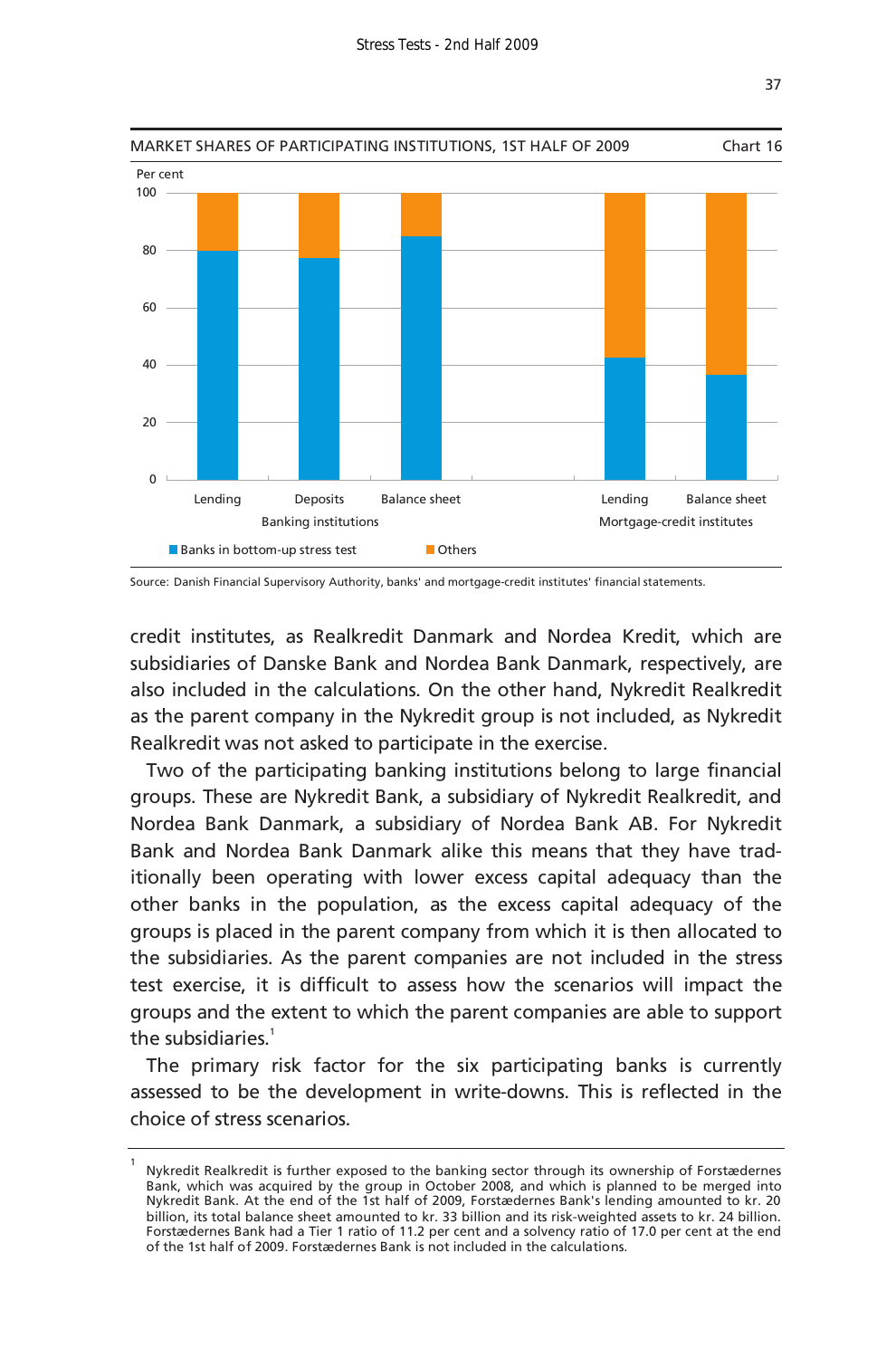

Source: Danish Financial Supervisory Authority, banks' and mortgage-credit institutes' financial statements.

credit institutes, as Realkredit Danmark and Nordea Kredit, which are subsidiaries of Danske Bank and Nordea Bank Danmark, respectively, are also included in the calculations. On the other hand, Nykredit Realkredit as the parent company in the Nykredit group is not included, as Nykredit Realkredit was not asked to participate in the exercise.

Two of the participating banking institutions belong to large financial groups. These are Nykredit Bank, a subsidiary of Nykredit Realkredit, and Nordea Bank Danmark, a subsidiary of Nordea Bank AB. For Nykredit Bank and Nordea Bank Danmark alike this means that they have traditionally been operating with lower excess capital adequacy than the other banks in the population, as the excess capital adequacy of the groups is placed in the parent company from which it is then allocated to the subsidiaries. As the parent companies are not included in the stress test exercise, it is difficult to assess how the scenarios will impact the groups and the extent to which the parent companies are able to support the subsidiaries. $^1$ 

The primary risk factor for the six participating banks is currently assessed to be the development in write-downs. This is reflected in the choice of stress scenarios.

<sup>1</sup> Nykredit Realkredit is further exposed to the banking sector through its ownership of Forstædernes Bank, which was acquired by the group in October 2008, and which is planned to be merged into Nykredit Bank. At the end of the 1st half of 2009, Forstædernes Bank's lending amounted to kr. 20 billion, its total balance sheet amounted to kr. 33 billion and its risk-weighted assets to kr. 24 billion. Forstædernes Bank had a Tier 1 ratio of 11.2 per cent and a solvency ratio of 17.0 per cent at the end of the 1st half of 2009. Forstædernes Bank is not included in the calculations.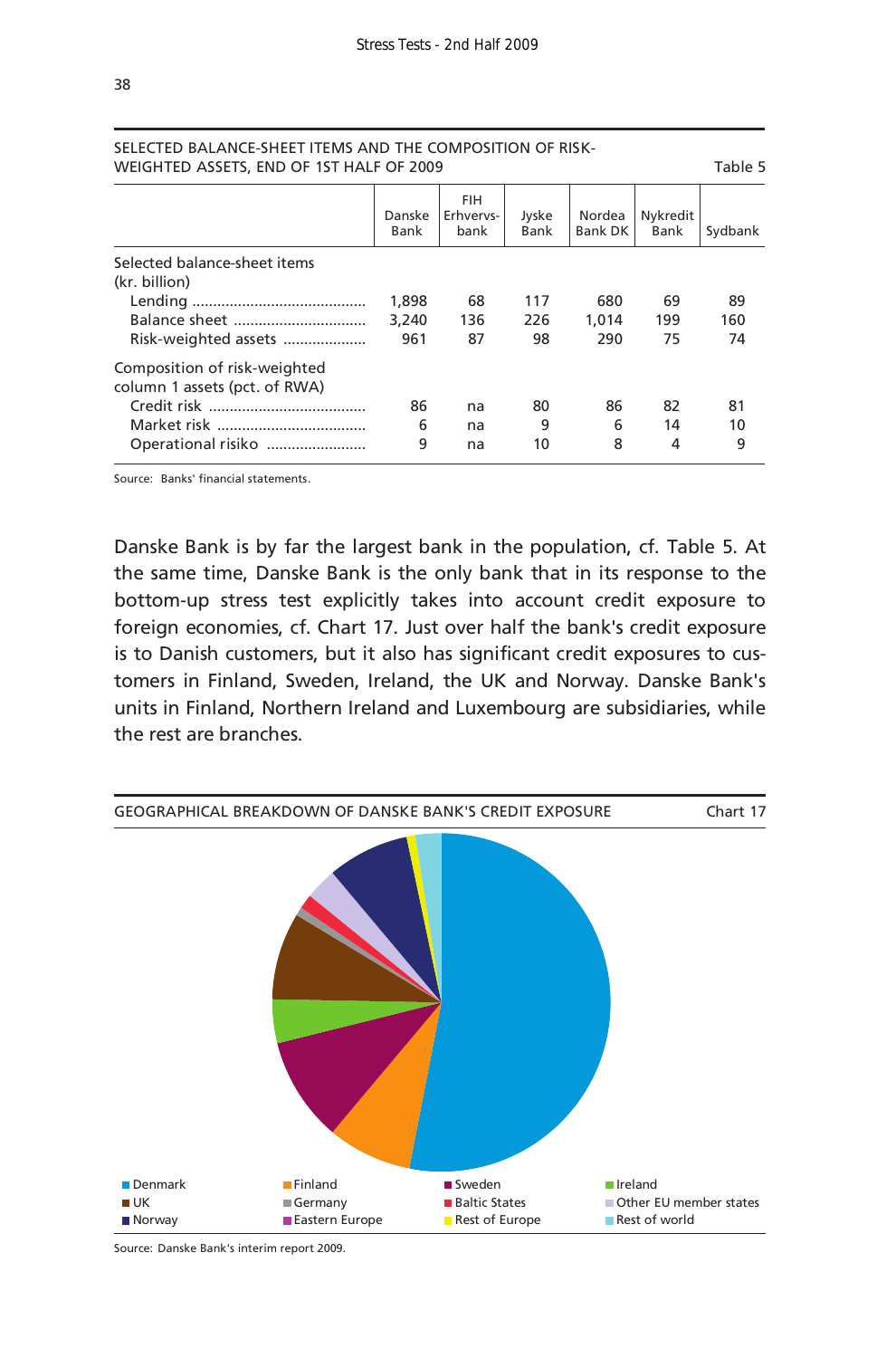| WEIGHTED ASSETS, END OF 1ST HALF OF 2009                      |                |                           |               |                   | Table 5          |         |
|---------------------------------------------------------------|----------------|---------------------------|---------------|-------------------|------------------|---------|
|                                                               | Danske<br>Bank | FIH.<br>Erhvervs-<br>bank | Jyske<br>Bank | Nordea<br>Bank DK | Nykredit<br>Bank | Sydbank |
| Selected balance-sheet items<br>(kr. billion)                 |                |                           |               |                   |                  |         |
|                                                               | 1,898          | 68                        | 117           | 680               | 69               | 89      |
| Balance sheet                                                 | 3,240          | 136                       | 226           | 1.014             | 199              | 160     |
| Risk-weighted assets                                          | 961            | 87                        | 98            | 290               | 75               | 74      |
| Composition of risk-weighted<br>column 1 assets (pct. of RWA) |                |                           |               |                   |                  |         |
|                                                               | 86             | na                        | 80            | 86                | 82               | 81      |
|                                                               | 6              | na                        | 9             | 6                 | 14               | 10      |
| Operational risiko                                            | 9              | na                        | 10            | 8                 | 4                | 9       |

### SELECTED BALANCE-SHEET ITEMS AND THE COMPOSITION OF RISK-

Source: Banks' financial statements .

Danske Bank is by far the largest bank in the population, cf. Table 5. At the same time, Danske Bank is the only bank that in its response to the bottom-up stress test explicitly takes into account credit exposure to foreign economies, cf. Chart 17. Just over half the bank's credit exposure is to Danish customers, but it also has significant credit exposures to customers in Finland, Sweden, Ireland, the UK and Norway. Danske Bank's units in Finland, Northern Ireland and Luxembourg are subsidiaries, while the rest are branches.



Source: Danske Bank's interim report 2009.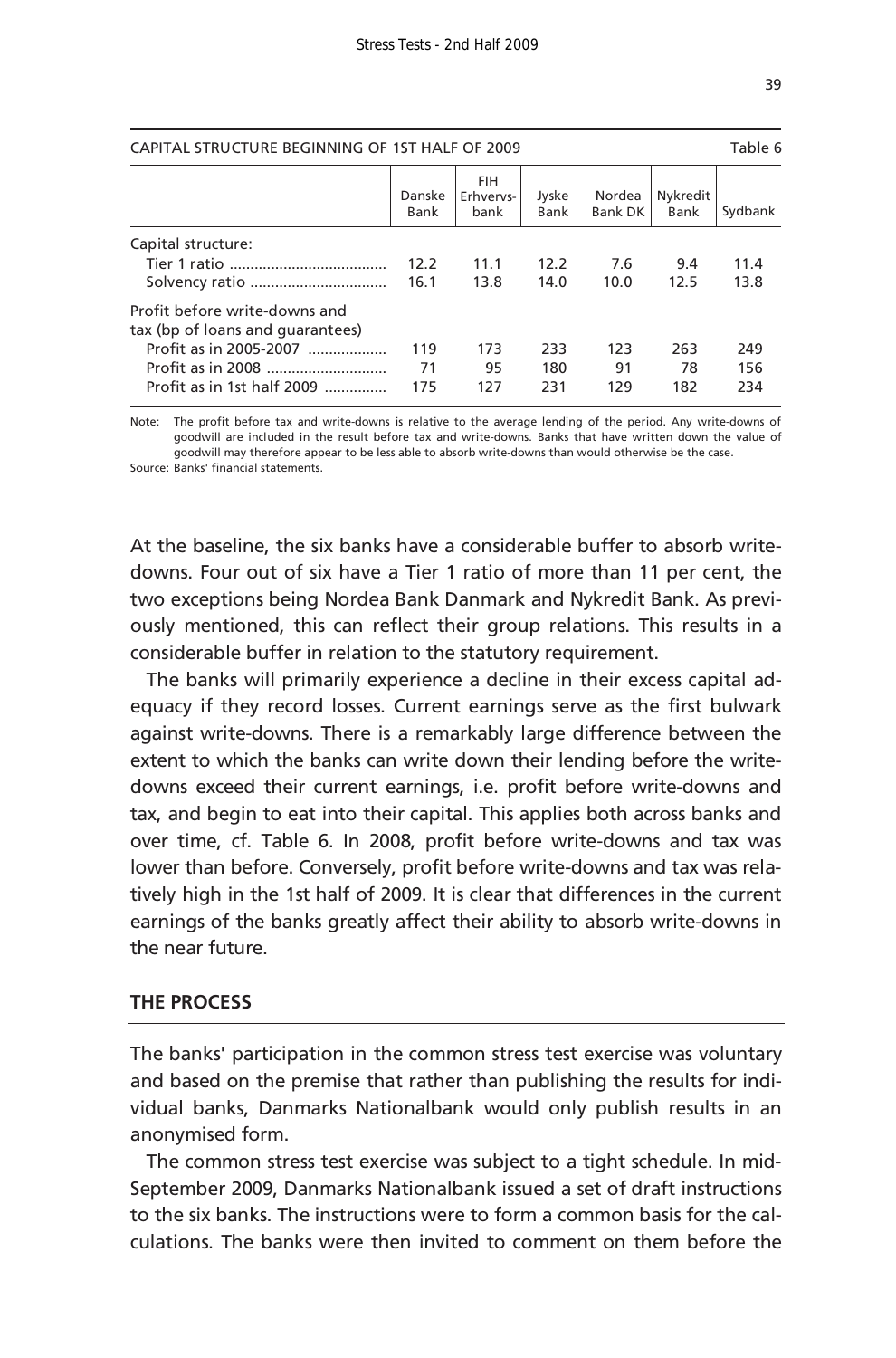| CAPITAL STRUCTURE BEGINNING OF 1ST HALF OF 2009                                                                           |                  |                           |                   |                   |                  | Table 6           |
|---------------------------------------------------------------------------------------------------------------------------|------------------|---------------------------|-------------------|-------------------|------------------|-------------------|
|                                                                                                                           | Danske<br>Bank   | FIH.<br>Erhvervs-<br>bank | Jyske<br>Bank     | Nordea<br>Bank DK | Nykredit<br>Bank | Sydbank           |
| Capital structure:<br>Solvency ratio                                                                                      | 12.2<br>16.1     | 11.1<br>13.8              | 12.2<br>14.0      | 7.6<br>10.0       | 9.4<br>12.5      | 11.4<br>13.8      |
| Profit before write-downs and<br>tax (bp of loans and quarantees)<br>Profit as in 2005-2007<br>Profit as in 1st half 2009 | 119<br>71<br>175 | 173<br>95<br>127          | 233<br>180<br>231 | 123<br>91<br>129  | 263<br>78<br>182 | 249<br>156<br>234 |

Note: The profit before tax and write-downs is relative to the average lending of the period. Any write-downs of goodwill are included in the result before tax and write-downs. Banks that have written down the value of goodwill may therefore appear to be less able to absorb write-downs than would otherwise be the case.

Source: Banks' financial statements.

At the baseline, the six banks have a considerable buffer to absorb writedowns. Four out of six have a Tier 1 ratio of more than 11 per cent, the two exceptions being Nordea Bank Danmark and Nykredit Bank. As previously mentioned, this can reflect their group relations. This results in a considerable buffer in relation to the statutory requirement.

The banks will primarily experience a decline in their excess capital adequacy if they record losses. Current earnings serve as the first bulwark against write-downs. There is a remarkably large difference between the extent to which the banks can write down their lending before the writedowns exceed their current earnings, i.e. profit before write-downs and tax, and begin to eat into their capital. This applies both across banks and over time, cf. Table 6. In 2008, profit before write-downs and tax was lower than before. Conversely, profit before write-downs and tax was relatively high in the 1st half of 2009. It is clear that differences in the current earnings of the banks greatly affect their ability to absorb write-downs in the near future.

### **THE PROCESS**

The banks' participation in the common stress test exercise was voluntary and based on the premise that rather than publishing the results for individual banks, Danmarks Nationalbank would only publish results in an anonymised form.

The common stress test exercise was subject to a tight schedule. In mid-September 2009, Danmarks Nationalbank issued a set of draft instructions to the six banks. The instructions were to form a common basis for the calculations. The banks were then invited to comment on them before the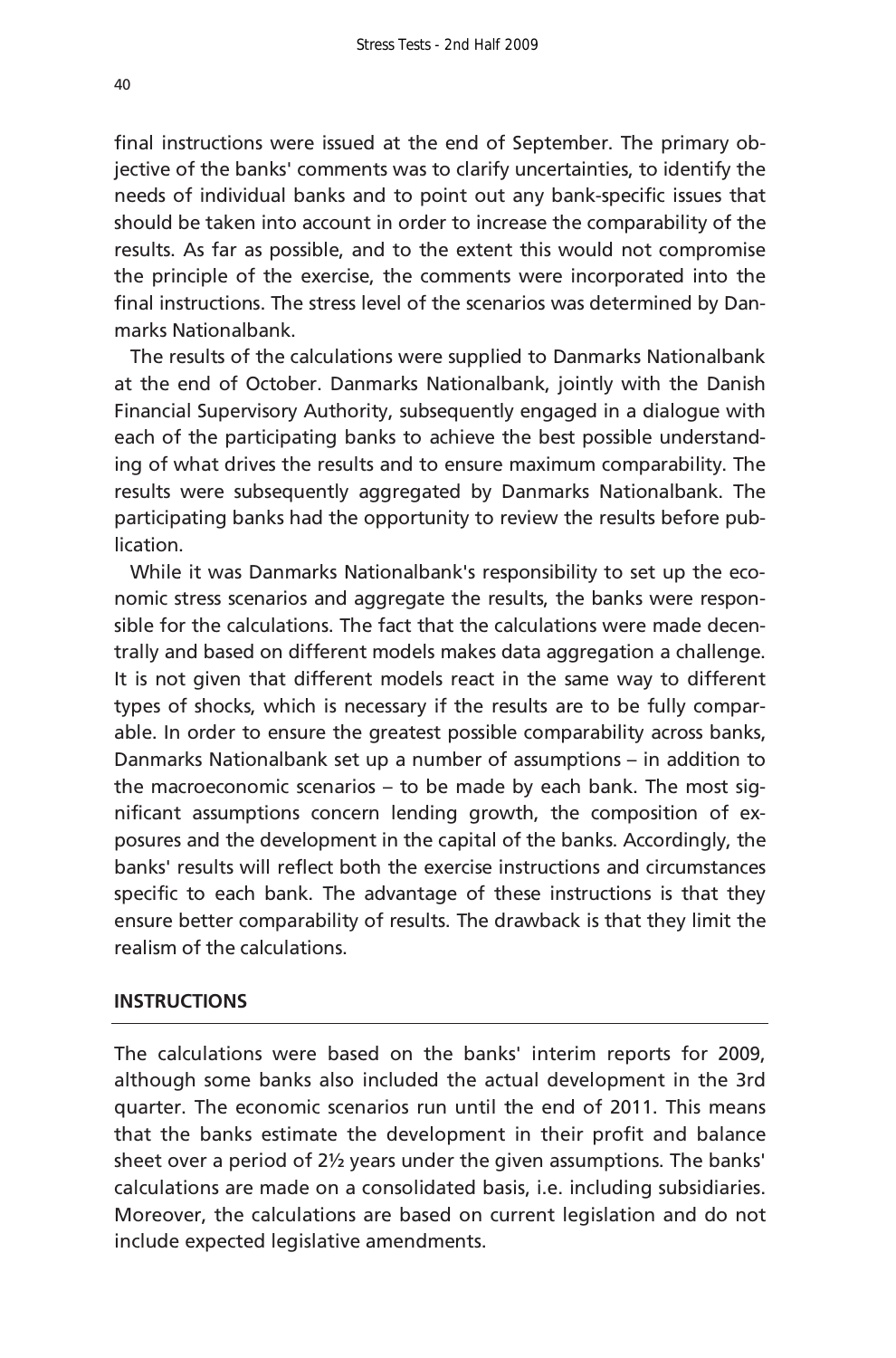final instructions were issued at the end of September. The primary objective of the banks' comments was to clarify uncertainties, to identify the needs of individual banks and to point out any bank-specific issues that should be taken into account in order to increase the comparability of the results. As far as possible, and to the extent this would not compromise the principle of the exercise, the comments were incorporated into the final instructions. The stress level of the scenarios was determined by Danmarks Nationalbank.

The results of the calculations were supplied to Danmarks Nationalbank at the end of October. Danmarks Nationalbank, jointly with the Danish Financial Supervisory Authority, subsequently engaged in a dialogue with each of the participating banks to achieve the best possible understanding of what drives the results and to ensure maximum comparability. The results were subsequently aggregated by Danmarks Nationalbank. The participating banks had the opportunity to review the results before pub**lication** 

While it was Danmarks Nationalbank's responsibility to set up the economic stress scenarios and aggregate the results, the banks were responsible for the calculations. The fact that the calculations were made decentrally and based on different models makes data aggregation a challenge. It is not given that different models react in the same way to different types of shocks, which is necessary if the results are to be fully comparable. In order to ensure the greatest possible comparability across banks, Danmarks Nationalbank set up a number of assumptions – in addition to the macroeconomic scenarios – to be made by each bank. The most significant assumptions concern lending growth, the composition of exposures and the development in the capital of the banks. Accordingly, the banks' results will reflect both the exercise instructions and circumstances specific to each bank. The advantage of these instructions is that they ensure better comparability of results. The drawback is that they limit the realism of the calculations.

### **INSTRUCTIONS**

The calculations were based on the banks' interim reports for 2009, although some banks also included the actual development in the 3rd quarter. The economic scenarios run until the end of 2011. This means that the banks estimate the development in their profit and balance sheet over a period of 2½ years under the given assumptions. The banks' calculations are made on a consolidated basis, i.e. including subsidiaries. Moreover, the calculations are based on current legislation and do not include expected legislative amendments.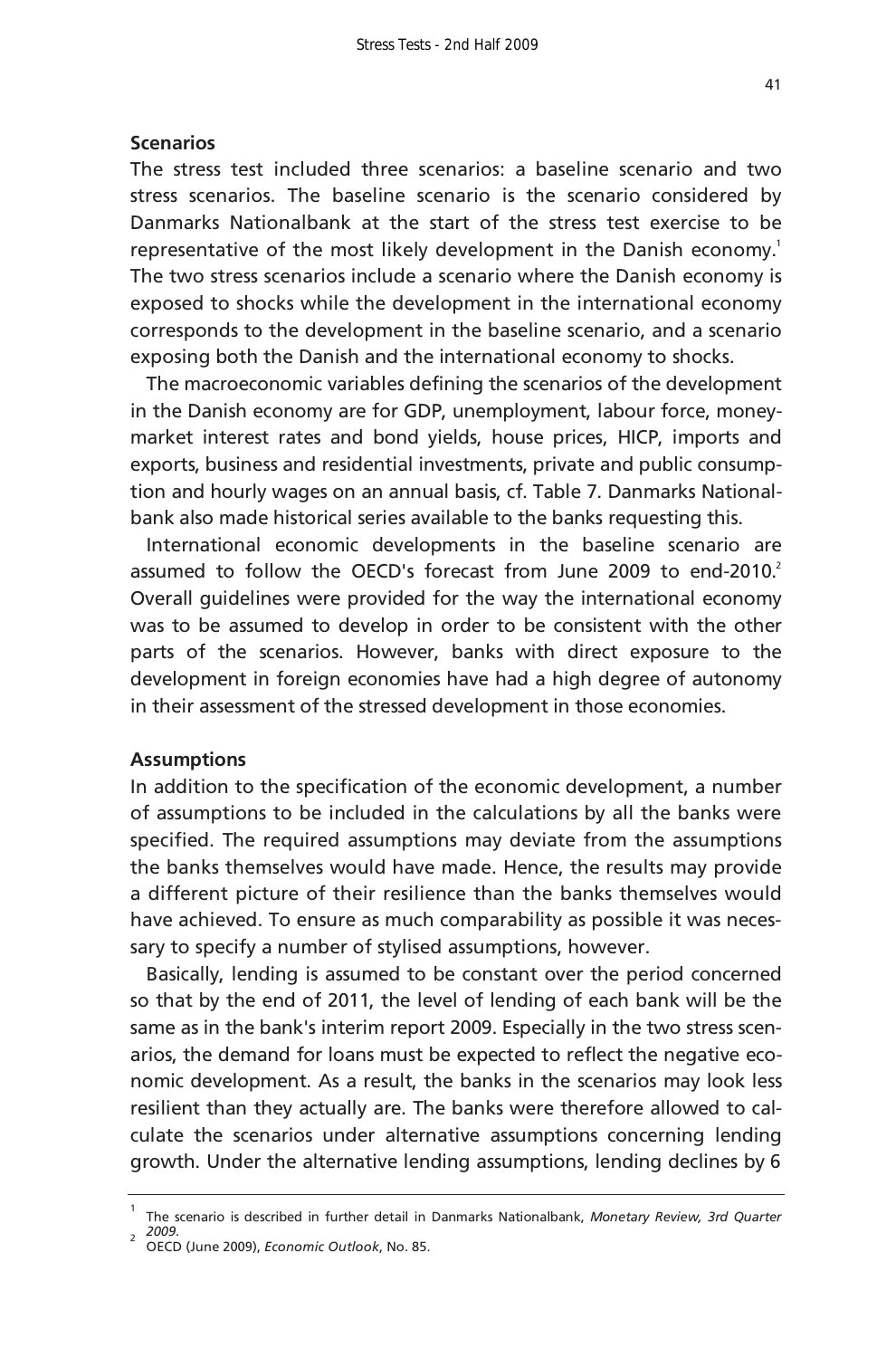### **Scenarios**

The stress test included three scenarios: a baseline scenario and two stress scenarios. The baseline scenario is the scenario considered by Danmarks Nationalbank at the start of the stress test exercise to be representative of the most likely development in the Danish economy.<sup>1</sup> The two stress scenarios include a scenario where the Danish economy is exposed to shocks while the development in the international economy corresponds to the development in the baseline scenario, and a scenario exposing both the Danish and the international economy to shocks.

The macroeconomic variables defining the scenarios of the development in the Danish economy are for GDP, unemployment, labour force, moneymarket interest rates and bond yields, house prices, HICP, imports and exports, business and residential investments, private and public consumption and hourly wages on an annual basis, cf. Table 7. Danmarks Nationalbank also made historical series available to the banks requesting this.

International economic developments in the baseline scenario are assumed to follow the OECD's forecast from June 2009 to end-2010.<sup>2</sup> Overall guidelines were provided for the way the international economy was to be assumed to develop in order to be consistent with the other parts of the scenarios. However, banks with direct exposure to the development in foreign economies have had a high degree of autonomy in their assessment of the stressed development in those economies.

### **Assumptions**

In addition to the specification of the economic development, a number of assumptions to be included in the calculations by all the banks were specified. The required assumptions may deviate from the assumptions the banks themselves would have made. Hence, the results may provide a different picture of their resilience than the banks themselves would have achieved. To ensure as much comparability as possible it was necessary to specify a number of stylised assumptions, however.

Basically, lending is assumed to be constant over the period concerned so that by the end of 2011, the level of lending of each bank will be the same as in the bank's interim report 2009. Especially in the two stress scenarios, the demand for loans must be expected to reflect the negative economic development. As a result, the banks in the scenarios may look less resilient than they actually are. The banks were therefore allowed to calculate the scenarios under alternative assumptions concerning lending growth. Under the alternative lending assumptions, lending declines by 6

<sup>1</sup> The scenario is described in further detail in Danmarks Nationalbank, *Monetary Review, 3rd Quarter 2009*. 2

OECD (June 2009), *Economic Outlook*, No. 85.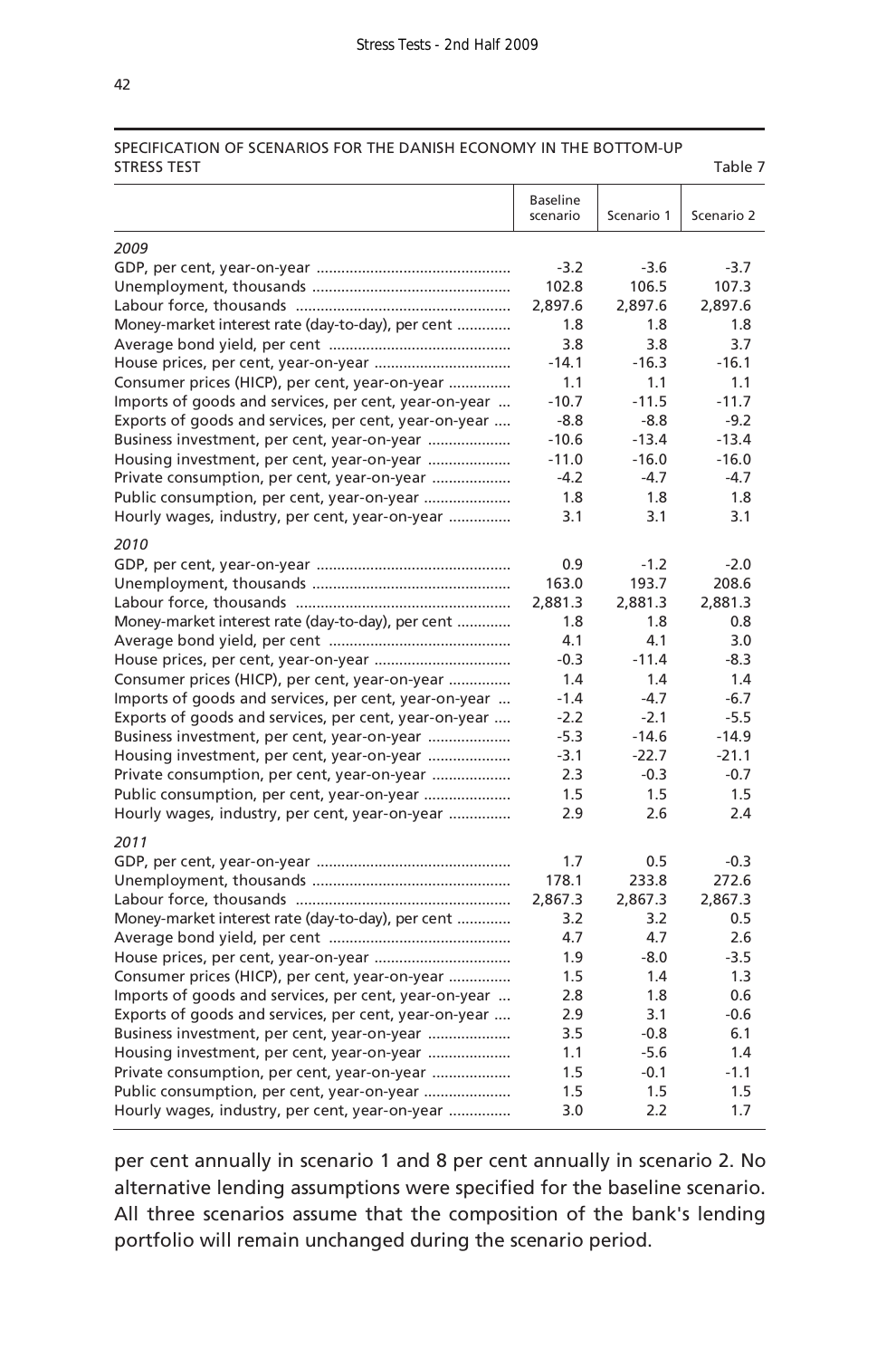### SPECIFICATION OF SCENARIOS FOR THE DANISH ECONOMY IN THE BOTTOM-UP STRESS TEST TABle 7 and the state of the state of the state of the state of the state of the state of the state of the state of the state of the state of the state of the state of the state of the state of the state of the

|                                                       | <b>Baseline</b><br>scenario | Scenario 1 | Scenario 2 |
|-------------------------------------------------------|-----------------------------|------------|------------|
| 2009                                                  |                             |            |            |
|                                                       | $-3.2$                      | $-3.6$     | $-3.7$     |
|                                                       | 102.8                       | 106.5      | 107.3      |
|                                                       | 2,897.6                     | 2,897.6    | 2,897.6    |
| Money-market interest rate (day-to-day), per cent     | 1.8                         | 1.8        | 1.8        |
|                                                       | 3.8                         | 3.8        | 3.7        |
| House prices, per cent, year-on-year                  | $-14.1$                     | $-16.3$    | $-16.1$    |
| Consumer prices (HICP), per cent, year-on-year        | 1.1                         | 1.1        | 1.1        |
| Imports of goods and services, per cent, year-on-year | $-10.7$                     | $-11.5$    | $-11.7$    |
| Exports of goods and services, per cent, year-on-year | $-8.8$                      | $-8.8$     | $-9.2$     |
| Business investment, per cent, year-on-year           | $-10.6$                     | $-13.4$    | $-13.4$    |
| Housing investment, per cent, year-on-year            | $-11.0$                     | $-16.0$    | $-16.0$    |
| Private consumption, per cent, year-on-year           | $-4.2$                      | $-4.7$     | $-4.7$     |
| Public consumption, per cent, year-on-year            | 1.8                         | 1.8        | 1.8        |
| Hourly wages, industry, per cent, year-on-year        | 3.1                         | 3.1        | 3.1        |
| 2010                                                  |                             |            |            |
|                                                       | 0.9                         | $-1.2$     | $-2.0$     |
|                                                       | 163.0                       | 193.7      | 208.6      |
|                                                       | 2,881.3                     | 2,881.3    | 2,881.3    |
| Money-market interest rate (day-to-day), per cent     | 1.8                         | 1.8        | 0.8        |
|                                                       | 4.1                         | 4.1        | 3.0        |
|                                                       | $-0.3$                      | $-11.4$    | $-8.3$     |
| Consumer prices (HICP), per cent, year-on-year        | 1.4                         | 1.4        | 1.4        |
| Imports of goods and services, per cent, year-on-year | $-1.4$                      | $-4.7$     | $-6.7$     |
| Exports of goods and services, per cent, year-on-year | $-2.2$                      | $-2.1$     | $-5.5$     |
| Business investment, per cent, year-on-year           | $-5.3$                      | $-14.6$    | $-14.9$    |
| Housing investment, per cent, year-on-year            | $-3.1$                      | $-22.7$    | $-21.1$    |
| Private consumption, per cent, year-on-year           | 2.3                         | $-0.3$     | $-0.7$     |
| Public consumption, per cent, year-on-year            | 1.5                         | 1.5        | 1.5        |
| Hourly wages, industry, per cent, year-on-year        | 2.9                         | 2.6        | 2.4        |
| 2011                                                  | 1.7                         | 0.5        | $-0.3$     |
|                                                       | 178.1                       | 233.8      | 272.6      |
|                                                       | 2,867.3                     | 2,867.3    | 2,867.3    |
| Money-market interest rate (day-to-day), per cent     | 3.2                         | 3.2        | 0.5        |
|                                                       | 4.7                         | 4.7        | 2.6        |
|                                                       | 1.9                         | $-8.0$     | $-3.5$     |
| Consumer prices (HICP), per cent, year-on-year        | 1.5                         | 1.4        | 1.3        |
| Imports of goods and services, per cent, year-on-year | 2.8                         | 1.8        | 0.6        |
| Exports of goods and services, per cent, year-on-year | 2.9                         | 3.1        | $-0.6$     |
| Business investment, per cent, year-on-year           | 3.5                         | $-0.8$     | 6.1        |
| Housing investment, per cent, year-on-year            | 1.1                         | $-5.6$     | 1.4        |
| Private consumption, per cent, year-on-year           | 1.5                         | $-0.1$     | $-1.1$     |
| Public consumption, per cent, year-on-year            | 1.5                         | 1.5        | 1.5        |
| Hourly wages, industry, per cent, year-on-year        | 3.0                         | 2.2        | 1.7        |

per cent annually in scenario 1 and 8 per cent annually in scenario 2. No alternative lending assumptions were specified for the baseline scenario. All three scenarios assume that the composition of the bank's lending portfolio will remain unchanged during the scenario period.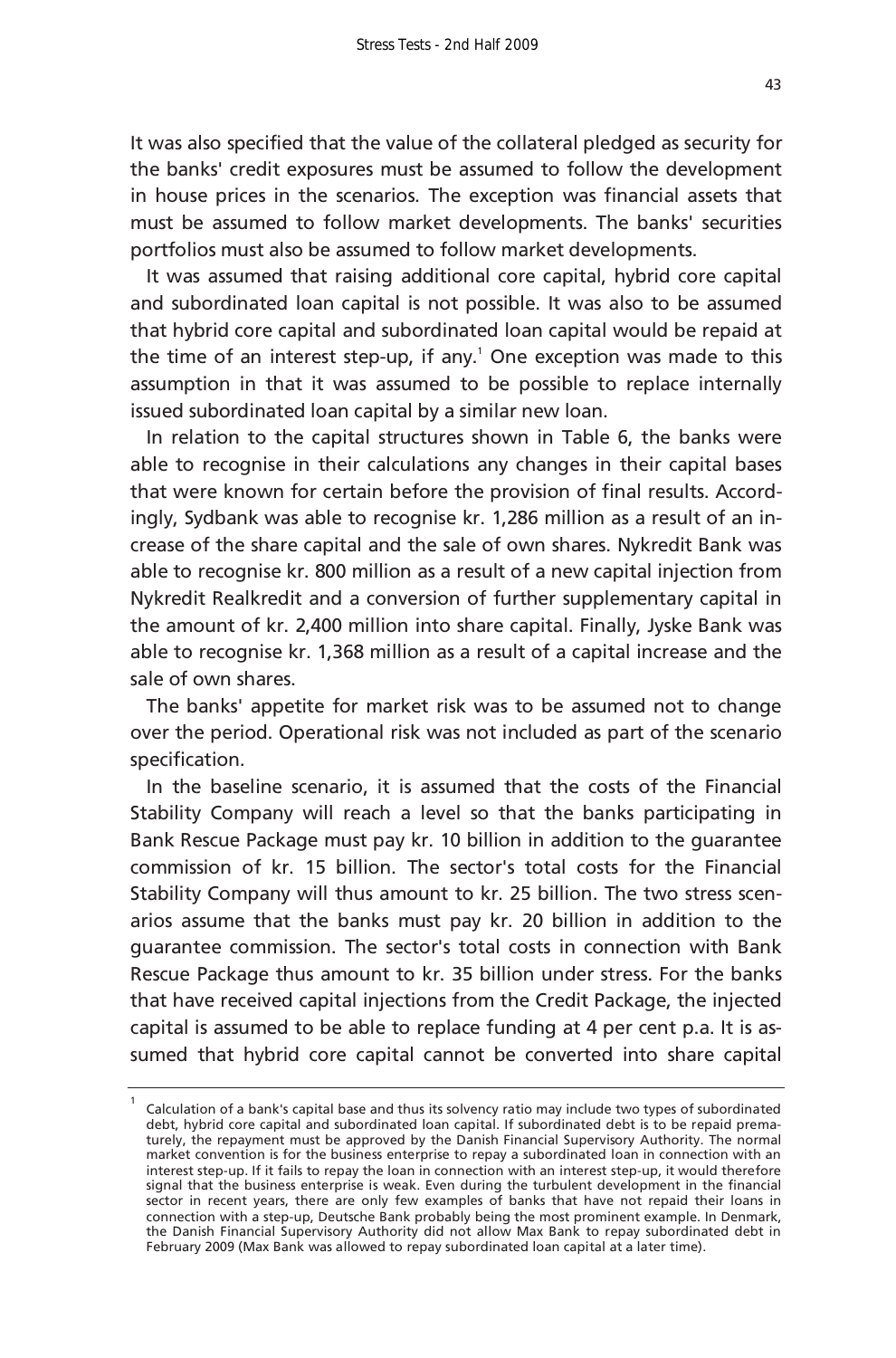It was also specified that the value of the collateral pledged as security for the banks' credit exposures must be assumed to follow the development in house prices in the scenarios. The exception was financial assets that must be assumed to follow market developments. The banks' securities portfolios must also be assumed to follow market developments.

It was assumed that raising additional core capital, hybrid core capital and subordinated loan capital is not possible. It was also to be assumed that hybrid core capital and subordinated loan capital would be repaid at the time of an interest step-up, if any. $<sup>1</sup>$  One exception was made to this</sup> assumption in that it was assumed to be possible to replace internally issued subordinated loan capital by a similar new loan.

In relation to the capital structures shown in Table 6, the banks were able to recognise in their calculations any changes in their capital bases that were known for certain before the provision of final results. Accordingly, Sydbank was able to recognise kr. 1,286 million as a result of an increase of the share capital and the sale of own shares. Nykredit Bank was able to recognise kr. 800 million as a result of a new capital injection from Nykredit Realkredit and a conversion of further supplementary capital in the amount of kr. 2,400 million into share capital. Finally, Jyske Bank was able to recognise kr. 1,368 million as a result of a capital increase and the sale of own shares.

The banks' appetite for market risk was to be assumed not to change over the period. Operational risk was not included as part of the scenario specification.

In the baseline scenario, it is assumed that the costs of the Financial Stability Company will reach a level so that the banks participating in Bank Rescue Package must pay kr. 10 billion in addition to the guarantee commission of kr. 15 billion. The sector's total costs for the Financial Stability Company will thus amount to kr. 25 billion. The two stress scenarios assume that the banks must pay kr. 20 billion in addition to the guarantee commission. The sector's total costs in connection with Bank Rescue Package thus amount to kr. 35 billion under stress. For the banks that have received capital injections from the Credit Package, the injected capital is assumed to be able to replace funding at 4 per cent p.a. It is assumed that hybrid core capital cannot be converted into share capital

<sup>1</sup> Calculation of a bank's capital base and thus its solvency ratio may include two types of subordinated debt, hybrid core capital and subordinated loan capital. If subordinated debt is to be repaid prematurely, the repayment must be approved by the Danish Financial Supervisory Authority. The normal market convention is for the business enterprise to repay a subordinated loan in connection with an interest step-up. If it fails to repay the loan in connection with an interest step-up, it would therefore signal that the business enterprise is weak. Even during the turbulent development in the financial sector in recent years, there are only few examples of banks that have not repaid their loans in connection with a step-up, Deutsche Bank probably being the most prominent example. In Denmark, the Danish Financial Supervisory Authority did not allow Max Bank to repay subordinated debt in February 2009 (Max Bank was allowed to repay subordinated loan capital at a later time).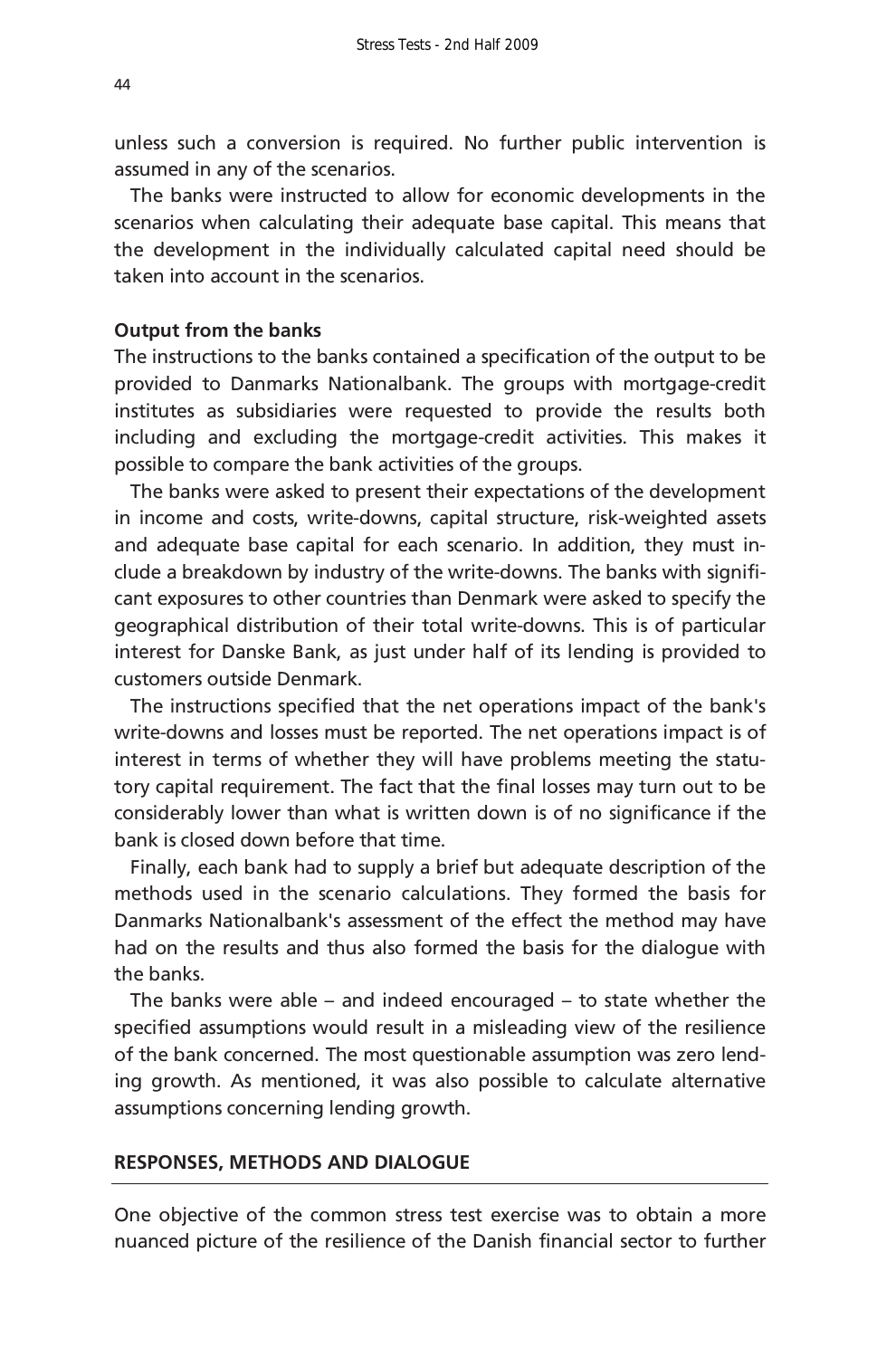unless such a conversion is required. No further public intervention is assumed in any of the scenarios.

The banks were instructed to allow for economic developments in the scenarios when calculating their adequate base capital. This means that the development in the individually calculated capital need should be taken into account in the scenarios.

### **Output from the banks**

The instructions to the banks contained a specification of the output to be provided to Danmarks Nationalbank. The groups with mortgage-credit institutes as subsidiaries were requested to provide the results both including and excluding the mortgage-credit activities. This makes it possible to compare the bank activities of the groups.

The banks were asked to present their expectations of the development in income and costs, write-downs, capital structure, risk-weighted assets and adequate base capital for each scenario. In addition, they must include a breakdown by industry of the write-downs. The banks with significant exposures to other countries than Denmark were asked to specify the geographical distribution of their total write-downs. This is of particular interest for Danske Bank, as just under half of its lending is provided to customers outside Denmark.

The instructions specified that the net operations impact of the bank's write-downs and losses must be reported. The net operations impact is of interest in terms of whether they will have problems meeting the statutory capital requirement. The fact that the final losses may turn out to be considerably lower than what is written down is of no significance if the bank is closed down before that time.

Finally, each bank had to supply a brief but adequate description of the methods used in the scenario calculations. They formed the basis for Danmarks Nationalbank's assessment of the effect the method may have had on the results and thus also formed the basis for the dialogue with the banks.

The banks were able – and indeed encouraged – to state whether the specified assumptions would result in a misleading view of the resilience of the bank concerned. The most questionable assumption was zero lending growth. As mentioned, it was also possible to calculate alternative assumptions concerning lending growth.

### **RESPONSES, METHODS AND DIALOGUE**

One objective of the common stress test exercise was to obtain a more nuanced picture of the resilience of the Danish financial sector to further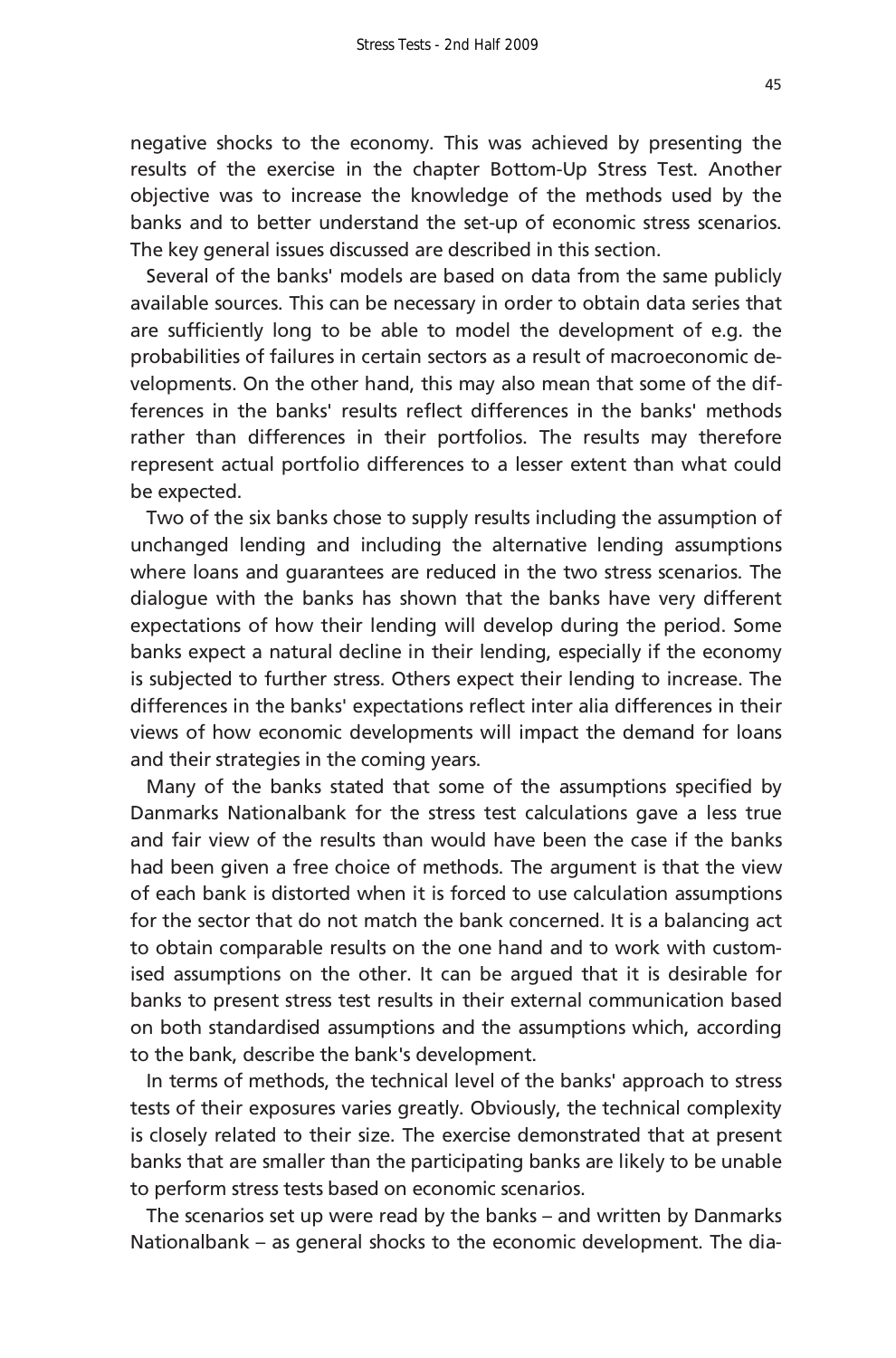negative shocks to the economy. This was achieved by presenting the results of the exercise in the chapter Bottom-Up Stress Test. Another objective was to increase the knowledge of the methods used by the banks and to better understand the set-up of economic stress scenarios. The key general issues discussed are described in this section.

Several of the banks' models are based on data from the same publicly available sources. This can be necessary in order to obtain data series that are sufficiently long to be able to model the development of e.g. the probabilities of failures in certain sectors as a result of macroeconomic developments. On the other hand, this may also mean that some of the differences in the banks' results reflect differences in the banks' methods rather than differences in their portfolios. The results may therefore represent actual portfolio differences to a lesser extent than what could be expected.

Two of the six banks chose to supply results including the assumption of unchanged lending and including the alternative lending assumptions where loans and guarantees are reduced in the two stress scenarios. The dialogue with the banks has shown that the banks have very different expectations of how their lending will develop during the period. Some banks expect a natural decline in their lending, especially if the economy is subjected to further stress. Others expect their lending to increase. The differences in the banks' expectations reflect inter alia differences in their views of how economic developments will impact the demand for loans and their strategies in the coming years.

Many of the banks stated that some of the assumptions specified by Danmarks Nationalbank for the stress test calculations gave a less true and fair view of the results than would have been the case if the banks had been given a free choice of methods. The argument is that the view of each bank is distorted when it is forced to use calculation assumptions for the sector that do not match the bank concerned. It is a balancing act to obtain comparable results on the one hand and to work with customised assumptions on the other. It can be argued that it is desirable for banks to present stress test results in their external communication based on both standardised assumptions and the assumptions which, according to the bank, describe the bank's development.

In terms of methods, the technical level of the banks' approach to stress tests of their exposures varies greatly. Obviously, the technical complexity is closely related to their size. The exercise demonstrated that at present banks that are smaller than the participating banks are likely to be unable to perform stress tests based on economic scenarios.

The scenarios set up were read by the banks – and written by Danmarks Nationalbank – as general shocks to the economic development. The dia